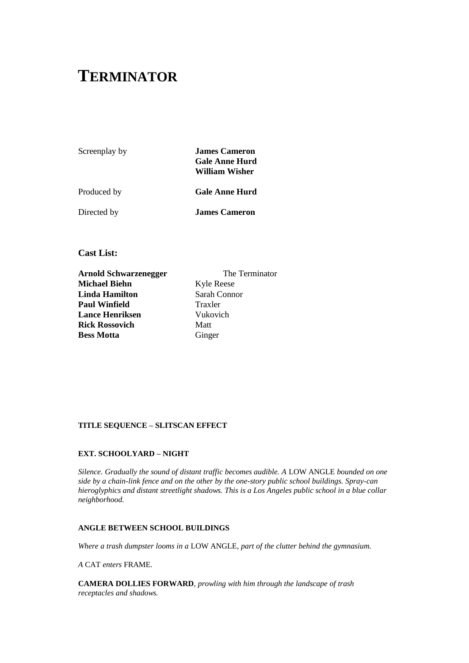# **TERMINATOR**

Screenplay by **James Cameron Gale Anne Hurd William Wisher**

Produced by **Gale Anne Hurd** 

Directed by **James Cameron**

**Cast List:** 

**Arnold Schwarzenegger** The Terminator **Michael Biehn** Kyle Reese **Linda Hamilton** Sarah Connor **Paul Winfield** Traxler **Lance Henriksen** Vukovich **Rick Rossovich Matt Bess Motta** Ginger

# **TITLE SEQUENCE – SLITSCAN EFFECT**

# **EXT. SCHOOLYARD – NIGHT**

*Silence. Gradually the sound of distant traffic becomes audible. A* LOW ANGLE *bounded on one side by a chain-link fence and on the other by the one-story public school buildings. Spray-can hieroglyphics and distant streetlight shadows. This is a Los Angeles public school in a blue collar neighborhood.*

# **ANGLE BETWEEN SCHOOL BUILDINGS**

*Where a trash dumpster looms in a* LOW ANGLE*, part of the clutter behind the gymnasium.*

*A* CAT *enters* FRAME*.* 

**CAMERA DOLLIES FORWARD***, prowling with him through the landscape of trash receptacles and shadows.*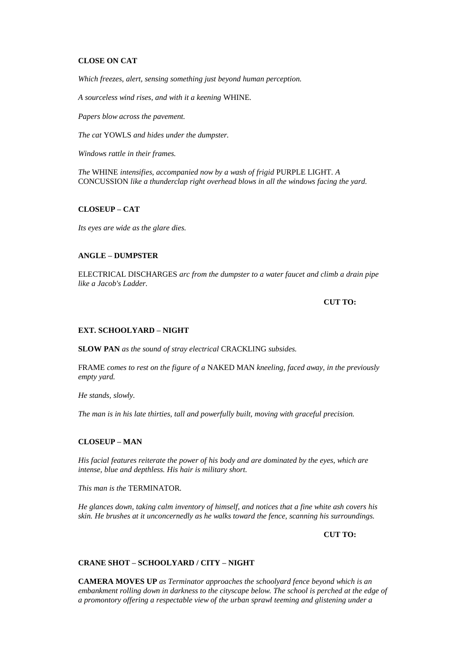# **CLOSE ON CAT**

*Which freezes, alert, sensing something just beyond human perception.*

*A sourceless wind rises, and with it a keening* WHINE*.*

*Papers blow across the pavement.*

*The cat* YOWLS *and hides under the dumpster.*

*Windows rattle in their frames.*

*The* WHINE *intensifies, accompanied now by a wash of frigid* PURPLE LIGHT*. A*  CONCUSSION *like a thunderclap right overhead blows in all the windows facing the yard.*

# **CLOSEUP – CAT**

*Its eyes are wide as the glare dies.*

# **ANGLE – DUMPSTER**

ELECTRICAL DISCHARGES *arc from the dumpster to a water faucet and climb a drain pipe like a Jacob's Ladder.*

**CUT TO:**

# **EXT. SCHOOLYARD – NIGHT**

**SLOW PAN** *as the sound of stray electrical* CRACKLING *subsides.*

FRAME *comes to rest on the figure of a* NAKED MAN *kneeling, faced away, in the previously empty yard.*

*He stands, slowly.*

*The man is in his late thirties, tall and powerfully built, moving with graceful precision.*

### **CLOSEUP – MAN**

*His facial features reiterate the power of his body and are dominated by the eyes, which are intense, blue and depthless. His hair is military short.*

*This man is the* TERMINATOR*.*

*He glances down, taking calm inventory of himself, and notices that a fine white ash covers his skin. He brushes at it unconcernedly as he walks toward the fence, scanning his surroundings.*

**CUT TO:**

# **CRANE SHOT – SCHOOLYARD / CITY – NIGHT**

**CAMERA MOVES UP** *as Terminator approaches the schoolyard fence beyond which is an embankment rolling down in darkness to the cityscape below. The school is perched at the edge of a promontory offering a respectable view of the urban sprawl teeming and glistening under a*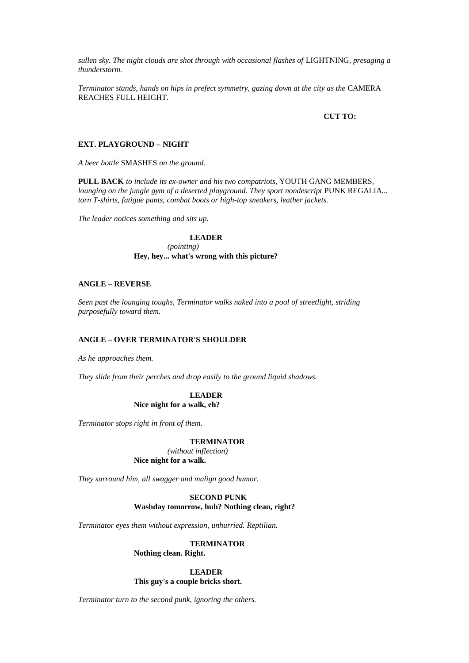*sullen sky. The night clouds are shot through with occasional flashes of* LIGHTNING*, presaging a thunderstorm.*

*Terminator stands, hands on hips in prefect symmetry, gazing down at the city as the* CAMERA REACHES FULL HEIGHT*.*

### **CUT TO:**

### **EXT. PLAYGROUND – NIGHT**

*A beer bottle* SMASHES *on the ground.* 

**PULL BACK** *to include its ex-owner and his two compatriots,* YOUTH GANG MEMBERS*, lounging on the jungle gym of a deserted playground. They sport nondescript PUNK REGALIA... torn T-shirts, fatigue pants, combat boots or high-top sneakers, leather jackets.*

*The leader notices something and sits up.*

# **LEADER** *(pointing)* **Hey, hey... what's wrong with this picture?**

# **ANGLE – REVERSE**

*Seen past the lounging toughs, Terminator walks naked into a pool of streetlight, striding purposefully toward them.*

# **ANGLE – OVER TERMINATOR'S SHOULDER**

*As he approaches them.*

*They slide from their perches and drop easily to the ground liquid shadows.*

# **LEADER Nice night for a walk, eh?**

*Terminator stops right in front of them.*

### **TERMINATOR**

*(without inflection)* **Nice night for a walk.**

*They surround him, all swagger and malign good humor.*

# **SECOND PUNK Washday tomorrow, huh? Nothing clean, right?**

*Terminator eyes them without expression, unhurried. Reptilian.*

# **TERMINATOR**

**Nothing clean. Right.**

# **LEADER This guy's a couple bricks short.**

*Terminator turn to the second punk, ignoring the others.*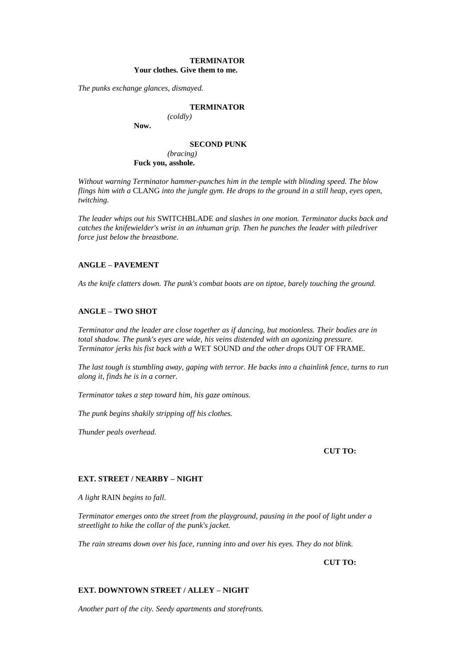# **TERMINATOR Your clothes. Give them to me.**

*The punks exchange glances, dismayed.*

### **TERMINATOR** *(coldly)*

**Now.**

#### **SECOND PUNK**

*(bracing)* **Fuck you, asshole.**

*Without warning Terminator hammer-punches him in the temple with blinding speed. The blow flings him with a* CLANG *into the jungle gym. He drops to the ground in a still heap, eyes open, twitching.*

*The leader whips out his* SWITCHBLADE *and slashes in one motion. Terminator ducks back and catches the knifewielder's wrist in an inhuman grip. Then he punches the leader with piledriver force just below the breastbone.*

# **ANGLE – PAVEMENT**

*As the knife clatters down. The punk's combat boots are on tiptoe, barely touching the ground.*

# **ANGLE – TWO SHOT**

*Terminator and the leader are close together as if dancing, but motionless. Their bodies are in total shadow. The punk's eyes are wide, his veins distended with an agonizing pressure. Terminator jerks his fist back with a* WET SOUND *and the other drops* OUT OF FRAME*.*

*The last tough is stumbling away, gaping with terror. He backs into a chainlink fence, turns to run along it, finds he is in a corner.*

*Terminator takes a step toward him, his gaze ominous.*

*The punk begins shakily stripping off his clothes.*

*Thunder peals overhead.*

### **CUT TO:**

### **EXT. STREET / NEARBY – NIGHT**

*A light* RAIN *begins to fall.*

*Terminator emerges onto the street from the playground, pausing in the pool of light under a streetlight to hike the collar of the punk's jacket.*

*The rain streams down over his face, running into and over his eyes. They do not blink.*

**CUT TO:**

# **EXT. DOWNTOWN STREET / ALLEY – NIGHT**

*Another part of the city. Seedy apartments and storefronts.*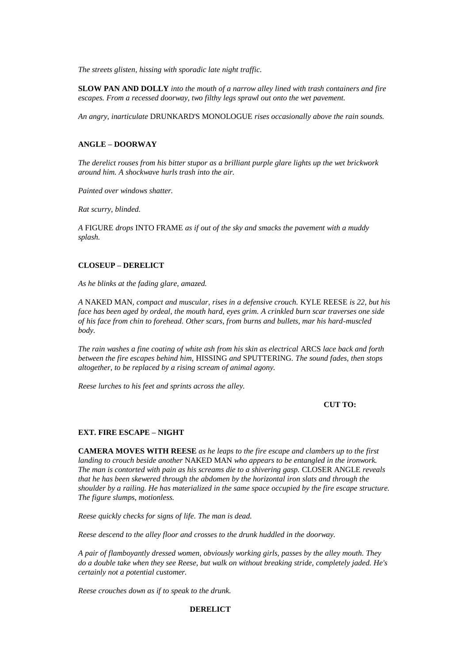*The streets glisten, hissing with sporadic late night traffic.*

**SLOW PAN AND DOLLY** *into the mouth of a narrow alley lined with trash containers and fire escapes. From a recessed doorway, two filthy legs sprawl out onto the wet pavement.*

*An angry, inarticulate* DRUNKARD'S MONOLOGUE *rises occasionally above the rain sounds.*

# **ANGLE – DOORWAY**

*The derelict rouses from his bitter stupor as a brilliant purple glare lights up the wet brickwork around him. A shockwave hurls trash into the air.*

*Painted over windows shatter.*

*Rat scurry, blinded.*

*A* FIGURE *drops* INTO FRAME *as if out of the sky and smacks the pavement with a muddy splash.*

# **CLOSEUP – DERELICT**

*As he blinks at the fading glare, amazed.*

*A* NAKED MAN*, compact and muscular, rises in a defensive crouch.* KYLE REESE *is 22, but his face has been aged by ordeal, the mouth hard, eyes grim. A crinkled burn scar traverses one side of his face from chin to forehead. Other scars, from burns and bullets, mar his hard-muscled body.*

*The rain washes a fine coating of white ash from his skin as electrical* ARCS *lace back and forth between the fire escapes behind him,* HISSING *and* SPUTTERING*. The sound fades, then stops altogether, to be replaced by a rising scream of animal agony.*

*Reese lurches to his feet and sprints across the alley.*

# **CUT TO:**

### **EXT. FIRE ESCAPE – NIGHT**

**CAMERA MOVES WITH REESE** *as he leaps to the fire escape and clambers up to the first landing to crouch beside another* NAKED MAN *who appears to be entangled in the ironwork. The man is contorted with pain as his screams die to a shivering gasp.* CLOSER ANGLE *reveals that he has been skewered through the abdomen by the horizontal iron slats and through the shoulder by a railing. He has materialized in the same space occupied by the fire escape structure. The figure slumps, motionless.*

*Reese quickly checks for signs of life. The man is dead.*

*Reese descend to the alley floor and crosses to the drunk huddled in the doorway.*

*A pair of flamboyantly dressed women, obviously working girls, passes by the alley mouth. They do a double take when they see Reese, but walk on without breaking stride, completely jaded. He's certainly not a potential customer.*

*Reese crouches down as if to speak to the drunk.*

# **DERELICT**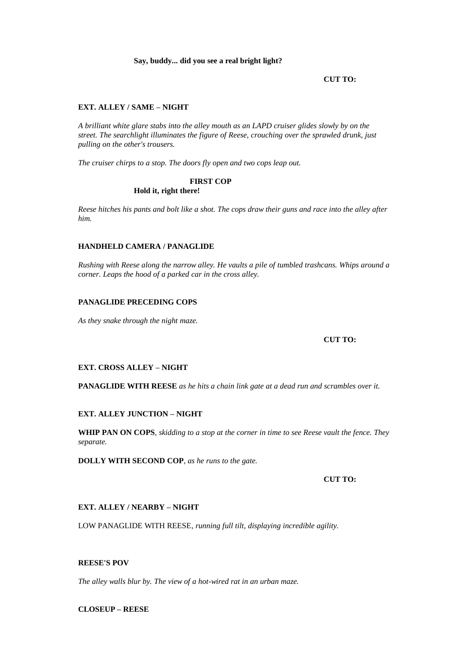# **Say, buddy... did you see a real bright light?**

**CUT TO:**

# **EXT. ALLEY / SAME – NIGHT**

*A brilliant white glare stabs into the alley mouth as an LAPD cruiser glides slowly by on the street. The searchlight illuminates the figure of Reese, crouching over the sprawled drunk, just pulling on the other's trousers.*

*The cruiser chirps to a stop. The doors fly open and two cops leap out.*

# **FIRST COP Hold it, right there!**

*Reese hitches his pants and bolt like a shot. The cops draw their guns and race into the alley after him.*

# **HANDHELD CAMERA / PANAGLIDE**

*Rushing with Reese along the narrow alley. He vaults a pile of tumbled trashcans. Whips around a corner. Leaps the hood of a parked car in the cross alley.*

# **PANAGLIDE PRECEDING COPS**

*As they snake through the night maze.*

# **CUT TO:**

# **EXT. CROSS ALLEY – NIGHT**

**PANAGLIDE WITH REESE** *as he hits a chain link gate at a dead run and scrambles over it.*

# **EXT. ALLEY JUNCTION – NIGHT**

**WHIP PAN ON COPS***, skidding to a stop at the corner in time to see Reese vault the fence. They separate.*

**DOLLY WITH SECOND COP***, as he runs to the gate.*

**CUT TO:**

# **EXT. ALLEY / NEARBY – NIGHT**

LOW PANAGLIDE WITH REESE*, running full tilt, displaying incredible agility.*

# **REESE'S POV**

*The alley walls blur by. The view of a hot-wired rat in an urban maze.*

**CLOSEUP – REESE**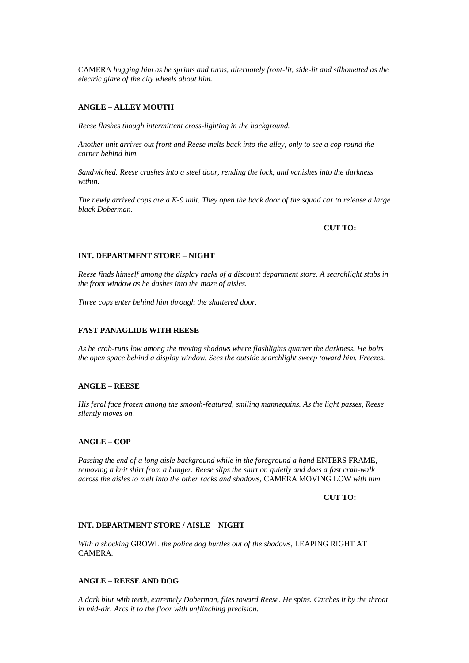CAMERA *hugging him as he sprints and turns, alternately front-lit, side-lit and silhouetted as the electric glare of the city wheels about him.*

# **ANGLE – ALLEY MOUTH**

*Reese flashes though intermittent cross-lighting in the background.*

*Another unit arrives out front and Reese melts back into the alley, only to see a cop round the corner behind him.*

*Sandwiched. Reese crashes into a steel door, rending the lock, and vanishes into the darkness within.*

*The newly arrived cops are a K-9 unit. They open the back door of the squad car to release a large black Doberman.*

### **CUT TO:**

# **INT. DEPARTMENT STORE – NIGHT**

*Reese finds himself among the display racks of a discount department store. A searchlight stabs in the front window as he dashes into the maze of aisles.*

*Three cops enter behind him through the shattered door.*

# **FAST PANAGLIDE WITH REESE**

*As he crab-runs low among the moving shadows where flashlights quarter the darkness. He bolts the open space behind a display window. Sees the outside searchlight sweep toward him. Freezes.*

# **ANGLE – REESE**

*His feral face frozen among the smooth-featured, smiling mannequins. As the light passes, Reese silently moves on.*

### **ANGLE – COP**

*Passing the end of a long aisle background while in the foreground a hand ENTERS FRAME, removing a knit shirt from a hanger. Reese slips the shirt on quietly and does a fast crab-walk across the aisles to melt into the other racks and shadows,* CAMERA MOVING LOW *with him.*

**CUT TO:**

### **INT. DEPARTMENT STORE / AISLE – NIGHT**

*With a shocking* GROWL *the police dog hurtles out of the shadows,* LEAPING RIGHT AT CAMERA*.*

### **ANGLE – REESE AND DOG**

*A dark blur with teeth, extremely Doberman, flies toward Reese. He spins. Catches it by the throat in mid-air. Arcs it to the floor with unflinching precision.*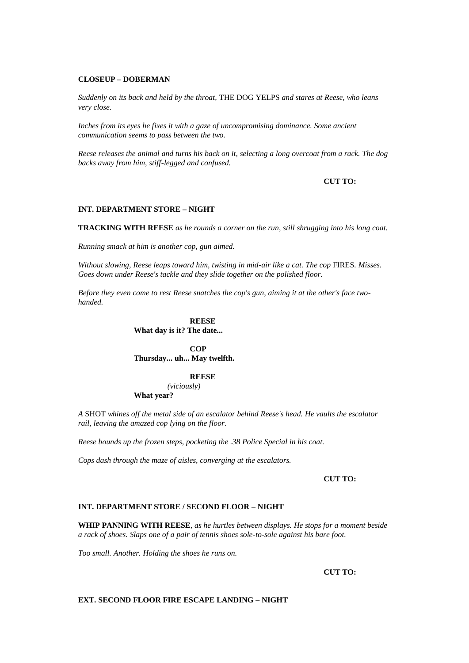# **CLOSEUP – DOBERMAN**

*Suddenly on its back and held by the throat,* THE DOG YELPS *and stares at Reese, who leans very close.*

*Inches from its eyes he fixes it with a gaze of uncompromising dominance. Some ancient communication seems to pass between the two.*

*Reese releases the animal and turns his back on it, selecting a long overcoat from a rack. The dog backs away from him, stiff-legged and confused.*

# **CUT TO:**

# **INT. DEPARTMENT STORE – NIGHT**

**TRACKING WITH REESE** *as he rounds a corner on the run, still shrugging into his long coat.*

*Running smack at him is another cop, gun aimed.*

*Without slowing, Reese leaps toward him, twisting in mid-air like a cat. The cop FIRES. Misses. Goes down under Reese's tackle and they slide together on the polished floor.*

*Before they even come to rest Reese snatches the cop's gun, aiming it at the other's face twohanded.*

> **REESE What day is it? The date...**

**COP Thursday... uh... May twelfth.**

### **REESE**

*(viciously)* **What year?**

*A* SHOT *whines off the metal side of an escalator behind Reese's head. He vaults the escalator rail, leaving the amazed cop lying on the floor.*

*Reese bounds up the frozen steps, pocketing the .38 Police Special in his coat.*

*Cops dash through the maze of aisles, converging at the escalators.*

# **CUT TO:**

### **INT. DEPARTMENT STORE / SECOND FLOOR – NIGHT**

**WHIP PANNING WITH REESE***, as he hurtles between displays. He stops for a moment beside a rack of shoes. Slaps one of a pair of tennis shoes sole-to-sole against his bare foot.*

*Too small. Another. Holding the shoes he runs on.*

### **CUT TO:**

# **EXT. SECOND FLOOR FIRE ESCAPE LANDING – NIGHT**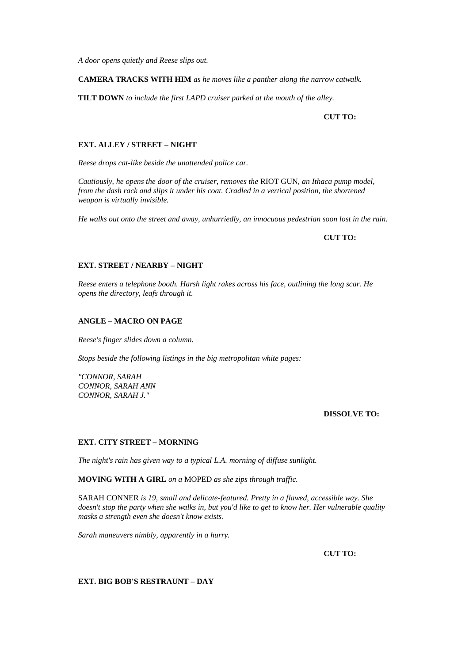*A door opens quietly and Reese slips out.*

# **CAMERA TRACKS WITH HIM** *as he moves like a panther along the narrow catwalk.*

**TILT DOWN** *to include the first LAPD cruiser parked at the mouth of the alley.*

# **CUT TO:**

# **EXT. ALLEY / STREET – NIGHT**

*Reese drops cat-like beside the unattended police car.*

*Cautiously, he opens the door of the cruiser, removes the* RIOT GUN*, an Ithaca pump model, from the dash rack and slips it under his coat. Cradled in a vertical position, the shortened weapon is virtually invisible.*

*He walks out onto the street and away, unhurriedly, an innocuous pedestrian soon lost in the rain.*

**CUT TO:**

# **EXT. STREET / NEARBY – NIGHT**

*Reese enters a telephone booth. Harsh light rakes across his face, outlining the long scar. He opens the directory, leafs through it.*

### **ANGLE – MACRO ON PAGE**

*Reese's finger slides down a column.*

*Stops beside the following listings in the big metropolitan white pages:*

*"CONNOR, SARAH CONNOR, SARAH ANN CONNOR, SARAH J."*

# **DISSOLVE TO:**

### **EXT. CITY STREET – MORNING**

*The night's rain has given way to a typical L.A. morning of diffuse sunlight.*

**MOVING WITH A GIRL** *on a* MOPED *as she zips through traffic.*

SARAH CONNER *is 19, small and delicate-featured. Pretty in a flawed, accessible way. She doesn't stop the party when she walks in, but you'd like to get to know her. Her vulnerable quality masks a strength even she doesn't know exists.*

*Sarah maneuvers nimbly, apparently in a hurry.*

**CUT TO:**

**EXT. BIG BOB'S RESTRAUNT – DAY**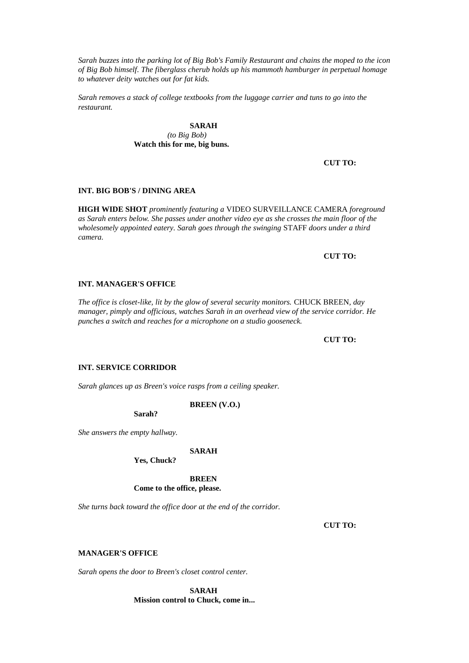*Sarah buzzes into the parking lot of Big Bob's Family Restaurant and chains the moped to the icon of Big Bob himself. The fiberglass cherub holds up his mammoth hamburger in perpetual homage to whatever deity watches out for fat kids.*

*Sarah removes a stack of college textbooks from the luggage carrier and tuns to go into the restaurant.*

> **SARAH** *(to Big Bob)* **Watch this for me, big buns.**

> > **CUT TO:**

# **INT. BIG BOB'S / DINING AREA**

**HIGH WIDE SHOT** *prominently featuring a* VIDEO SURVEILLANCE CAMERA *foreground as Sarah enters below. She passes under another video eye as she crosses the main floor of the wholesomely appointed eatery. Sarah goes through the swinging* STAFF *doors under a third camera.*

# **CUT TO:**

# **INT. MANAGER'S OFFICE**

*The office is closet-like, lit by the glow of several security monitors.* CHUCK BREEN*, day manager, pimply and officious, watches Sarah in an overhead view of the service corridor. He punches a switch and reaches for a microphone on a studio gooseneck.*

# **CUT TO:**

# **INT. SERVICE CORRIDOR**

*Sarah glances up as Breen's voice rasps from a ceiling speaker.*

**BREEN (V.O.)**

**Sarah?**

*She answers the empty hallway.*

### **SARAH**

**Yes, Chuck?**

**BREEN Come to the office, please.**

*She turns back toward the office door at the end of the corridor.*

**CUT TO:**

# **MANAGER'S OFFICE**

*Sarah opens the door to Breen's closet control center.*

**SARAH Mission control to Chuck, come in...**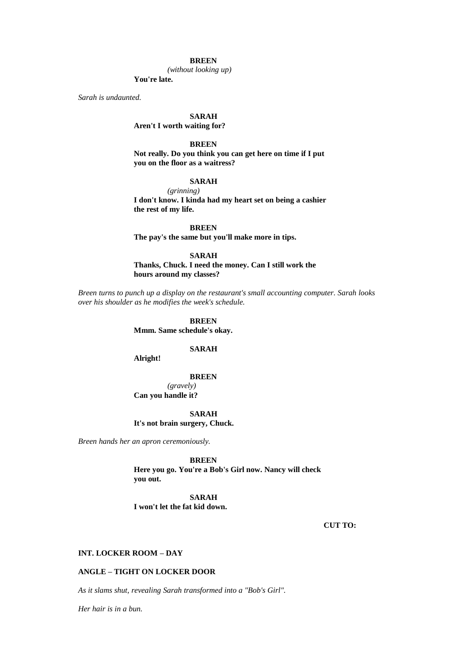# **BREEN**

*(without looking up)*

**You're late.**

*Sarah is undaunted.*

### **SARAH**

**Aren't I worth waiting for?**

# **BREEN**

**Not really. Do you think you can get here on time if I put you on the floor as a waitress?**

# **SARAH**

*(grinning)* **I don't know. I kinda had my heart set on being a cashier the rest of my life.**

**BREEN The pay's the same but you'll make more in tips.**

**SARAH**

**Thanks, Chuck. I need the money. Can I still work the hours around my classes?**

*Breen turns to punch up a display on the restaurant's small accounting computer. Sarah looks over his shoulder as he modifies the week's schedule.*

> **BREEN Mmm. Same schedule's okay.**

#### **SARAH**

**Alright!**

# **BREEN**

*(gravely)* **Can you handle it?**

**SARAH It's not brain surgery, Chuck.**

*Breen hands her an apron ceremoniously.*

**BREEN**

**Here you go. You're a Bob's Girl now. Nancy will check you out.**

**SARAH I won't let the fat kid down.**

**CUT TO:**

# **INT. LOCKER ROOM – DAY**

### **ANGLE – TIGHT ON LOCKER DOOR**

*As it slams shut, revealing Sarah transformed into a "Bob's Girl".*

*Her hair is in a bun.*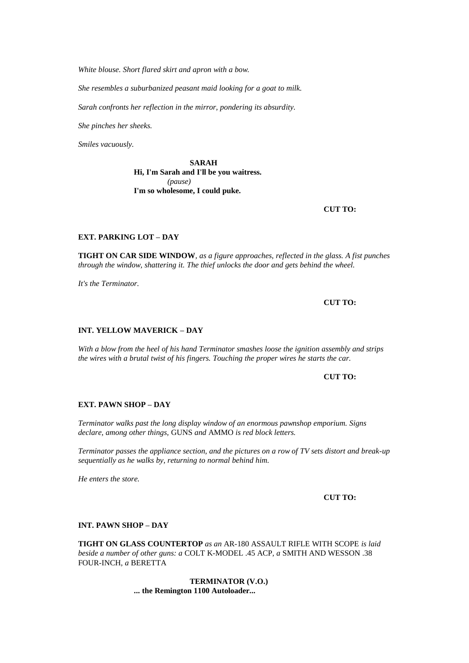*White blouse. Short flared skirt and apron with a bow.*

*She resembles a suburbanized peasant maid looking for a goat to milk.*

*Sarah confronts her reflection in the mirror, pondering its absurdity.*

*She pinches her sheeks.*

*Smiles vacuously.*

**SARAH Hi, I'm Sarah and I'll be you waitress.** *(pause)* **I'm so wholesome, I could puke.**

**CUT TO:**

# **EXT. PARKING LOT – DAY**

**TIGHT ON CAR SIDE WINDOW***, as a figure approaches, reflected in the glass. A fist punches through the window, shattering it. The thief unlocks the door and gets behind the wheel.*

*It's the Terminator.*

**CUT TO:**

# **INT. YELLOW MAVERICK – DAY**

*With a blow from the heel of his hand Terminator smashes loose the ignition assembly and strips the wires with a brutal twist of his fingers. Touching the proper wires he starts the car.*

# **CUT TO:**

### **EXT. PAWN SHOP – DAY**

*Terminator walks past the long display window of an enormous pawnshop emporium. Signs declare, among other things,* GUNS *and* AMMO *is red block letters.*

*Terminator passes the appliance section, and the pictures on a row of TV sets distort and break-up sequentially as he walks by, returning to normal behind him.*

*He enters the store.*

**CUT TO:**

#### **INT. PAWN SHOP – DAY**

**TIGHT ON GLASS COUNTERTOP** *as an* AR-180 ASSAULT RIFLE WITH SCOPE *is laid beside a number of other guns: a* COLT K-MODEL .45 ACP*, a* SMITH AND WESSON .38 FOUR-INCH*, a* BERETTA

> **TERMINATOR (V.O.) ... the Remington 1100 Autoloader...**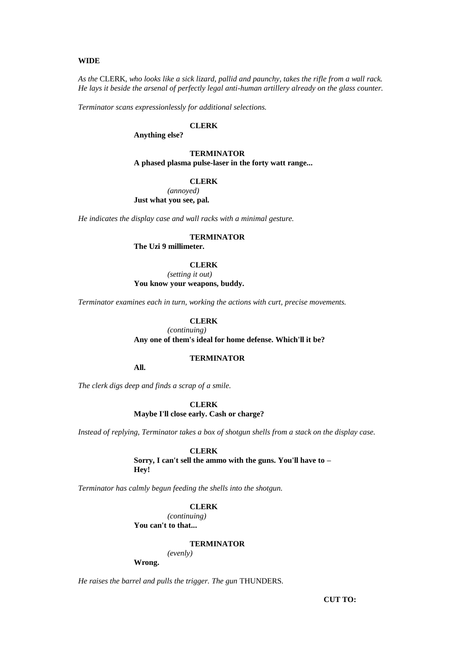### **WIDE**

*As the* CLERK*, who looks like a sick lizard, pallid and paunchy, takes the rifle from a wall rack. He lays it beside the arsenal of perfectly legal anti-human artillery already on the glass counter.*

*Terminator scans expressionlessly for additional selections.*

### **CLERK**

**Anything else?**

**TERMINATOR A phased plasma pulse-laser in the forty watt range...** 

#### **CLERK**

*(annoyed)* **Just what you see, pal.**

*He indicates the display case and wall racks with a minimal gesture.*

# **TERMINATOR**

**The Uzi 9 millimeter.**

# **CLERK**

*(setting it out)* **You know your weapons, buddy.**

*Terminator examines each in turn, working the actions with curt, precise movements.*

# **CLERK**

*(continuing)* **Any one of them's ideal for home defense. Which'll it be?**

### **TERMINATOR**

**All.**

*The clerk digs deep and finds a scrap of a smile.*

**CLERK Maybe I'll close early. Cash or charge?**

*Instead of replying, Terminator takes a box of shotgun shells from a stack on the display case.*

**CLERK**

**Sorry, I can't sell the ammo with the guns. You'll have to – Hey!**

*Terminator has calmly begun feeding the shells into the shotgun.*

#### **CLERK**

*(continuing)* **You can't to that...** 

#### **TERMINATOR**

*(evenly)* **Wrong.**

*He raises the barrel and pulls the trigger. The gun* THUNDERS*.*

**CUT TO:**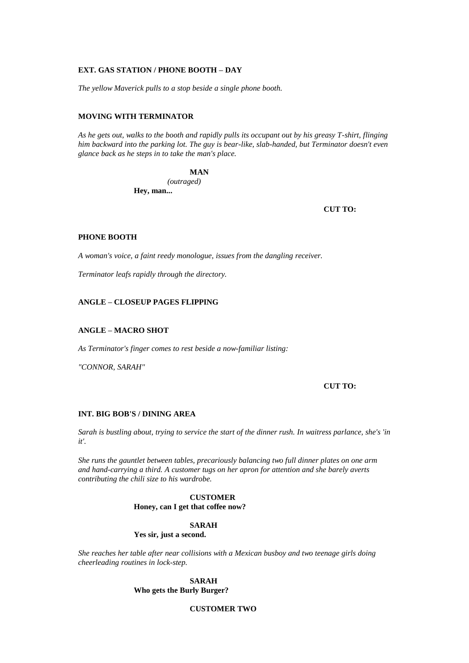### **EXT. GAS STATION / PHONE BOOTH – DAY**

*The yellow Maverick pulls to a stop beside a single phone booth.*

# **MOVING WITH TERMINATOR**

*As he gets out, walks to the booth and rapidly pulls its occupant out by his greasy T-shirt, flinging him backward into the parking lot. The guy is bear-like, slab-handed, but Terminator doesn't even glance back as he steps in to take the man's place.*

#### **MAN**

*(outraged)* **Hey, man...** 

**CUT TO:**

# **PHONE BOOTH**

*A woman's voice, a faint reedy monologue, issues from the dangling receiver.*

*Terminator leafs rapidly through the directory.*

# **ANGLE – CLOSEUP PAGES FLIPPING**

# **ANGLE – MACRO SHOT**

*As Terminator's finger comes to rest beside a now-familiar listing:*

*"CONNOR, SARAH"*

# **CUT TO:**

#### **INT. BIG BOB'S / DINING AREA**

*Sarah is bustling about, trying to service the start of the dinner rush. In waitress parlance, she's 'in it'.*

*She runs the gauntlet between tables, precariously balancing two full dinner plates on one arm and hand-carrying a third. A customer tugs on her apron for attention and she barely averts contributing the chili size to his wardrobe.*

# **CUSTOMER Honey, can I get that coffee now?**

### **SARAH Yes sir, just a second.**

*She reaches her table after near collisions with a Mexican busboy and two teenage girls doing cheerleading routines in lock-step.*

> **SARAH Who gets the Burly Burger?**

# **CUSTOMER TWO**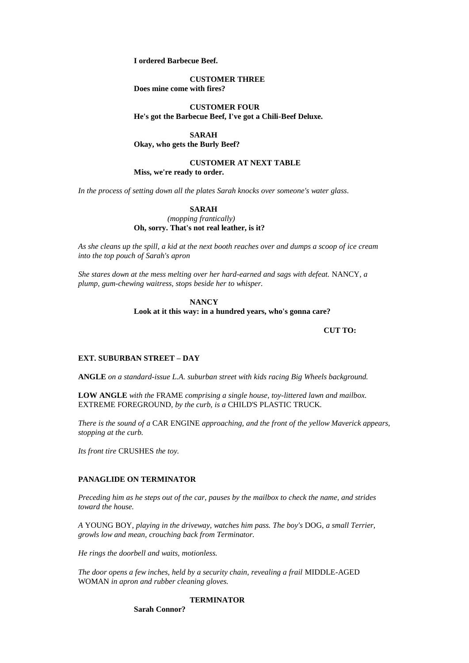**I ordered Barbecue Beef.**

**CUSTOMER THREE Does mine come with fires?**

**CUSTOMER FOUR He's got the Barbecue Beef, I've got a Chili-Beef Deluxe.**

**SARAH**

**Okay, who gets the Burly Beef?**

# **CUSTOMER AT NEXT TABLE**

**Miss, we're ready to order.**

*In the process of setting down all the plates Sarah knocks over someone's water glass.*

### **SARAH**

*(mopping frantically)* **Oh, sorry. That's not real leather, is it?**

*As she cleans up the spill, a kid at the next booth reaches over and dumps a scoop of ice cream into the top pouch of Sarah's apron*

*She stares down at the mess melting over her hard-earned and sags with defeat.* NANCY*, a plump, gum-chewing waitress, stops beside her to whisper.*

# **NANCY Look at it this way: in a hundred years, who's gonna care?**

**CUT TO:**

### **EXT. SUBURBAN STREET – DAY**

**ANGLE** *on a standard-issue L.A. suburban street with kids racing Big Wheels background.*

**LOW ANGLE** *with the* FRAME *comprising a single house, toy-littered lawn and mailbox.*  EXTREME FOREGROUND*, by the curb, is a* CHILD'S PLASTIC TRUCK*.*

*There is the sound of a* CAR ENGINE *approaching, and the front of the yellow Maverick appears, stopping at the curb.*

*Its front tire* CRUSHES *the toy.*

# **PANAGLIDE ON TERMINATOR**

*Preceding him as he steps out of the car, pauses by the mailbox to check the name, and strides toward the house.*

*A* YOUNG BOY*, playing in the driveway, watches him pass. The boy's* DOG*, a small Terrier, growls low and mean, crouching back from Terminator.*

*He rings the doorbell and waits, motionless.*

*The door opens a few inches, held by a security chain, revealing a frail* MIDDLE-AGED WOMAN *in apron and rubber cleaning gloves.*

# **TERMINATOR**

**Sarah Connor?**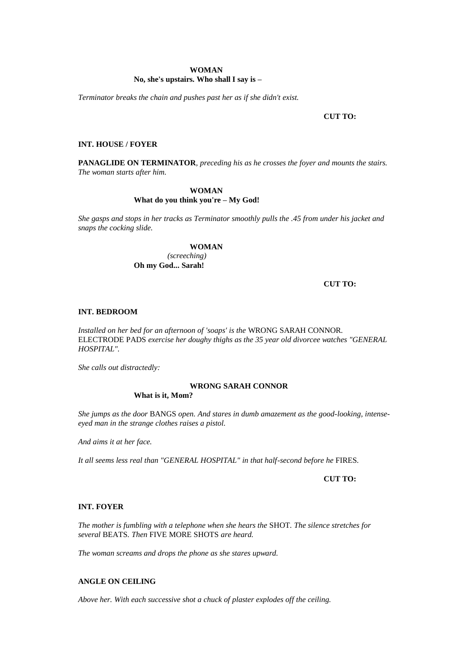#### **WOMAN**

#### **No, she's upstairs. Who shall I say is –**

*Terminator breaks the chain and pushes past her as if she didn't exist.*

#### **CUT TO:**

# **INT. HOUSE / FOYER**

**PANAGLIDE ON TERMINATOR***, preceding his as he crosses the foyer and mounts the stairs. The woman starts after him.*

# **WOMAN**

# **What do you think you're – My God!**

*She gasps and stops in her tracks as Terminator smoothly pulls the .45 from under his jacket and snaps the cocking slide.*

# **WOMAN**

*(screeching)* **Oh my God... Sarah!**

# **CUT TO:**

# **INT. BEDROOM**

*Installed on her bed for an afternoon of 'soaps' is the* WRONG SARAH CONNOR*.*  ELECTRODE PADS *exercise her doughy thighs as the 35 year old divorcee watches "GENERAL HOSPITAL".*

*She calls out distractedly:*

# **WRONG SARAH CONNOR**

**What is it, Mom?**

*She jumps as the door* BANGS *open. And stares in dumb amazement as the good-looking, intenseeyed man in the strange clothes raises a pistol.*

*And aims it at her face.*

*It all seems less real than "GENERAL HOSPITAL" in that half-second before he* FIRES*.*

**CUT TO:**

# **INT. FOYER**

*The mother is fumbling with a telephone when she hears the* SHOT*. The silence stretches for several* BEATS*. Then* FIVE MORE SHOTS *are heard.*

*The woman screams and drops the phone as she stares upward.*

### **ANGLE ON CEILING**

*Above her. With each successive shot a chuck of plaster explodes off the ceiling.*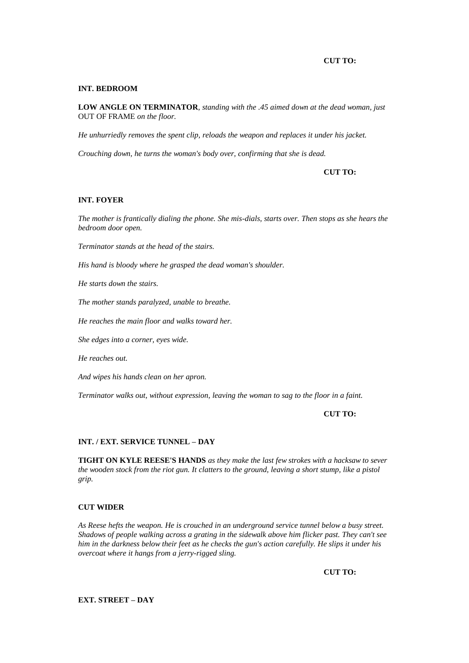# **CUT TO:**

### **INT. BEDROOM**

**LOW ANGLE ON TERMINATOR***, standing with the .45 aimed down at the dead woman, just*  OUT OF FRAME *on the floor.*

*He unhurriedly removes the spent clip, reloads the weapon and replaces it under his jacket.*

*Crouching down, he turns the woman's body over, confirming that she is dead.*

# **CUT TO:**

# **INT. FOYER**

*The mother is frantically dialing the phone. She mis-dials, starts over. Then stops as she hears the bedroom door open.*

*Terminator stands at the head of the stairs.*

*His hand is bloody where he grasped the dead woman's shoulder.*

*He starts down the stairs.*

*The mother stands paralyzed, unable to breathe.*

*He reaches the main floor and walks toward her.*

*She edges into a corner, eyes wide.*

*He reaches out.*

*And wipes his hands clean on her apron.*

*Terminator walks out, without expression, leaving the woman to sag to the floor in a faint.*

**CUT TO:**

#### **INT. / EXT. SERVICE TUNNEL – DAY**

**TIGHT ON KYLE REESE'S HANDS** *as they make the last few strokes with a hacksaw to sever the wooden stock from the riot gun. It clatters to the ground, leaving a short stump, like a pistol grip.*

# **CUT WIDER**

*As Reese hefts the weapon. He is crouched in an underground service tunnel below a busy street. Shadows of people walking across a grating in the sidewalk above him flicker past. They can't see him in the darkness below their feet as he checks the gun's action carefully. He slips it under his overcoat where it hangs from a jerry-rigged sling.*

**CUT TO:**

**EXT. STREET – DAY**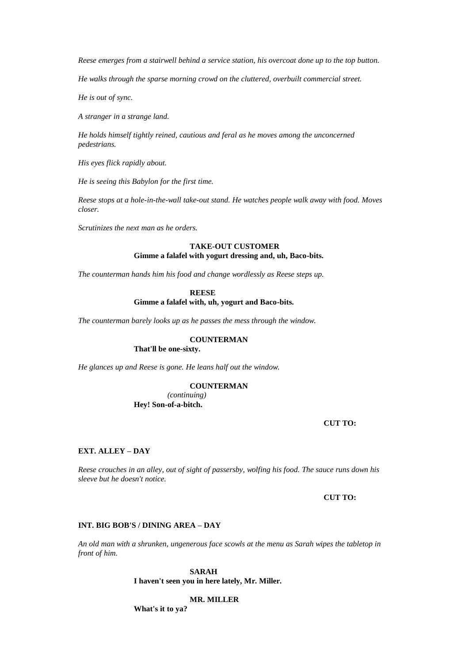*Reese emerges from a stairwell behind a service station, his overcoat done up to the top button.*

*He walks through the sparse morning crowd on the cluttered, overbuilt commercial street.*

*He is out of sync.*

*A stranger in a strange land.*

*He holds himself tightly reined, cautious and feral as he moves among the unconcerned pedestrians.*

*His eyes flick rapidly about.*

*He is seeing this Babylon for the first time.*

*Reese stops at a hole-in-the-wall take-out stand. He watches people walk away with food. Moves closer.*

*Scrutinizes the next man as he orders.*

# **TAKE-OUT CUSTOMER Gimme a falafel with yogurt dressing and, uh, Baco-bits.**

*The counterman hands him his food and change wordlessly as Reese steps up.*

# **REESE Gimme a falafel with, uh, yogurt and Baco-bits.**

*The counterman barely looks up as he passes the mess through the window.*

# **COUNTERMAN**

# **That'll be one-sixty.**

*He glances up and Reese is gone. He leans half out the window.*

# **COUNTERMAN**

*(continuing)* **Hey! Son-of-a-bitch.**

### **CUT TO:**

#### **EXT. ALLEY – DAY**

*Reese crouches in an alley, out of sight of passersby, wolfing his food. The sauce runs down his sleeve but he doesn't notice.*

**CUT TO:**

# **INT. BIG BOB'S / DINING AREA – DAY**

*An old man with a shrunken, ungenerous face scowls at the menu as Sarah wipes the tabletop in front of him.*

# **SARAH I haven't seen you in here lately, Mr. Miller.**

### **MR. MILLER**

**What's it to ya?**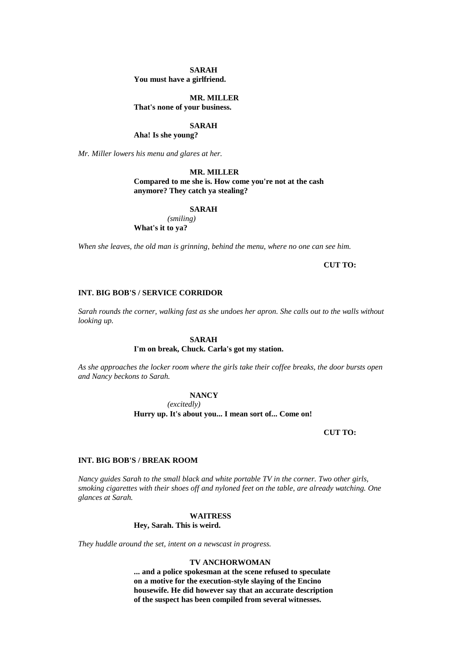#### **SARAH**

**You must have a girlfriend.**

# **MR. MILLER**

**That's none of your business.**

# **SARAH**

**Aha! Is she young?**

*Mr. Miller lowers his menu and glares at her.*

#### **MR. MILLER**

# **Compared to me she is. How come you're not at the cash anymore? They catch ya stealing?**

#### **SARAH**

*(smiling)* **What's it to ya?**

*When she leaves, the old man is grinning, behind the menu, where no one can see him.*

# **CUT TO:**

# **INT. BIG BOB'S / SERVICE CORRIDOR**

*Sarah rounds the corner, walking fast as she undoes her apron. She calls out to the walls without looking up.*

#### **SARAH**

# **I'm on break, Chuck. Carla's got my station.**

*As she approaches the locker room where the girls take their coffee breaks, the door bursts open and Nancy beckons to Sarah.*

### **NANCY**

*(excitedly)*

**Hurry up. It's about you... I mean sort of... Come on!**

### **CUT TO:**

### **INT. BIG BOB'S / BREAK ROOM**

*Nancy guides Sarah to the small black and white portable TV in the corner. Two other girls, smoking cigarettes with their shoes off and nyloned feet on the table, are already watching. One glances at Sarah.*

### **WAITRESS Hey, Sarah. This is weird.**

*They huddle around the set, intent on a newscast in progress.*

### **TV ANCHORWOMAN**

**... and a police spokesman at the scene refused to speculate on a motive for the execution-style slaying of the Encino housewife. He did however say that an accurate description of the suspect has been compiled from several witnesses.**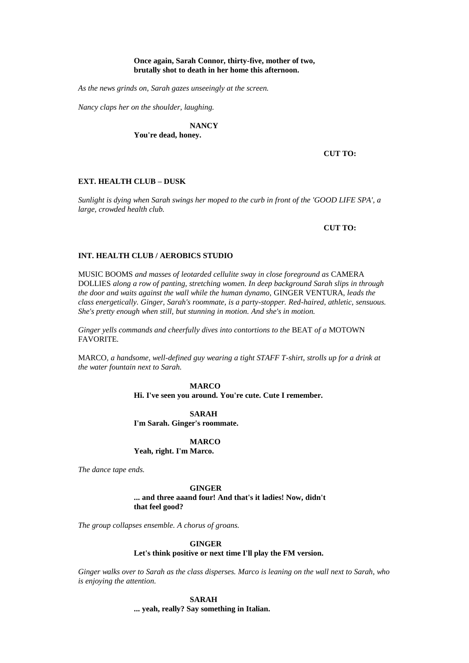### **Once again, Sarah Connor, thirty-five, mother of two, brutally shot to death in her home this afternoon.**

*As the news grinds on, Sarah gazes unseeingly at the screen.*

*Nancy claps her on the shoulder, laughing.*

# **NANCY**

**You're dead, honey.**

# **CUT TO:**

### **EXT. HEALTH CLUB – DUSK**

*Sunlight is dying when Sarah swings her moped to the curb in front of the 'GOOD LIFE SPA', a large, crowded health club.*

#### **CUT TO:**

### **INT. HEALTH CLUB / AEROBICS STUDIO**

MUSIC BOOMS *and masses of leotarded cellulite sway in close foreground as* CAMERA DOLLIES *along a row of panting, stretching women. In deep background Sarah slips in through the door and waits against the wall while the human dynamo,* GINGER VENTURA*, leads the class energetically. Ginger, Sarah's roommate, is a party-stopper. Red-haired, athletic, sensuous. She's pretty enough when still, but stunning in motion. And she's in motion.*

*Ginger yells commands and cheerfully dives into contortions to the* BEAT *of a* MOTOWN FAVORITE*.*

MARCO*, a handsome, well-defined guy wearing a tight STAFF T-shirt, strolls up for a drink at the water fountain next to Sarah.*

**MARCO**

**Hi. I've seen you around. You're cute. Cute I remember.**

**SARAH I'm Sarah. Ginger's roommate.**

**MARCO Yeah, right. I'm Marco.**

*The dance tape ends.*

**GINGER ... and three aaand four! And that's it ladies! Now, didn't that feel good?**

*The group collapses ensemble. A chorus of groans.*

**GINGER**

#### **Let's think positive or next time I'll play the FM version.**

*Ginger walks over to Sarah as the class disperses. Marco is leaning on the wall next to Sarah, who is enjoying the attention.*

> **SARAH ... yeah, really? Say something in Italian.**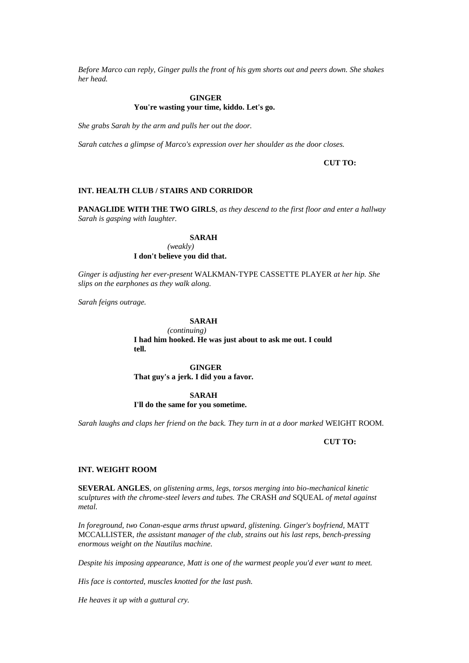*Before Marco can reply, Ginger pulls the front of his gym shorts out and peers down. She shakes her head.*

# **GINGER You're wasting your time, kiddo. Let's go.**

*She grabs Sarah by the arm and pulls her out the door.*

*Sarah catches a glimpse of Marco's expression over her shoulder as the door closes.*

# **CUT TO:**

### **INT. HEALTH CLUB / STAIRS AND CORRIDOR**

**PANAGLIDE WITH THE TWO GIRLS***, as they descend to the first floor and enter a hallway Sarah is gasping with laughter.*

#### **SARAH**

*(weakly)* **I don't believe you did that.**

*Ginger is adjusting her ever-present* WALKMAN-TYPE CASSETTE PLAYER *at her hip. She slips on the earphones as they walk along.*

*Sarah feigns outrage.*

# **SARAH**

*(continuing)* **I had him hooked. He was just about to ask me out. I could tell.** 

**GINGER That guy's a jerk. I did you a favor.**

#### **SARAH**

# **I'll do the same for you sometime.**

*Sarah laughs and claps her friend on the back. They turn in at a door marked* WEIGHT ROOM*.*

### **CUT TO:**

### **INT. WEIGHT ROOM**

**SEVERAL ANGLES***, on glistening arms, legs, torsos merging into bio-mechanical kinetic sculptures with the chrome-steel levers and tubes. The* CRASH *and* SQUEAL *of metal against metal.*

In foreground, two Conan-esque arms thrust upward, glistening. Ginger's boyfriend, MATT MCCALLISTER*, the assistant manager of the club, strains out his last reps, bench-pressing enormous weight on the Nautilus machine.*

*Despite his imposing appearance, Matt is one of the warmest people you'd ever want to meet.*

*His face is contorted, muscles knotted for the last push.*

*He heaves it up with a guttural cry.*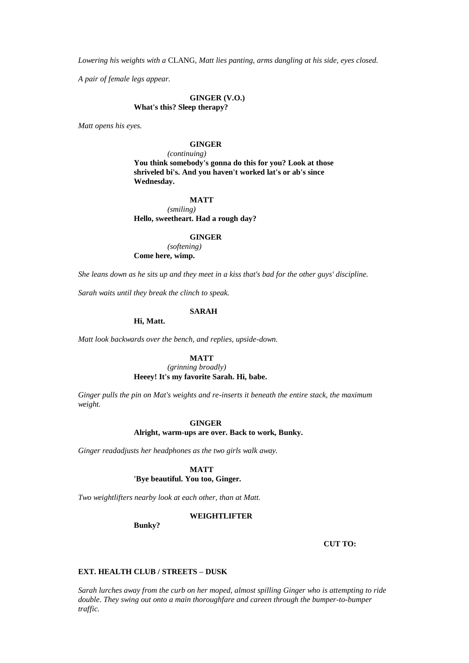*Lowering his weights with a* CLANG*, Matt lies panting, arms dangling at his side, eyes closed.*

*A pair of female legs appear.*

# **GINGER (V.O.) What's this? Sleep therapy?**

*Matt opens his eyes.*

# **GINGER**

*(continuing)*

**You think somebody's gonna do this for you? Look at those shriveled bi's. And you haven't worked lat's or ab's since Wednesday.**

# **MATT**

*(smiling)* **Hello, sweetheart. Had a rough day?**

# **GINGER**

*(softening)* **Come here, wimp.**

*She leans down as he sits up and they meet in a kiss that's bad for the other guys' discipline.*

*Sarah waits until they break the clinch to speak.*

### **SARAH**

**Hi, Matt.**

*Matt look backwards over the bench, and replies, upside-down.*

### **MATT**

# *(grinning broadly)* **Heeey! It's my favorite Sarah. Hi, babe.**

*Ginger pulls the pin on Mat's weights and re-inserts it beneath the entire stack, the maximum weight.*

#### **GINGER**

#### **Alright, warm-ups are over. Back to work, Bunky.**

*Ginger readadjusts her headphones as the two girls walk away.*

**MATT**

# **'Bye beautiful. You too, Ginger.**

*Two weightlifters nearby look at each other, than at Matt.*

#### **WEIGHTLIFTER**

**Bunky?**

**CUT TO:**

# **EXT. HEALTH CLUB / STREETS – DUSK**

*Sarah lurches away from the curb on her moped, almost spilling Ginger who is attempting to ride double. They swing out onto a main thoroughfare and careen through the bumper-to-bumper traffic.*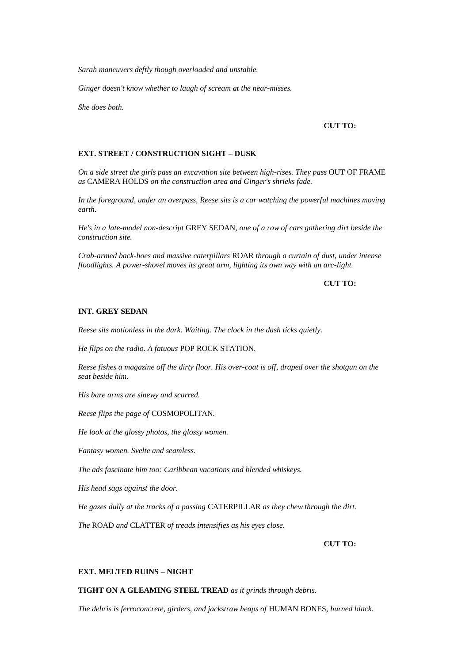*Sarah maneuvers deftly though overloaded and unstable.*

*Ginger doesn't know whether to laugh of scream at the near-misses.*

*She does both.*

### **CUT TO:**

# **EXT. STREET / CONSTRUCTION SIGHT – DUSK**

*On a side street the girls pass an excavation site between high-rises. They pass* OUT OF FRAME *as* CAMERA HOLDS *on the construction area and Ginger's shrieks fade.*

*In the foreground, under an overpass, Reese sits is a car watching the powerful machines moving earth.*

*He's in a late-model non-descript* GREY SEDAN*, one of a row of cars gathering dirt beside the construction site.*

*Crab-armed back-hoes and massive caterpillars* ROAR *through a curtain of dust, under intense floodlights. A power-shovel moves its great arm, lighting its own way with an arc-light.*

# **CUT TO:**

### **INT. GREY SEDAN**

*Reese sits motionless in the dark. Waiting. The clock in the dash ticks quietly.*

*He flips on the radio. A fatuous* POP ROCK STATION*.*

*Reese fishes a magazine off the dirty floor. His over-coat is off, draped over the shotgun on the seat beside him.*

*His bare arms are sinewy and scarred.*

*Reese flips the page of* COSMOPOLITAN*.*

*He look at the glossy photos, the glossy women.*

*Fantasy women. Svelte and seamless.*

*The ads fascinate him too: Caribbean vacations and blended whiskeys.*

*His head sags against the door.*

*He gazes dully at the tracks of a passing* CATERPILLAR *as they chew through the dirt.*

*The* ROAD *and* CLATTER *of treads intensifies as his eyes close.*

# **CUT TO:**

# **EXT. MELTED RUINS – NIGHT**

# **TIGHT ON A GLEAMING STEEL TREAD** *as it grinds through debris.*

*The debris is ferroconcrete, girders, and jackstraw heaps of* HUMAN BONES*, burned black.*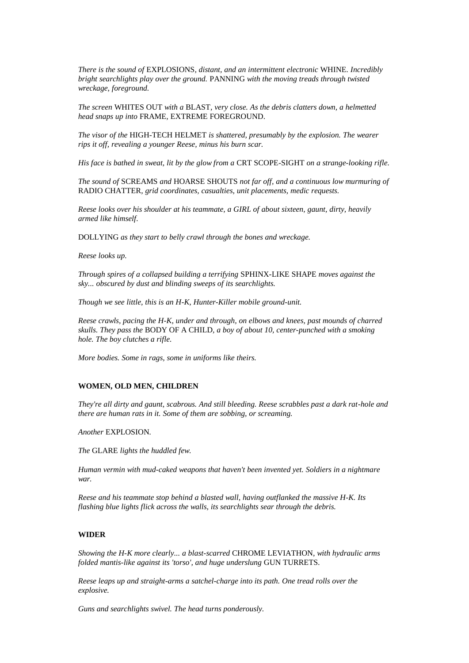*There is the sound of* EXPLOSIONS*, distant, and an intermittent electronic* WHINE*. Incredibly bright searchlights play over the ground.* PANNING *with the moving treads through twisted wreckage, foreground.*

*The screen* WHITES OUT *with a* BLAST*, very close. As the debris clatters down, a helmetted head snaps up into* FRAME*,* EXTREME FOREGROUND.

*The visor of the* HIGH-TECH HELMET *is shattered, presumably by the explosion. The wearer rips it off, revealing a younger Reese, minus his burn scar.*

*His face is bathed in sweat, lit by the glow from a* CRT SCOPE-SIGHT *on a strange-looking rifle.*

*The sound of* SCREAMS *and* HOARSE SHOUTS *not far off, and a continuous low murmuring of*  RADIO CHATTER*, grid coordinates, casualties, unit placements, medic requests.*

*Reese looks over his shoulder at his teammate, a GIRL of about sixteen, gaunt, dirty, heavily armed like himself.*

DOLLYING *as they start to belly crawl through the bones and wreckage.*

*Reese looks up.*

*Through spires of a collapsed building a terrifying* SPHINX-LIKE SHAPE *moves against the sky... obscured by dust and blinding sweeps of its searchlights.*

*Though we see little, this is an H-K, Hunter-Killer mobile ground-unit.*

*Reese crawls, pacing the H-K, under and through, on elbows and knees, past mounds of charred skulls. They pass the* BODY OF A CHILD*, a boy of about 10, center-punched with a smoking hole. The boy clutches a rifle.*

*More bodies. Some in rags, some in uniforms like theirs.*

# **WOMEN, OLD MEN, CHILDREN**

*They're all dirty and gaunt, scabrous. And still bleeding. Reese scrabbles past a dark rat-hole and there are human rats in it. Some of them are sobbing, or screaming.*

*Another* EXPLOSION*.*

*The* GLARE *lights the huddled few.*

*Human vermin with mud-caked weapons that haven't been invented yet. Soldiers in a nightmare war.*

*Reese and his teammate stop behind a blasted wall, having outflanked the massive H-K. Its flashing blue lights flick across the walls, its searchlights sear through the debris.*

#### **WIDER**

*Showing the H-K more clearly... a blast-scarred* CHROME LEVIATHON*, with hydraulic arms folded mantis-like against its 'torso', and huge underslung* GUN TURRETS*.*

*Reese leaps up and straight-arms a satchel-charge into its path. One tread rolls over the explosive.*

*Guns and searchlights swivel. The head turns ponderously.*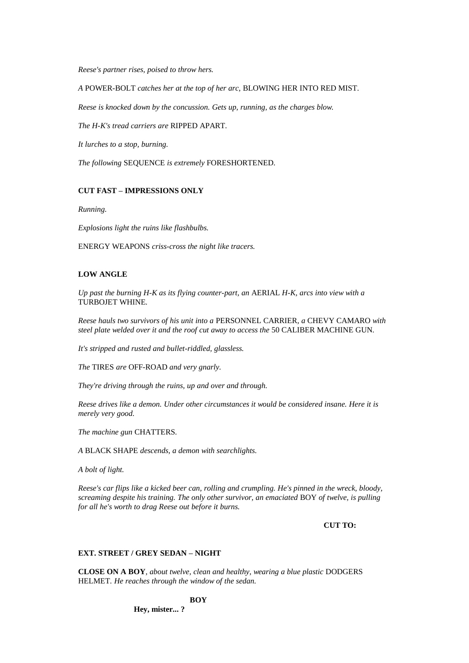*Reese's partner rises, poised to throw hers.*

*A* POWER-BOLT *catches her at the top of her arc,* BLOWING HER INTO RED MIST*.*

*Reese is knocked down by the concussion. Gets up, running, as the charges blow.*

*The H-K's tread carriers are* RIPPED APART*.*

*It lurches to a stop, burning.*

*The following* SEQUENCE *is extremely* FORESHORTENED*.*

# **CUT FAST – IMPRESSIONS ONLY**

*Running.*

*Explosions light the ruins like flashbulbs.*

ENERGY WEAPONS *criss-cross the night like tracers.*

# **LOW ANGLE**

*Up past the burning H-K as its flying counter-part, an* AERIAL *H-K, arcs into view with a*  TURBOJET WHINE*.*

*Reese hauls two survivors of his unit into a* PERSONNEL CARRIER*, a* CHEVY CAMARO *with steel plate welded over it and the roof cut away to access the* 50 CALIBER MACHINE GUN*.*

*It's stripped and rusted and bullet-riddled, glassless.*

*The* TIRES *are* OFF-ROAD *and very gnarly.*

*They're driving through the ruins, up and over and through.*

*Reese drives like a demon. Under other circumstances it would be considered insane. Here it is merely very good.*

*The machine gun* CHATTERS*.*

*A* BLACK SHAPE *descends, a demon with searchlights.*

*A bolt of light.*

*Reese's car flips like a kicked beer can, rolling and crumpling. He's pinned in the wreck, bloody, screaming despite his training. The only other survivor, an emaciated* BOY *of twelve, is pulling for all he's worth to drag Reese out before it burns.*

**CUT TO:**

# **EXT. STREET / GREY SEDAN – NIGHT**

**CLOSE ON A BOY***, about twelve, clean and healthy, wearing a blue plastic* DODGERS HELMET*. He reaches through the window of the sedan.*

# **BOY**

**Hey, mister... ?**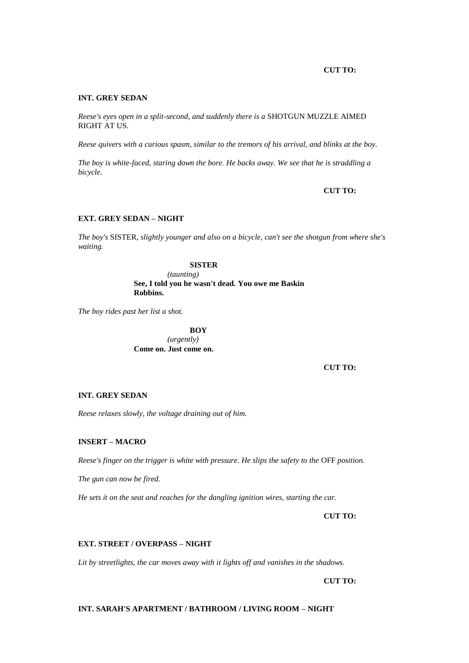### **CUT TO:**

### **INT. GREY SEDAN**

*Reese's eyes open in a split-second, and suddenly there is a* SHOTGUN MUZZLE AIMED RIGHT AT US*.*

*Reese quivers with a curious spasm, similar to the tremors of his arrival, and blinks at the boy.*

*The boy is white-faced, staring down the bore. He backs away. We see that he is straddling a bicycle.*

**CUT TO:**

# **EXT. GREY SEDAN – NIGHT**

*The boy's* SISTER*, slightly younger and also on a bicycle, can't see the shotgun from where she's waiting.*

# **SISTER**

*(taunting)* **See, I told you he wasn't dead. You owe me Baskin Robbins.**

*The boy rides past her list a shot.*

**BOY** *(urgently)* **Come on. Just come on.**

**CUT TO:**

# **INT. GREY SEDAN**

*Reese relaxes slowly, the voltage draining out of him.*

### **INSERT – MACRO**

*Reese's finger on the trigger is white with pressure. He slips the safety to the* OFF *position.*

*The gun can now be fired.*

*He sets it on the seat and reaches for the dangling ignition wires, starting the car.*

**CUT TO:** 

#### **EXT. STREET / OVERPASS – NIGHT**

*Lit by streetlights, the car moves away with it lights off and vanishes in the shadows.*

**CUT TO:**

# **INT. SARAH'S APARTMENT / BATHROOM / LIVING ROOM – NIGHT**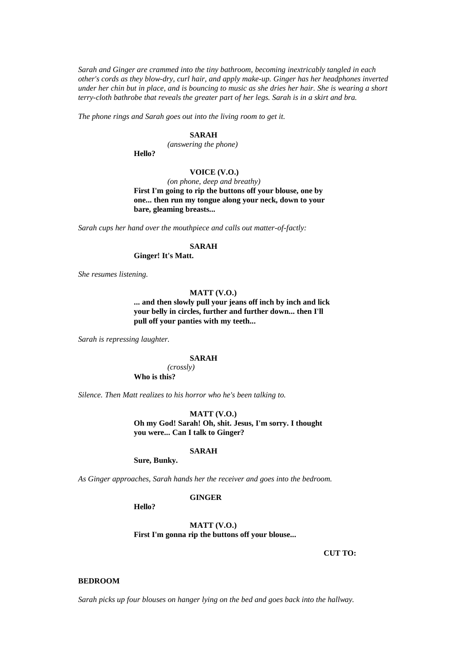*Sarah and Ginger are crammed into the tiny bathroom, becoming inextricably tangled in each other's cords as they blow-dry, curl hair, and apply make-up. Ginger has her headphones inverted under her chin but in place, and is bouncing to music as she dries her hair. She is wearing a short terry-cloth bathrobe that reveals the greater part of her legs. Sarah is in a skirt and bra.*

*The phone rings and Sarah goes out into the living room to get it.*

# **SARAH**

*(answering the phone)*

**Hello?**

# **VOICE (V.O.)**

*(on phone, deep and breathy)* **First I'm going to rip the buttons off your blouse, one by one... then run my tongue along your neck, down to your bare, gleaming breasts...** 

*Sarah cups her hand over the mouthpiece and calls out matter-of-factly:*

### **SARAH**

**Ginger! It's Matt.**

*She resumes listening.*

# **MATT (V.O.)**

**... and then slowly pull your jeans off inch by inch and lick your belly in circles, further and further down... then I'll pull off your panties with my teeth...** 

*Sarah is repressing laughter.*

### **SARAH**

*(crossly)* **Who is this?**

*Silence. Then Matt realizes to his horror who he's been talking to.*

#### **MATT (V.O.)**

**Oh my God! Sarah! Oh, shit. Jesus, I'm sorry. I thought you were... Can I talk to Ginger?**

#### **SARAH**

**Sure, Bunky.**

*As Ginger approaches, Sarah hands her the receiver and goes into the bedroom.*

#### **GINGER**

**Hello?**

**MATT (V.O.) First I'm gonna rip the buttons off your blouse...** 

**CUT TO:**

#### **BEDROOM**

*Sarah picks up four blouses on hanger lying on the bed and goes back into the hallway.*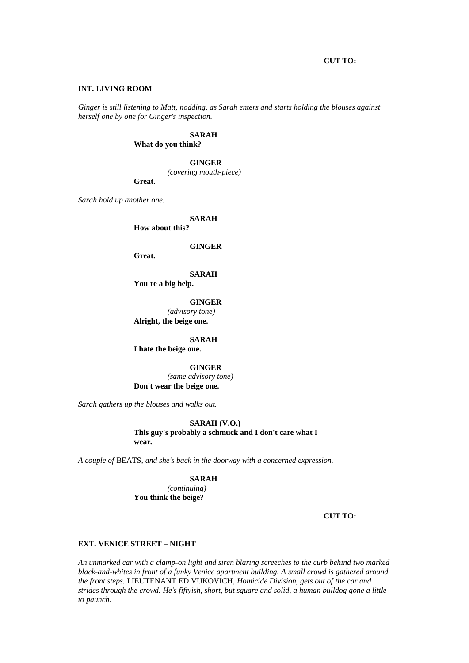### **CUT TO:**

#### **INT. LIVING ROOM**

*Ginger is still listening to Matt, nodding, as Sarah enters and starts holding the blouses against herself one by one for Ginger's inspection.*

# **SARAH**

**What do you think?**

### **GINGER**

*(covering mouth-piece)*

**Great.**

*Sarah hold up another one.*

**SARAH**

**How about this?**

#### **GINGER**

**Great.**

**SARAH**

**You're a big help.**

**GINGER** *(advisory tone)* **Alright, the beige one.**

**SARAH I hate the beige one.**

**GINGER** *(same advisory tone)* **Don't wear the beige one.**

*Sarah gathers up the blouses and walks out.*

### **SARAH (V.O.)**

# **This guy's probably a schmuck and I don't care what I**

**wear.**

*A couple of* BEATS*, and she's back in the doorway with a concerned expression.*

# **SARAH**

*(continuing)* **You think the beige?**

**CUT TO:**

### **EXT. VENICE STREET – NIGHT**

*An unmarked car with a clamp-on light and siren blaring screeches to the curb behind two marked black-and-whites in front of a funky Venice apartment building. A small crowd is gathered around the front steps.* LIEUTENANT ED VUKOVICH*, Homicide Division, gets out of the car and strides through the crowd. He's fiftyish, short, but square and solid, a human bulldog gone a little to paunch.*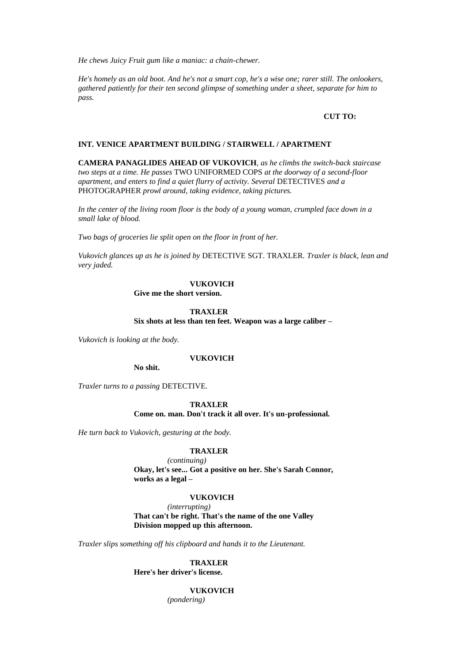*He chews Juicy Fruit gum like a maniac: a chain-chewer.*

*He's homely as an old boot. And he's not a smart cop, he's a wise one; rarer still. The onlookers, gathered patiently for their ten second glimpse of something under a sheet, separate for him to pass.*

### **CUT TO:**

# **INT. VENICE APARTMENT BUILDING / STAIRWELL / APARTMENT**

**CAMERA PANAGLIDES AHEAD OF VUKOVICH***, as he climbs the switch-back staircase two steps at a time. He passes* TWO UNIFORMED COPS *at the doorway of a second-floor apartment, and enters to find a quiet flurry of activity. Several* DETECTIVES *and a*  PHOTOGRAPHER *prowl around, taking evidence, taking pictures.*

In the center of the living room floor is the body of a young woman, crumpled face down in a *small lake of blood.*

*Two bags of groceries lie split open on the floor in front of her.*

*Vukovich glances up as he is joined by* DETECTIVE SGT. TRAXLER*. Traxler is black, lean and very jaded.*

# **VUKOVICH**

**Give me the short version.**

### **TRAXLER**

**Six shots at less than ten feet. Weapon was a large caliber –**

*Vukovich is looking at the body.*

### **VUKOVICH**

**No shit.**

*Traxler turns to a passing* DETECTIVE*.*

**TRAXLER Come on. man. Don't track it all over. It's un-professional.**

*He turn back to Vukovich, gesturing at the body.*

# **TRAXLER**

*(continuing)* **Okay, let's see... Got a positive on her. She's Sarah Connor, works as a legal –**

# **VUKOVICH**

*(interrupting)*

**That can't be right. That's the name of the one Valley Division mopped up this afternoon.**

*Traxler slips something off his clipboard and hands it to the Lieutenant.*

**TRAXLER Here's her driver's license.**

**VUKOVICH**

*(pondering)*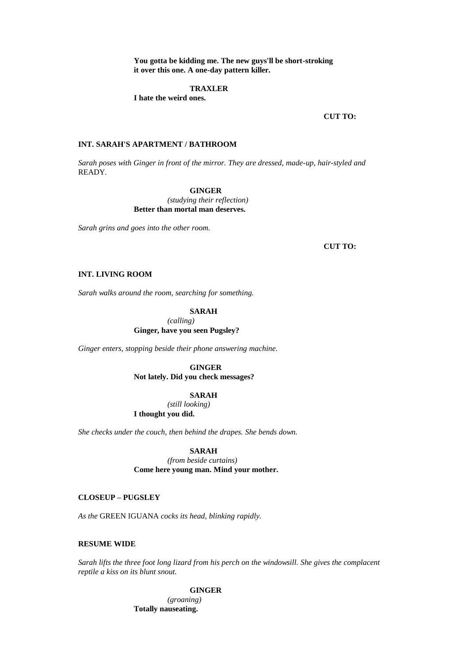**You gotta be kidding me. The new guys'll be short-stroking it over this one. A one-day pattern killer.**

# **TRAXLER**

**I hate the weird ones.**

### **CUT TO:**

# **INT. SARAH'S APARTMENT / BATHROOM**

*Sarah poses with Ginger in front of the mirror. They are dressed, made-up, hair-styled and*  READY*.*

### **GINGER**

*(studying their reflection)* **Better than mortal man deserves.**

*Sarah grins and goes into the other room.*

**CUT TO:**

# **INT. LIVING ROOM**

*Sarah walks around the room, searching for something.*

### **SARAH**

*(calling)* **Ginger, have you seen Pugsley?**

*Ginger enters, stopping beside their phone answering machine.*

**GINGER Not lately. Did you check messages?**

### **SARAH**

*(still looking)* **I thought you did.**

*She checks under the couch, then behind the drapes. She bends down.*

### **SARAH**

*(from beside curtains)* **Come here young man. Mind your mother.**

# **CLOSEUP – PUGSLEY**

*As the* GREEN IGUANA *cocks its head, blinking rapidly.*

# **RESUME WIDE**

*Sarah lifts the three foot long lizard from his perch on the windowsill. She gives the complacent reptile a kiss on its blunt snout.*

**GINGER**

*(groaning)* **Totally nauseating.**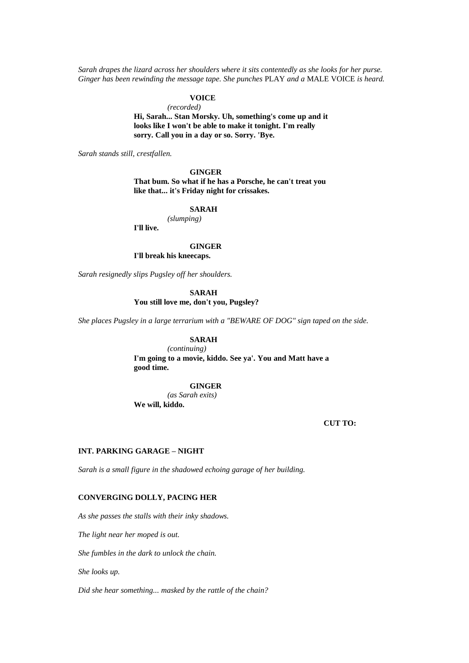*Sarah drapes the lizard across her shoulders where it sits contentedly as she looks for her purse. Ginger has been rewinding the message tape. She punches* PLAY *and a* MALE VOICE *is heard.*

# **VOICE**

*(recorded)* **Hi, Sarah... Stan Morsky. Uh, something's come up and it looks like I won't be able to make it tonight. I'm really sorry. Call you in a day or so. Sorry. 'Bye.**

*Sarah stands still, crestfallen.*

# **GINGER**

**That bum. So what if he has a Porsche, he can't treat you like that... it's Friday night for crissakes.**

### **SARAH**

*(slumping)* **I'll live.**

### **GINGER**

**I'll break his kneecaps.**

*Sarah resignedly slips Pugsley off her shoulders.*

**SARAH You still love me, don't you, Pugsley?**

*She places Pugsley in a large terrarium with a "BEWARE OF DOG" sign taped on the side.*

# **SARAH**

*(continuing)* **I'm going to a movie, kiddo. See ya'. You and Matt have a good time.**

**GINGER**

*(as Sarah exits)* **We will, kiddo.**

**CUT TO:**

### **INT. PARKING GARAGE – NIGHT**

*Sarah is a small figure in the shadowed echoing garage of her building.*

# **CONVERGING DOLLY, PACING HER**

*As she passes the stalls with their inky shadows.*

*The light near her moped is out.*

*She fumbles in the dark to unlock the chain.*

*She looks up.*

*Did she hear something... masked by the rattle of the chain?*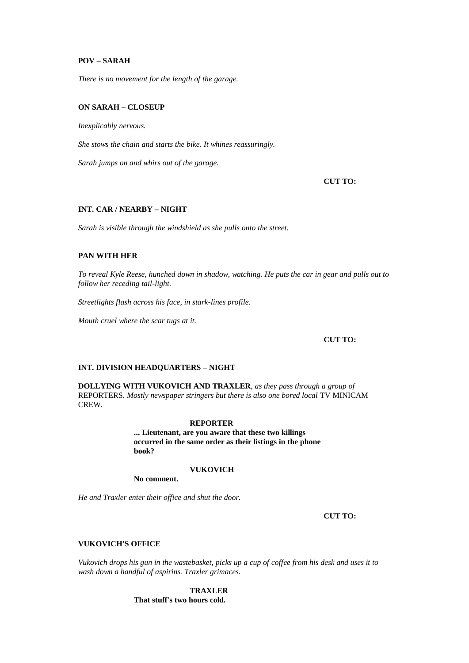# **POV – SARAH**

*There is no movement for the length of the garage.*

# **ON SARAH – CLOSEUP**

*Inexplicably nervous.*

*She stows the chain and starts the bike. It whines reassuringly.*

*Sarah jumps on and whirs out of the garage.*

**CUT TO:**

# **INT. CAR / NEARBY – NIGHT**

*Sarah is visible through the windshield as she pulls onto the street.*

# **PAN WITH HER**

*To reveal Kyle Reese, hunched down in shadow, watching. He puts the car in gear and pulls out to follow her receding tail-light.*

*Streetlights flash across his face, in stark-lines profile.*

*Mouth cruel where the scar tugs at it.*

### **CUT TO:**

### **INT. DIVISION HEADQUARTERS – NIGHT**

**DOLLYING WITH VUKOVICH AND TRAXLER***, as they pass through a group of*  REPORTERS*. Mostly newspaper stringers but there is also one bored local* TV MINICAM CREW*.*

### **REPORTER**

**... Lieutenant, are you aware that these two killings occurred in the same order as their listings in the phone book?**

# **VUKOVICH**

**No comment.**

*He and Traxler enter their office and shut the door.*

**CUT TO:**

# **VUKOVICH'S OFFICE**

*Vukovich drops his gun in the wastebasket, picks up a cup of coffee from his desk and uses it to wash down a handful of aspirins. Traxler grimaces.*

> **TRAXLER That stuff's two hours cold.**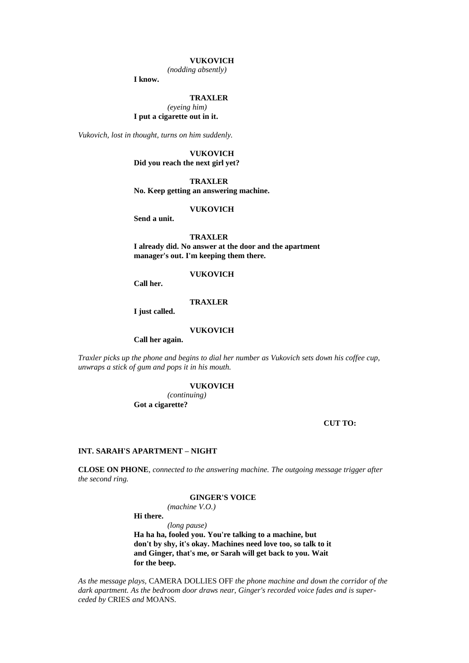### **VUKOVICH**

*(nodding absently)*

**I know.**

### **TRAXLER**

*(eyeing him)* **I put a cigarette out in it.**

*Vukovich, lost in thought, turns on him suddenly.*

### **VUKOVICH Did you reach the next girl yet?**

**TRAXLER No. Keep getting an answering machine.**

**VUKOVICH**

**Send a unit.**

**TRAXLER I already did. No answer at the door and the apartment manager's out. I'm keeping them there.**

#### **VUKOVICH**

**Call her.**

#### **TRAXLER**

**I just called.**

#### **VUKOVICH**

**Call her again.**

*Traxler picks up the phone and begins to dial her number as Vukovich sets down his coffee cup, unwraps a stick of gum and pops it in his mouth.*

#### **VUKOVICH**

*(continuing)* **Got a cigarette?**

**CUT TO:**

#### **INT. SARAH'S APARTMENT – NIGHT**

**CLOSE ON PHONE***, connected to the answering machine. The outgoing message trigger after the second ring.*

# **GINGER'S VOICE**

*(machine V.O.)*

**Hi there.**

*(long pause)*

**Ha ha ha, fooled you. You're talking to a machine, but don't by shy, it's okay. Machines need love too, so talk to it and Ginger, that's me, or Sarah will get back to you. Wait for the beep.**

*As the message plays,* CAMERA DOLLIES OFF *the phone machine and down the corridor of the dark apartment. As the bedroom door draws near, Ginger's recorded voice fades and is superceded by* CRIES *and* MOANS*.*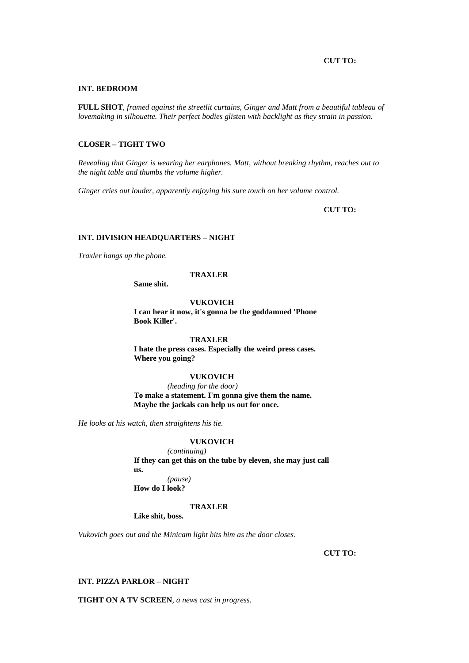### **CUT TO:**

#### **INT. BEDROOM**

**FULL SHOT***, framed against the streetlit curtains, Ginger and Matt from a beautiful tableau of lovemaking in silhouette. Their perfect bodies glisten with backlight as they strain in passion.*

# **CLOSER – TIGHT TWO**

*Revealing that Ginger is wearing her earphones. Matt, without breaking rhythm, reaches out to the night table and thumbs the volume higher.*

*Ginger cries out louder, apparently enjoying his sure touch on her volume control.*

**CUT TO:**

# **INT. DIVISION HEADQUARTERS – NIGHT**

*Traxler hangs up the phone.*

#### **TRAXLER**

**Same shit.**

**VUKOVICH**

**I can hear it now, it's gonna be the goddamned 'Phone Book Killer'.**

# **TRAXLER**

**I hate the press cases. Especially the weird press cases. Where you going?**

# **VUKOVICH**

*(heading for the door)* **To make a statement. I'm gonna give them the name. Maybe the jackals can help us out for once.**

*He looks at his watch, then straightens his tie.*

# **VUKOVICH**

*(continuing)* **If they can get this on the tube by eleven, she may just call us.** *(pause)*

**How do I look?**

#### **TRAXLER**

**Like shit, boss.**

*Vukovich goes out and the Minicam light hits him as the door closes.*

**CUT TO:**

# **INT. PIZZA PARLOR – NIGHT**

**TIGHT ON A TV SCREEN***, a news cast in progress.*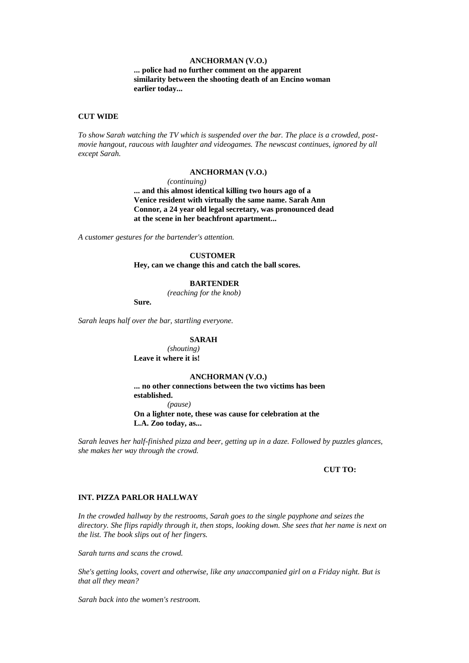# **ANCHORMAN (V.O.)**

**... police had no further comment on the apparent similarity between the shooting death of an Encino woman earlier today...** 

### **CUT WIDE**

*To show Sarah watching the TV which is suspended over the bar. The place is a crowded, postmovie hangout, raucous with laughter and videogames. The newscast continues, ignored by all except Sarah.*

#### **ANCHORMAN (V.O.)**

*(continuing)*

**... and this almost identical killing two hours ago of a Venice resident with virtually the same name. Sarah Ann Connor, a 24 year old legal secretary, was pronounced dead at the scene in her beachfront apartment...** 

*A customer gestures for the bartender's attention.*

#### **CUSTOMER**

**Hey, can we change this and catch the ball scores.**

# **BARTENDER**

*(reaching for the knob)*

**Sure.**

*Sarah leaps half over the bar, startling everyone.*

#### **SARAH**

*(shouting)* **Leave it where it is!**

### **ANCHORMAN (V.O.)**

**... no other connections between the two victims has been established.** *(pause)* **On a lighter note, these was cause for celebration at the L.A. Zoo today, as...** 

*Sarah leaves her half-finished pizza and beer, getting up in a daze. Followed by puzzles glances, she makes her way through the crowd.*

# **CUT TO:**

### **INT. PIZZA PARLOR HALLWAY**

*In the crowded hallway by the restrooms, Sarah goes to the single payphone and seizes the directory. She flips rapidly through it, then stops, looking down. She sees that her name is next on the list. The book slips out of her fingers.*

*Sarah turns and scans the crowd.*

*She's getting looks, covert and otherwise, like any unaccompanied girl on a Friday night. But is that all they mean?*

*Sarah back into the women's restroom.*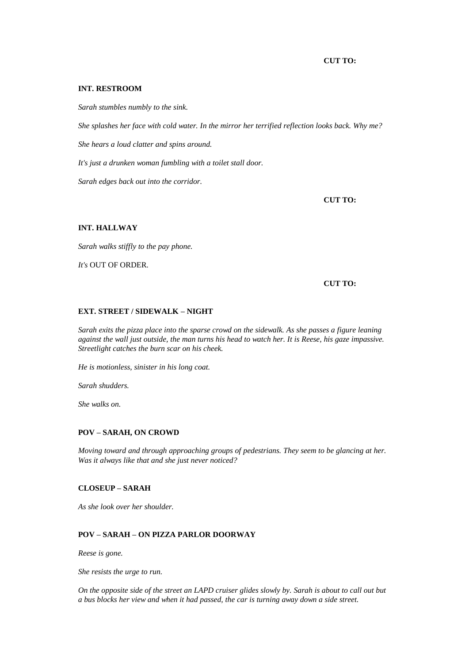# **CUT TO:**

### **INT. RESTROOM**

*Sarah stumbles numbly to the sink.*

*She splashes her face with cold water. In the mirror her terrified reflection looks back. Why me?*

*She hears a loud clatter and spins around.*

*It's just a drunken woman fumbling with a toilet stall door.*

*Sarah edges back out into the corridor.*

**CUT TO:**

# **INT. HALLWAY**

*Sarah walks stiffly to the pay phone.*

*It's* OUT OF ORDER*.*

#### **CUT TO:**

#### **EXT. STREET / SIDEWALK – NIGHT**

*Sarah exits the pizza place into the sparse crowd on the sidewalk. As she passes a figure leaning against the wall just outside, the man turns his head to watch her. It is Reese, his gaze impassive. Streetlight catches the burn scar on his cheek.*

*He is motionless, sinister in his long coat.*

*Sarah shudders.*

*She walks on.*

### **POV – SARAH, ON CROWD**

*Moving toward and through approaching groups of pedestrians. They seem to be glancing at her. Was it always like that and she just never noticed?*

### **CLOSEUP – SARAH**

*As she look over her shoulder.*

# **POV – SARAH – ON PIZZA PARLOR DOORWAY**

*Reese is gone.*

*She resists the urge to run.*

*On the opposite side of the street an LAPD cruiser glides slowly by. Sarah is about to call out but a bus blocks her view and when it had passed, the car is turning away down a side street.*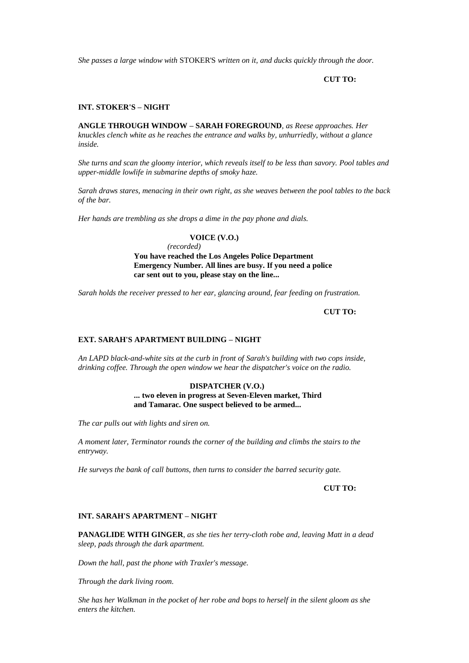*She passes a large window with* STOKER'S *written on it, and ducks quickly through the door.*

**CUT TO:**

# **INT. STOKER'S – NIGHT**

**ANGLE THROUGH WINDOW – SARAH FOREGROUND***, as Reese approaches. Her knuckles clench white as he reaches the entrance and walks by, unhurriedly, without a glance inside.*

*She turns and scan the gloomy interior, which reveals itself to be less than savory. Pool tables and upper-middle lowlife in submarine depths of smoky haze.*

*Sarah draws stares, menacing in their own right, as she weaves between the pool tables to the back of the bar.*

*Her hands are trembling as she drops a dime in the pay phone and dials.*

# **VOICE (V.O.)**

*(recorded)* **You have reached the Los Angeles Police Department Emergency Number. All lines are busy. If you need a police car sent out to you, please stay on the line...** 

*Sarah holds the receiver pressed to her ear, glancing around, fear feeding on frustration.*

**CUT TO:**

### **EXT. SARAH'S APARTMENT BUILDING – NIGHT**

*An LAPD black-and-white sits at the curb in front of Sarah's building with two cops inside, drinking coffee. Through the open window we hear the dispatcher's voice on the radio.*

### **DISPATCHER (V.O.)**

**... two eleven in progress at Seven-Eleven market, Third and Tamarac. One suspect believed to be armed...** 

*The car pulls out with lights and siren on.*

*A moment later, Terminator rounds the corner of the building and climbs the stairs to the entryway.*

*He surveys the bank of call buttons, then turns to consider the barred security gate.*

**CUT TO:**

#### **INT. SARAH'S APARTMENT – NIGHT**

**PANAGLIDE WITH GINGER***, as she ties her terry-cloth robe and, leaving Matt in a dead sleep, pads through the dark apartment.*

*Down the hall, past the phone with Traxler's message.*

*Through the dark living room.*

*She has her Walkman in the pocket of her robe and bops to herself in the silent gloom as she enters the kitchen.*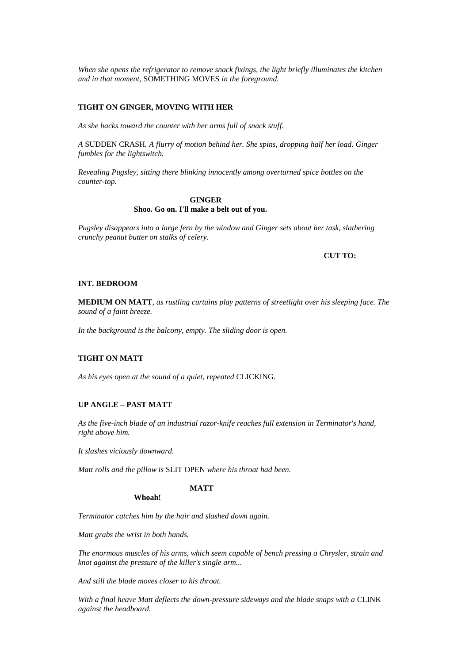*When she opens the refrigerator to remove snack fixings, the light briefly illuminates the kitchen and in that moment,* SOMETHING MOVES *in the foreground.*

### **TIGHT ON GINGER, MOVING WITH HER**

*As she backs toward the counter with her arms full of snack stuff.*

*A* SUDDEN CRASH*. A flurry of motion behind her. She spins, dropping half her load. Ginger fumbles for the lightswitch.*

*Revealing Pugsley, sitting there blinking innocently among overturned spice bottles on the counter-top.*

# **GINGER Shoo. Go on. I'll make a belt out of you.**

*Pugsley disappears into a large fern by the window and Ginger sets about her task, slathering crunchy peanut butter on stalks of celery.*

#### **CUT TO:**

### **INT. BEDROOM**

**MEDIUM ON MATT***, as rustling curtains play patterns of streetlight over his sleeping face. The sound of a faint breeze.*

*In the background is the balcony, empty. The sliding door is open.*

### **TIGHT ON MATT**

*As his eyes open at the sound of a quiet, repeated* CLICKING*.*

## **UP ANGLE – PAST MATT**

*As the five-inch blade of an industrial razor-knife reaches full extension in Terminator's hand, right above him.*

*It slashes viciously downward.*

*Matt rolls and the pillow is* SLIT OPEN *where his throat had been.*

# **MATT**

**Whoah!**

*Terminator catches him by the hair and slashed down again.*

*Matt grabs the wrist in both hands.*

*The enormous muscles of his arms, which seem capable of bench pressing a Chrysler, strain and knot against the pressure of the killer's single arm...* 

*And still the blade moves closer to his throat.*

With a final heave Matt deflects the down-pressure sideways and the blade snaps with a CLINK *against the headboard.*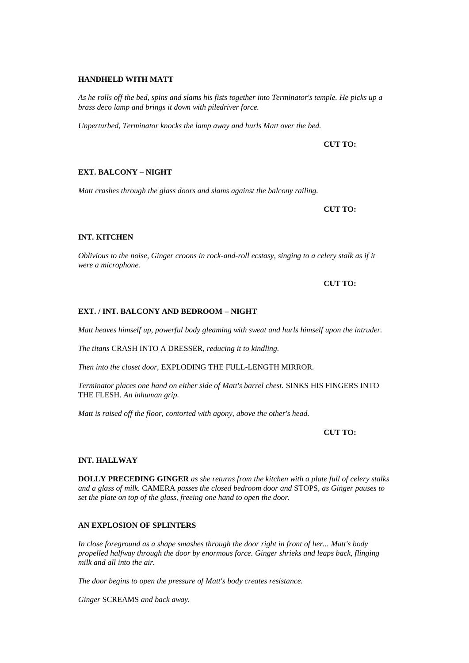### **HANDHELD WITH MATT**

*As he rolls off the bed, spins and slams his fists together into Terminator's temple. He picks up a brass deco lamp and brings it down with piledriver force.*

*Unperturbed, Terminator knocks the lamp away and hurls Matt over the bed.*

**CUT TO:**

# **EXT. BALCONY – NIGHT**

*Matt crashes through the glass doors and slams against the balcony railing.*

**CUT TO:**

# **INT. KITCHEN**

*Oblivious to the noise, Ginger croons in rock-and-roll ecstasy, singing to a celery stalk as if it were a microphone.*

**CUT TO:**

#### **EXT. / INT. BALCONY AND BEDROOM – NIGHT**

*Matt heaves himself up, powerful body gleaming with sweat and hurls himself upon the intruder.*

*The titans* CRASH INTO A DRESSER*, reducing it to kindling.*

*Then into the closet door,* EXPLODING THE FULL-LENGTH MIRROR*.*

*Terminator places one hand on either side of Matt's barrel chest.* SINKS HIS FINGERS INTO THE FLESH*. An inhuman grip.*

*Matt is raised off the floor, contorted with agony, above the other's head.*

### **CUT TO:**

#### **INT. HALLWAY**

**DOLLY PRECEDING GINGER** *as she returns from the kitchen with a plate full of celery stalks and a glass of milk.* CAMERA *passes the closed bedroom door and* STOPS*, as Ginger pauses to set the plate on top of the glass, freeing one hand to open the door.*

### **AN EXPLOSION OF SPLINTERS**

*In close foreground as a shape smashes through the door right in front of her... Matt's body propelled halfway through the door by enormous force. Ginger shrieks and leaps back, flinging milk and all into the air.*

*The door begins to open the pressure of Matt's body creates resistance.*

*Ginger* SCREAMS *and back away.*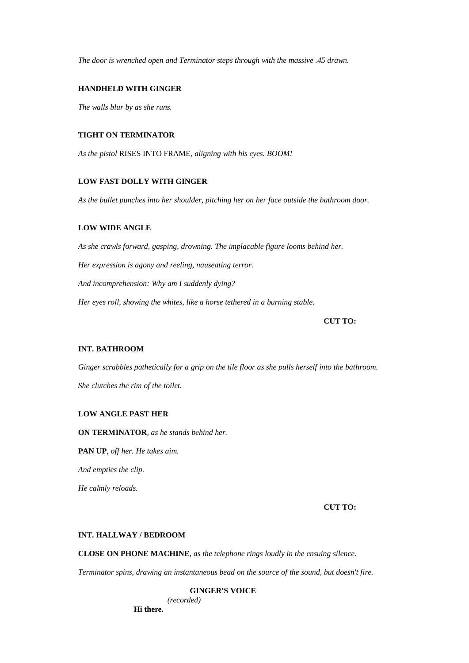*The door is wrenched open and Terminator steps through with the massive .45 drawn.*

### **HANDHELD WITH GINGER**

*The walls blur by as she runs.*

### **TIGHT ON TERMINATOR**

*As the pistol* RISES INTO FRAME*, aligning with his eyes. BOOM!*

### **LOW FAST DOLLY WITH GINGER**

*As the bullet punches into her shoulder, pitching her on her face outside the bathroom door.*

# **LOW WIDE ANGLE**

*As she crawls forward, gasping, drowning. The implacable figure looms behind her. Her expression is agony and reeling, nauseating terror. And incomprehension: Why am I suddenly dying? Her eyes roll, showing the whites, like a horse tethered in a burning stable.*

# **CUT TO:**

# **INT. BATHROOM**

*Ginger scrabbles pathetically for a grip on the tile floor as she pulls herself into the bathroom. She clutches the rim of the toilet.*

# **LOW ANGLE PAST HER**

**ON TERMINATOR***, as he stands behind her.*

**PAN UP***, off her. He takes aim.*

*And empties the clip.*

*He calmly reloads.*

**CUT TO:**

# **INT. HALLWAY / BEDROOM**

**CLOSE ON PHONE MACHINE***, as the telephone rings loudly in the ensuing silence.*

*Terminator spins, drawing an instantaneous bead on the source of the sound, but doesn't fire.*

**GINGER'S VOICE**

*(recorded)*

**Hi there.**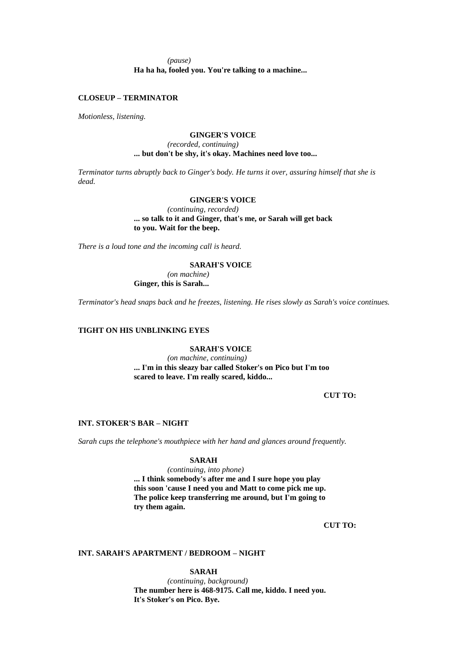*(pause)* **Ha ha ha, fooled you. You're talking to a machine...** 

### **CLOSEUP – TERMINATOR**

*Motionless, listening.*

### **GINGER'S VOICE**

# *(recorded, continuing)* **... but don't be shy, it's okay. Machines need love too...**

*Terminator turns abruptly back to Ginger's body. He turns it over, assuring himself that she is dead.*

### **GINGER'S VOICE**

*(continuing, recorded)* **... so talk to it and Ginger, that's me, or Sarah will get back to you. Wait for the beep.**

*There is a loud tone and the incoming call is heard.*

# **SARAH'S VOICE**

*(on machine)* **Ginger, this is Sarah...** 

*Terminator's head snaps back and he freezes, listening. He rises slowly as Sarah's voice continues.*

# **TIGHT ON HIS UNBLINKING EYES**

# **SARAH'S VOICE**

*(on machine, continuing)* **... I'm in this sleazy bar called Stoker's on Pico but I'm too scared to leave. I'm really scared, kiddo...** 

**CUT TO:**

# **INT. STOKER'S BAR – NIGHT**

*Sarah cups the telephone's mouthpiece with her hand and glances around frequently.*

# **SARAH**

*(continuing, into phone)*

**... I think somebody's after me and I sure hope you play this soon 'cause I need you and Matt to come pick me up. The police keep transferring me around, but I'm going to try them again.**

**CUT TO:**

### **INT. SARAH'S APARTMENT / BEDROOM – NIGHT**

**SARAH**

*(continuing, background)* **The number here is 468-9175. Call me, kiddo. I need you. It's Stoker's on Pico. Bye.**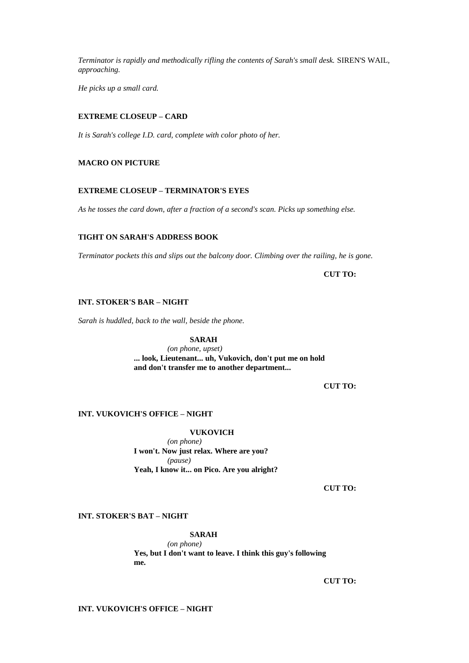*Terminator is rapidly and methodically rifling the contents of Sarah's small desk.* SIREN'S WAIL*, approaching.*

*He picks up a small card.*

# **EXTREME CLOSEUP – CARD**

*It is Sarah's college I.D. card, complete with color photo of her.*

# **MACRO ON PICTURE**

# **EXTREME CLOSEUP – TERMINATOR'S EYES**

*As he tosses the card down, after a fraction of a second's scan. Picks up something else.*

# **TIGHT ON SARAH'S ADDRESS BOOK**

*Terminator pockets this and slips out the balcony door. Climbing over the railing, he is gone.*

**CUT TO:**

# **INT. STOKER'S BAR – NIGHT**

*Sarah is huddled, back to the wall, beside the phone.* 

# **SARAH**

*(on phone, upset)* **... look, Lieutenant... uh, Vukovich, don't put me on hold and don't transfer me to another department...** 

**CUT TO:**

# **INT. VUKOVICH'S OFFICE – NIGHT**

### **VUKOVICH**

*(on phone)* **I won't. Now just relax. Where are you?** *(pause)* **Yeah, I know it... on Pico. Are you alright?**

**CUT TO:**

# **INT. STOKER'S BAT – NIGHT**

### **SARAH**

*(on phone)* **Yes, but I don't want to leave. I think this guy's following me.**

**CUT TO:**

# **INT. VUKOVICH'S OFFICE – NIGHT**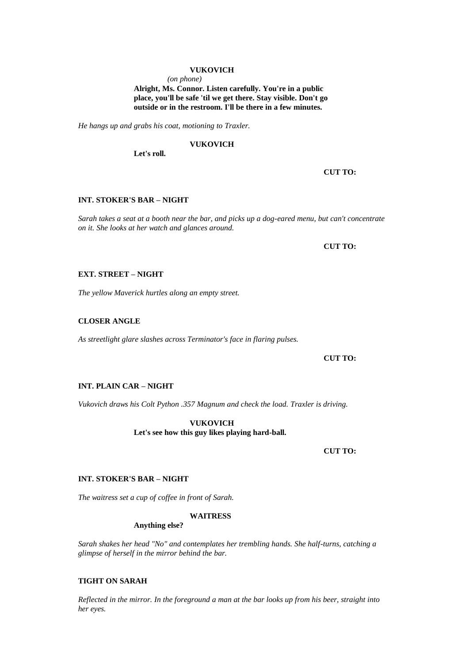### **VUKOVICH**

*(on phone)*

**Alright, Ms. Connor. Listen carefully. You're in a public place, you'll be safe 'til we get there. Stay visible. Don't go outside or in the restroom. I'll be there in a few minutes.**

*He hangs up and grabs his coat, motioning to Traxler.*

### **VUKOVICH**

**Let's roll.**

#### **CUT TO:**

# **INT. STOKER'S BAR – NIGHT**

*Sarah takes a seat at a booth near the bar, and picks up a dog-eared menu, but can't concentrate on it. She looks at her watch and glances around.*

**CUT TO:**

## **EXT. STREET – NIGHT**

*The yellow Maverick hurtles along an empty street.*

### **CLOSER ANGLE**

*As streetlight glare slashes across Terminator's face in flaring pulses.*

**CUT TO:**

# **INT. PLAIN CAR – NIGHT**

*Vukovich draws his Colt Python .357 Magnum and check the load. Traxler is driving.*

**VUKOVICH Let's see how this guy likes playing hard-ball.**

**CUT TO:**

# **INT. STOKER'S BAR – NIGHT**

*The waitress set a cup of coffee in front of Sarah.*

# **WAITRESS**

**Anything else?**

*Sarah shakes her head "No" and contemplates her trembling hands. She half-turns, catching a glimpse of herself in the mirror behind the bar.*

### **TIGHT ON SARAH**

*Reflected in the mirror. In the foreground a man at the bar looks up from his beer, straight into her eyes.*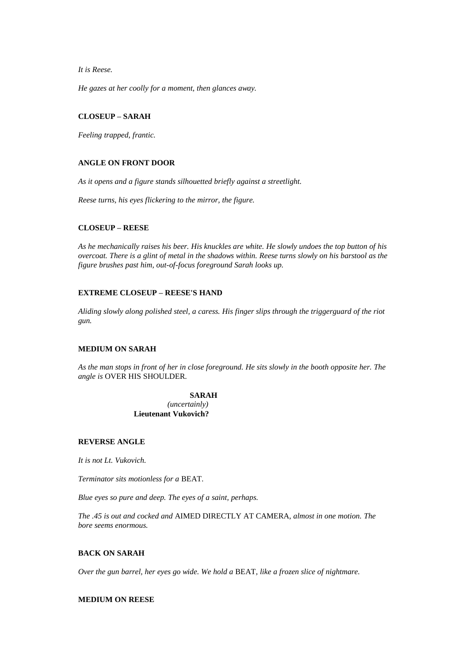*It is Reese.*

*He gazes at her coolly for a moment, then glances away.*

# **CLOSEUP – SARAH**

*Feeling trapped, frantic.*

# **ANGLE ON FRONT DOOR**

*As it opens and a figure stands silhouetted briefly against a streetlight.*

*Reese turns, his eyes flickering to the mirror, the figure.*

# **CLOSEUP – REESE**

*As he mechanically raises his beer. His knuckles are white. He slowly undoes the top button of his overcoat. There is a glint of metal in the shadows within. Reese turns slowly on his barstool as the figure brushes past him, out-of-focus foreground Sarah looks up.*

# **EXTREME CLOSEUP – REESE'S HAND**

*Aliding slowly along polished steel, a caress. His finger slips through the triggerguard of the riot gun.*

### **MEDIUM ON SARAH**

*As the man stops in front of her in close foreground. He sits slowly in the booth opposite her. The angle is* OVER HIS SHOULDER*.*

#### **SARAH**

*(uncertainly)* **Lieutenant Vukovich?**

### **REVERSE ANGLE**

*It is not Lt. Vukovich.*

*Terminator sits motionless for a* BEAT*.*

*Blue eyes so pure and deep. The eyes of a saint, perhaps.*

*The .45 is out and cocked and* AIMED DIRECTLY AT CAMERA*, almost in one motion. The bore seems enormous.*

# **BACK ON SARAH**

*Over the gun barrel, her eyes go wide. We hold a* BEAT*, like a frozen slice of nightmare.*

# **MEDIUM ON REESE**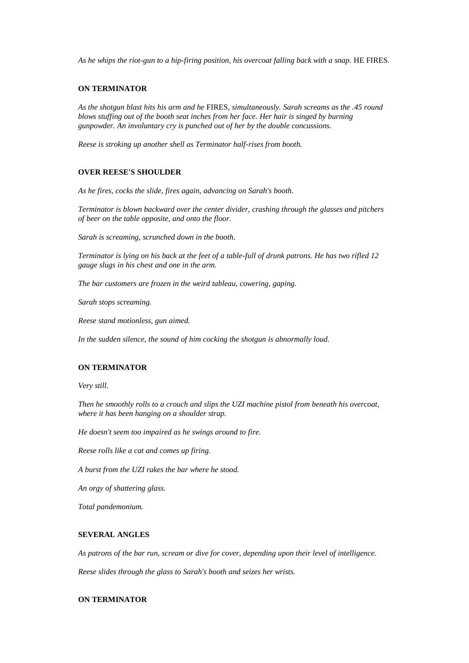*As he whips the riot-gun to a hip-firing position, his overcoat falling back with a snap.* HE FIRES*.*

### **ON TERMINATOR**

*As the shotgun blast hits his arm and he* FIRES*, simultaneously. Sarah screams as the .45 round blows stuffing out of the booth seat inches from her face. Her hair is singed by burning gunpowder. An involuntary cry is punched out of her by the double concussions.*

*Reese is stroking up another shell as Terminator half-rises from booth.*

# **OVER REESE'S SHOULDER**

*As he fires, cocks the slide, fires again, advancing on Sarah's booth.*

*Terminator is blown backward over the center divider, crashing through the glasses and pitchers of beer on the table opposite, and onto the floor.*

*Sarah is screaming, scrunched down in the booth.*

*Terminator is lying on his back at the feet of a table-full of drunk patrons. He has two rifled 12 gauge slugs in his chest and one in the arm.*

*The bar customers are frozen in the weird tableau, cowering, gaping.*

*Sarah stops screaming.*

*Reese stand motionless, gun aimed.*

*In the sudden silence, the sound of him cocking the shotgun is abnormally loud.*

### **ON TERMINATOR**

*Very still.*

*Then he smoothly rolls to a crouch and slips the UZI machine pistol from beneath his overcoat, where it has been hanging on a shoulder strap.*

*He doesn't seem too impaired as he swings around to fire.*

*Reese rolls like a cat and comes up firing.*

*A burst from the UZI rakes the bar where he stood.*

*An orgy of shattering glass.*

*Total pandemonium.*

#### **SEVERAL ANGLES**

*As patrons of the bar run, scream or dive for cover, depending upon their level of intelligence. Reese slides through the glass to Sarah's booth and seizes her wrists.*

# **ON TERMINATOR**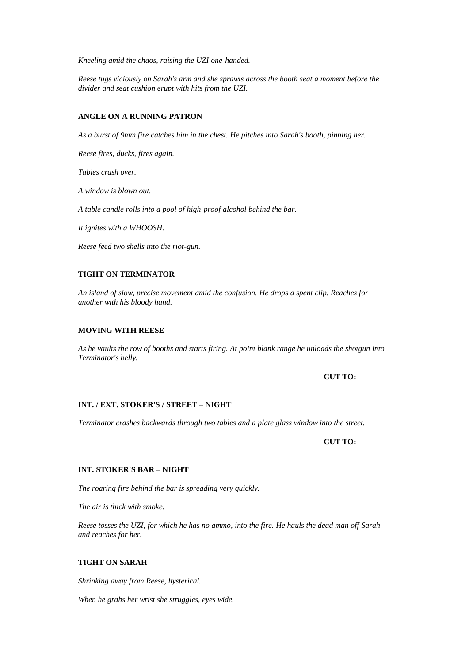*Kneeling amid the chaos, raising the UZI one-handed.*

*Reese tugs viciously on Sarah's arm and she sprawls across the booth seat a moment before the divider and seat cushion erupt with hits from the UZI.*

# **ANGLE ON A RUNNING PATRON**

*As a burst of 9mm fire catches him in the chest. He pitches into Sarah's booth, pinning her.*

*Reese fires, ducks, fires again.*

*Tables crash over.*

*A window is blown out.*

*A table candle rolls into a pool of high-proof alcohol behind the bar.*

*It ignites with a WHOOSH.*

*Reese feed two shells into the riot-gun.*

# **TIGHT ON TERMINATOR**

*An island of slow, precise movement amid the confusion. He drops a spent clip. Reaches for another with his bloody hand.*

## **MOVING WITH REESE**

*As he vaults the row of booths and starts firing. At point blank range he unloads the shotgun into Terminator's belly.*

**CUT TO:**

### **INT. / EXT. STOKER'S / STREET – NIGHT**

*Terminator crashes backwards through two tables and a plate glass window into the street.*

**CUT TO:**

# **INT. STOKER'S BAR – NIGHT**

*The roaring fire behind the bar is spreading very quickly.*

*The air is thick with smoke.*

*Reese tosses the UZI, for which he has no ammo, into the fire. He hauls the dead man off Sarah and reaches for her.*

# **TIGHT ON SARAH**

*Shrinking away from Reese, hysterical.*

*When he grabs her wrist she struggles, eyes wide.*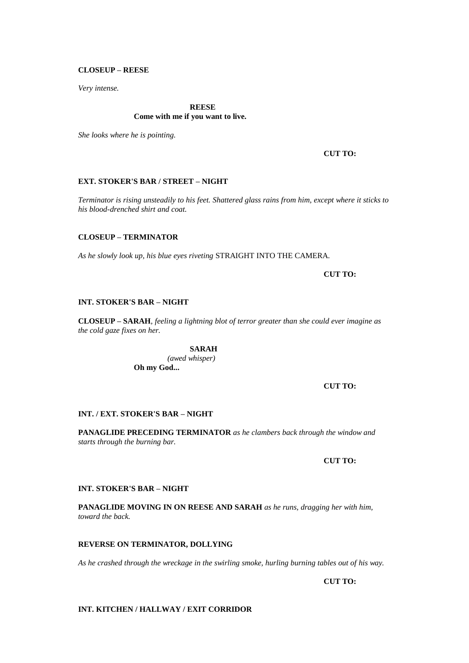## **CLOSEUP – REESE**

*Very intense.*

# **REESE**

## **Come with me if you want to live.**

*She looks where he is pointing.*

# **CUT TO:**

# **EXT. STOKER'S BAR / STREET – NIGHT**

*Terminator is rising unsteadily to his feet. Shattered glass rains from him, except where it sticks to his blood-drenched shirt and coat.*

# **CLOSEUP – TERMINATOR**

*As he slowly look up, his blue eyes riveting* STRAIGHT INTO THE CAMERA*.*

**CUT TO:**

#### **INT. STOKER'S BAR – NIGHT**

**CLOSEUP – SARAH***, feeling a lightning blot of terror greater than she could ever imagine as the cold gaze fixes on her.*

> **SARAH** *(awed whisper)* **Oh my God...**

> > **CUT TO:**

### **INT. / EXT. STOKER'S BAR – NIGHT**

**PANAGLIDE PRECEDING TERMINATOR** *as he clambers back through the window and starts through the burning bar.*

**CUT TO:**

### **INT. STOKER'S BAR – NIGHT**

**PANAGLIDE MOVING IN ON REESE AND SARAH** *as he runs, dragging her with him, toward the back.*

### **REVERSE ON TERMINATOR, DOLLYING**

*As he crashed through the wreckage in the swirling smoke, hurling burning tables out of his way.*

**CUT TO:**

### **INT. KITCHEN / HALLWAY / EXIT CORRIDOR**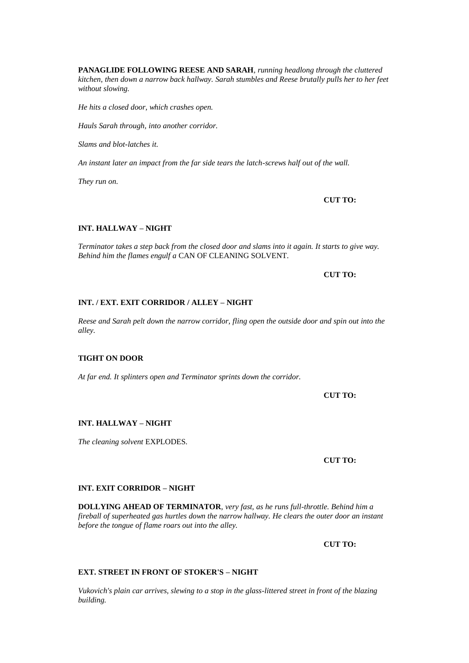**PANAGLIDE FOLLOWING REESE AND SARAH***, running headlong through the cluttered kitchen, then down a narrow back hallway. Sarah stumbles and Reese brutally pulls her to her feet without slowing.*

*He hits a closed door, which crashes open.*

*Hauls Sarah through, into another corridor.*

*Slams and blot-latches it.*

*An instant later an impact from the far side tears the latch-screws half out of the wall.*

*They run on.*

**CUT TO:**

# **INT. HALLWAY – NIGHT**

*Terminator takes a step back from the closed door and slams into it again. It starts to give way. Behind him the flames engulf a* CAN OF CLEANING SOLVENT*.*

**CUT TO:**

# **INT. / EXT. EXIT CORRIDOR / ALLEY – NIGHT**

*Reese and Sarah pelt down the narrow corridor, fling open the outside door and spin out into the alley.*

# **TIGHT ON DOOR**

*At far end. It splinters open and Terminator sprints down the corridor.*

**CUT TO:**

# **INT. HALLWAY – NIGHT**

*The cleaning solvent* EXPLODES*.*

**CUT TO:**

# **INT. EXIT CORRIDOR – NIGHT**

**DOLLYING AHEAD OF TERMINATOR***, very fast, as he runs full-throttle. Behind him a fireball of superheated gas hurtles down the narrow hallway. He clears the outer door an instant before the tongue of flame roars out into the alley.*

**CUT TO:**

# **EXT. STREET IN FRONT OF STOKER'S – NIGHT**

*Vukovich's plain car arrives, slewing to a stop in the glass-littered street in front of the blazing building.*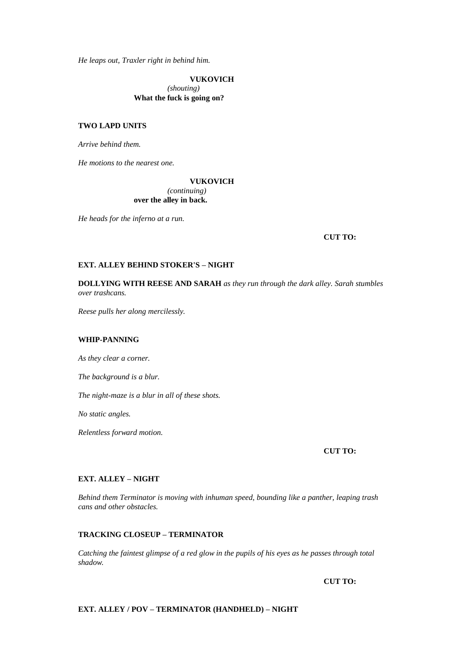*He leaps out, Traxler right in behind him.*

**VUKOVICH**

*(shouting)* **What the fuck is going on?**

# **TWO LAPD UNITS**

*Arrive behind them.*

*He motions to the nearest one.*

# **VUKOVICH** *(continuing)* **over the alley in back.**

*He heads for the inferno at a run.*

**CUT TO:**

## **EXT. ALLEY BEHIND STOKER'S – NIGHT**

**DOLLYING WITH REESE AND SARAH** *as they run through the dark alley. Sarah stumbles over trashcans.*

*Reese pulls her along mercilessly.*

# **WHIP-PANNING**

*As they clear a corner.*

*The background is a blur.*

*The night-maze is a blur in all of these shots.*

*No static angles.*

*Relentless forward motion.*

**CUT TO:**

### **EXT. ALLEY – NIGHT**

*Behind them Terminator is moving with inhuman speed, bounding like a panther, leaping trash cans and other obstacles.*

### **TRACKING CLOSEUP – TERMINATOR**

*Catching the faintest glimpse of a red glow in the pupils of his eyes as he passes through total shadow.*

**CUT TO:**

# **EXT. ALLEY / POV – TERMINATOR (HANDHELD) – NIGHT**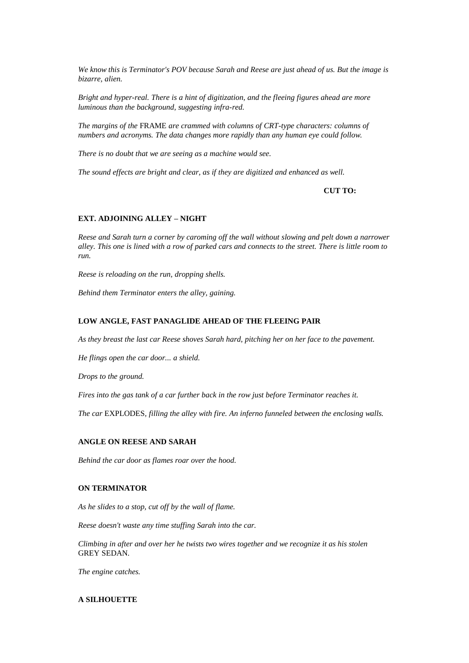*We know this is Terminator's POV because Sarah and Reese are just ahead of us. But the image is bizarre, alien.*

*Bright and hyper-real. There is a hint of digitization, and the fleeing figures ahead are more luminous than the background, suggesting infra-red.*

*The margins of the* FRAME *are crammed with columns of CRT-type characters: columns of numbers and acronyms. The data changes more rapidly than any human eye could follow.*

*There is no doubt that we are seeing as a machine would see.*

*The sound effects are bright and clear, as if they are digitized and enhanced as well.*

**CUT TO:**

### **EXT. ADJOINING ALLEY – NIGHT**

*Reese and Sarah turn a corner by caroming off the wall without slowing and pelt down a narrower alley. This one is lined with a row of parked cars and connects to the street. There is little room to run.*

*Reese is reloading on the run, dropping shells.*

*Behind them Terminator enters the alley, gaining.*

### **LOW ANGLE, FAST PANAGLIDE AHEAD OF THE FLEEING PAIR**

*As they breast the last car Reese shoves Sarah hard, pitching her on her face to the pavement.*

*He flings open the car door... a shield.*

*Drops to the ground.*

*Fires into the gas tank of a car further back in the row just before Terminator reaches it.*

*The car* EXPLODES*, filling the alley with fire. An inferno funneled between the enclosing walls.*

### **ANGLE ON REESE AND SARAH**

*Behind the car door as flames roar over the hood.*

### **ON TERMINATOR**

*As he slides to a stop, cut off by the wall of flame.*

*Reese doesn't waste any time stuffing Sarah into the car.*

*Climbing in after and over her he twists two wires together and we recognize it as his stolen*  GREY SEDAN*.*

*The engine catches.*

# **A SILHOUETTE**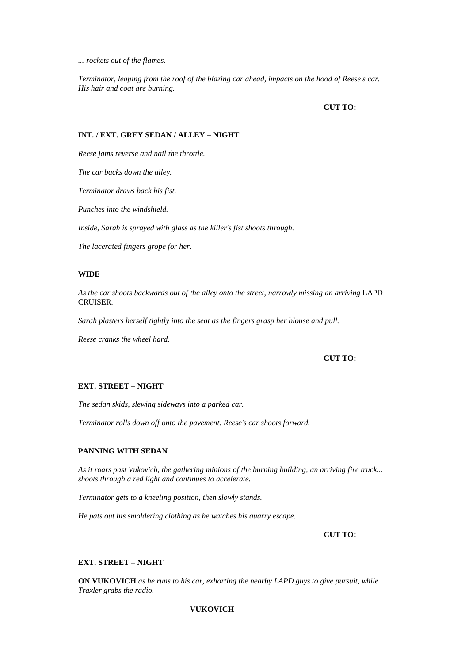*... rockets out of the flames.*

*Terminator, leaping from the roof of the blazing car ahead, impacts on the hood of Reese's car. His hair and coat are burning.*

**CUT TO:**

# **INT. / EXT. GREY SEDAN / ALLEY – NIGHT**

*Reese jams reverse and nail the throttle.*

*The car backs down the alley.*

*Terminator draws back his fist.*

*Punches into the windshield.*

*Inside, Sarah is sprayed with glass as the killer's fist shoots through.*

*The lacerated fingers grope for her.*

# **WIDE**

*As the car shoots backwards out of the alley onto the street, narrowly missing an arriving* LAPD CRUISER*.*

*Sarah plasters herself tightly into the seat as the fingers grasp her blouse and pull.*

*Reese cranks the wheel hard.*

### **CUT TO:**

# **EXT. STREET – NIGHT**

*The sedan skids, slewing sideways into a parked car.*

*Terminator rolls down off onto the pavement. Reese's car shoots forward.*

#### **PANNING WITH SEDAN**

*As it roars past Vukovich, the gathering minions of the burning building, an arriving fire truck... shoots through a red light and continues to accelerate.*

*Terminator gets to a kneeling position, then slowly stands.*

*He pats out his smoldering clothing as he watches his quarry escape.*

**CUT TO:**

### **EXT. STREET – NIGHT**

**ON VUKOVICH** *as he runs to his car, exhorting the nearby LAPD guys to give pursuit, while Traxler grabs the radio.*

# **VUKOVICH**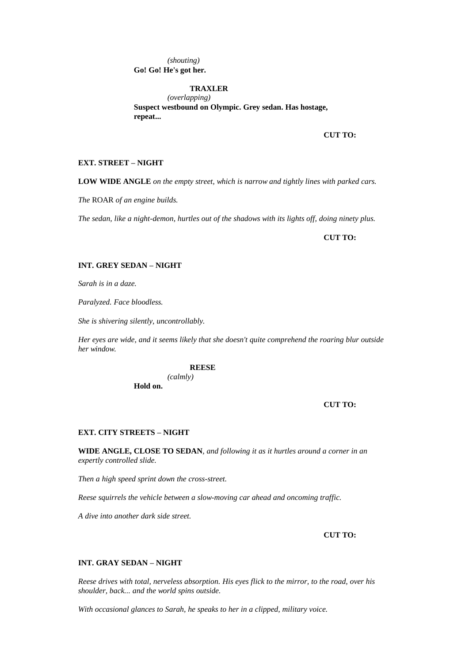*(shouting)* **Go! Go! He's got her.**

# **TRAXLER**

*(overlapping)* **Suspect westbound on Olympic. Grey sedan. Has hostage, repeat...** 

**CUT TO:**

# **EXT. STREET – NIGHT**

**LOW WIDE ANGLE** *on the empty street, which is narrow and tightly lines with parked cars.*

*The* ROAR *of an engine builds.*

*The sedan, like a night-demon, hurtles out of the shadows with its lights off, doing ninety plus.*

**CUT TO:**

### **INT. GREY SEDAN – NIGHT**

*Sarah is in a daze.*

*Paralyzed. Face bloodless.*

*She is shivering silently, uncontrollably.*

*Her eyes are wide, and it seems likely that she doesn't quite comprehend the roaring blur outside her window.*

#### **REESE**

*(calmly)* **Hold on.**

#### **CUT TO:**

#### **EXT. CITY STREETS – NIGHT**

**WIDE ANGLE, CLOSE TO SEDAN***, and following it as it hurtles around a corner in an expertly controlled slide.*

*Then a high speed sprint down the cross-street.*

*Reese squirrels the vehicle between a slow-moving car ahead and oncoming traffic.*

*A dive into another dark side street.*

## **CUT TO:**

### **INT. GRAY SEDAN – NIGHT**

*Reese drives with total, nerveless absorption. His eyes flick to the mirror, to the road, over his shoulder, back... and the world spins outside.*

*With occasional glances to Sarah, he speaks to her in a clipped, military voice.*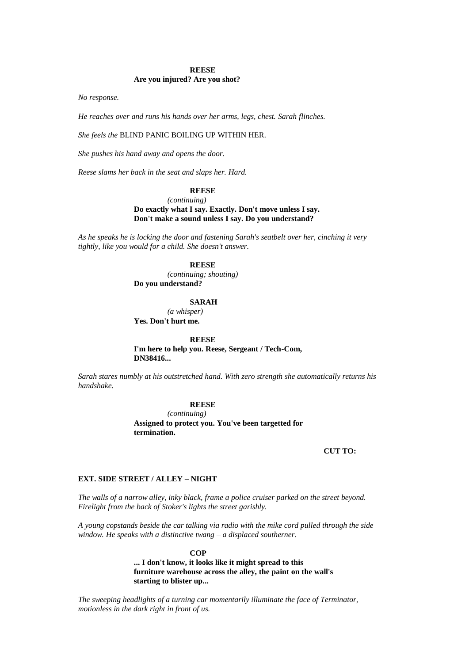#### **REESE**

#### **Are you injured? Are you shot?**

*No response.*

*He reaches over and runs his hands over her arms, legs, chest. Sarah flinches.*

#### *She feels the* BLIND PANIC BOILING UP WITHIN HER*.*

*She pushes his hand away and opens the door.*

*Reese slams her back in the seat and slaps her. Hard.*

#### **REESE**

```
(continuing)
```
**Do exactly what I say. Exactly. Don't move unless I say. Don't make a sound unless I say. Do you understand?**

*As he speaks he is locking the door and fastening Sarah's seatbelt over her, cinching it very tightly, like you would for a child. She doesn't answer.*

## **REESE**

*(continuing; shouting)* **Do you understand?**

**SARAH**

*(a whisper)* **Yes. Don't hurt me.**

**REESE**

**I'm here to help you. Reese, Sergeant / Tech-Com, DN38416...** 

*Sarah stares numbly at his outstretched hand. With zero strength she automatically returns his handshake.*

### **REESE**

*(continuing)* **Assigned to protect you. You've been targetted for termination.**

#### **CUT TO:**

### **EXT. SIDE STREET / ALLEY – NIGHT**

*The walls of a narrow alley, inky black, frame a police cruiser parked on the street beyond. Firelight from the back of Stoker's lights the street garishly.*

*A young copstands beside the car talking via radio with the mike cord pulled through the side window. He speaks with a distinctive twang – a displaced southerner.*

> **COP ... I don't know, it looks like it might spread to this furniture warehouse across the alley, the paint on the wall's starting to blister up...**

*The sweeping headlights of a turning car momentarily illuminate the face of Terminator, motionless in the dark right in front of us.*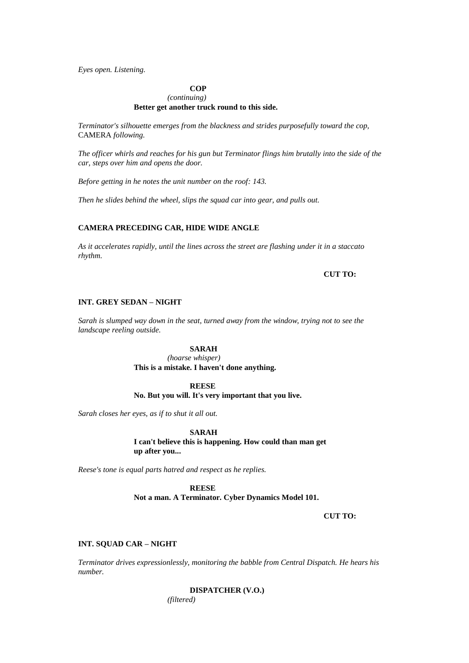*Eyes open. Listening.*

# **COP**

# *(continuing)* **Better get another truck round to this side.**

*Terminator's silhouette emerges from the blackness and strides purposefully toward the cop,*  CAMERA *following.*

*The officer whirls and reaches for his gun but Terminator flings him brutally into the side of the car, steps over him and opens the door.*

*Before getting in he notes the unit number on the roof: 143.*

*Then he slides behind the wheel, slips the squad car into gear, and pulls out.*

# **CAMERA PRECEDING CAR, HIDE WIDE ANGLE**

*As it accelerates rapidly, until the lines across the street are flashing under it in a staccato rhythm.*

**CUT TO:**

#### **INT. GREY SEDAN – NIGHT**

*Sarah is slumped way down in the seat, turned away from the window, trying not to see the landscape reeling outside.*

#### **SARAH**

*(hoarse whisper)* **This is a mistake. I haven't done anything.**

#### **REESE**

**No. But you will. It's very important that you live.**

*Sarah closes her eyes, as if to shut it all out.*

**SARAH**

**I can't believe this is happening. How could than man get up after you...** 

*Reese's tone is equal parts hatred and respect as he replies.*

**REESE**

**Not a man. A Terminator. Cyber Dynamics Model 101.**

**CUT TO:**

#### **INT. SQUAD CAR – NIGHT**

*Terminator drives expressionlessly, monitoring the babble from Central Dispatch. He hears his number.*

> **DISPATCHER (V.O.)** *(filtered)*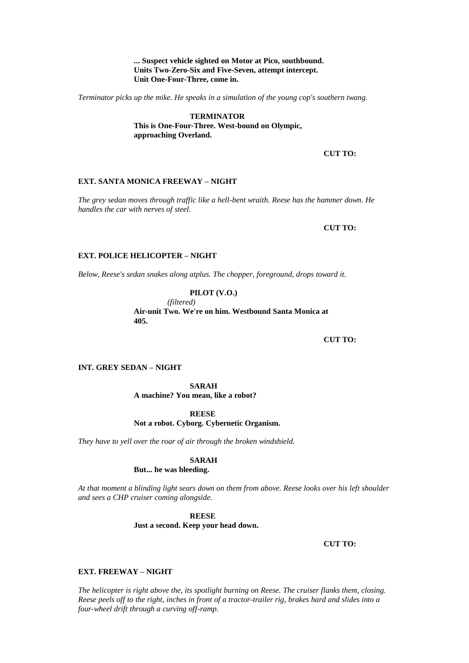## **... Suspect vehicle sighted on Motor at Pico, southbound. Units Two-Zero-Six and Five-Seven, attempt intercept. Unit One-Four-Three, come in.**

*Terminator picks up the mike. He speaks in a simulation of the young cop's southern twang.*

**TERMINATOR This is One-Four-Three. West-bound on Olympic, approaching Overland.**

**CUT TO:**

### **EXT. SANTA MONICA FREEWAY – NIGHT**

*The grey sedan moves through traffic like a hell-bent wraith. Reese has the hammer down. He handles the car with nerves of steel.*

**CUT TO:**

### **EXT. POLICE HELICOPTER – NIGHT**

*Below, Reese's sedan snakes along atplus. The chopper, foreground, drops toward it.*

**PILOT (V.O.)** *(filtered)* **Air-unit Two. We're on him. Westbound Santa Monica at 405.**

**CUT TO:**

# **INT. GREY SEDAN – NIGHT**

**SARAH A machine? You mean, like a robot?**

# **REESE**

# **Not a robot. Cyborg. Cybernetic Organism.**

*They have to yell over the roar of air through the broken windshield.*

### **SARAH**

# **But... he was bleeding.**

*At that moment a blinding light sears down on them from above. Reese looks over his left shoulder and sees a CHP cruiser coming alongside.*

> **REESE Just a second. Keep your head down.**

> > **CUT TO:**

### **EXT. FREEWAY – NIGHT**

*The helicopter is right above the, its spotlight burning on Reese. The cruiser flanks them, closing. Reese peels off to the right, inches in front of a tractor-trailer rig, brakes hard and slides into a four-wheel drift through a curving off-ramp.*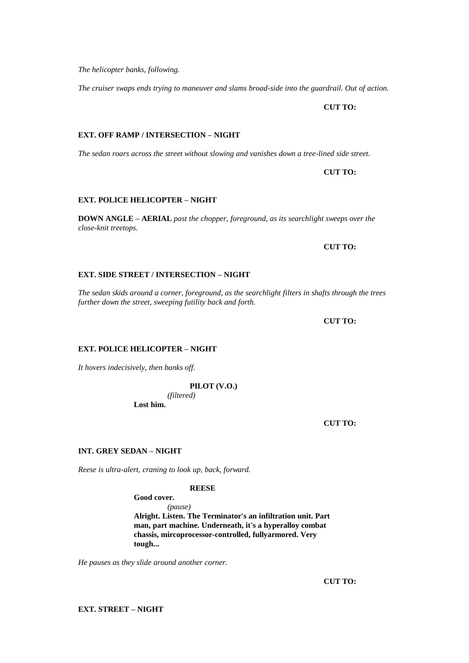**EXT. STREET – NIGHT**

*The helicopter banks, following.*

*The cruiser swaps ends trying to maneuver and slams broad-side into the guardrail. Out of action.*

**CUT TO:**

*The sedan roars across the street without slowing and vanishes down a tree-lined side street.*

**CUT TO:**

**DOWN ANGLE – AERIAL** *past the chopper, foreground, as its searchlight sweeps over the* 

**CUT TO:**

# **EXT. SIDE STREET / INTERSECTION – NIGHT**

**EXT. OFF RAMP / INTERSECTION – NIGHT**

**EXT. POLICE HELICOPTER – NIGHT**

*close-knit treetops.*

*The sedan skids around a corner, foreground, as the searchlight filters in shafts through the trees further down the street, sweeping futility back and forth.*

**CUT TO:**

# **EXT. POLICE HELICOPTER – NIGHT**

*It hovers indecisively, then banks off.*

**PILOT (V.O.)**

*(filtered)* **Lost him.**

**CUT TO:**

# **INT. GREY SEDAN – NIGHT**

*Reese is ultra-alert, craning to look up, back, forward.*

### **REESE**

**Good cover.**

*(pause)* **Alright. Listen. The Terminator's an infiltration unit. Part man, part machine. Underneath, it's a hyperalloy combat chassis, mircoprocessor-controlled, fullyarmored. Very tough...** 

*He pauses as they slide around another corner.*

**CUT TO:**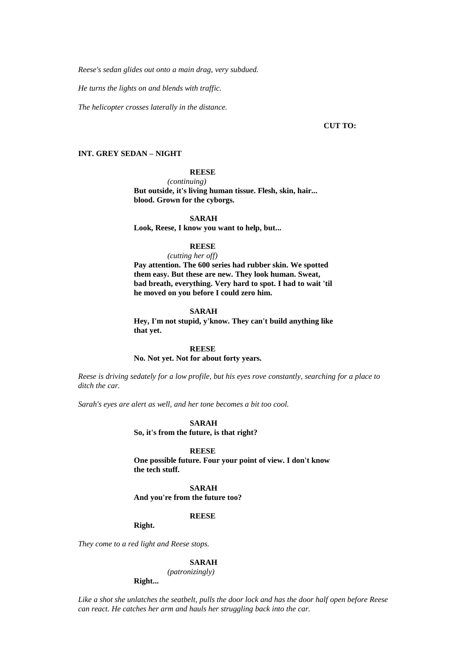*Reese's sedan glides out onto a main drag, very subdued.*

*He turns the lights on and blends with traffic.*

*The helicopter crosses laterally in the distance.*

### **CUT TO:**

# **INT. GREY SEDAN – NIGHT**

# **REESE**

*(continuing)* **But outside, it's living human tissue. Flesh, skin, hair... blood. Grown for the cyborgs.**

#### **SARAH**

**Look, Reese, I know you want to help, but...** 

#### **REESE**

#### *(cutting her off)*

**Pay attention. The 600 series had rubber skin. We spotted them easy. But these are new. They look human. Sweat, bad breath, everything. Very hard to spot. I had to wait 'til he moved on you before I could zero him.**

### **SARAH**

**Hey, I'm not stupid, y'know. They can't build anything like that yet.**

#### **REESE**

**No. Not yet. Not for about forty years.**

*Reese is driving sedately for a low profile, but his eyes rove constantly, searching for a place to ditch the car.*

*Sarah's eyes are alert as well, and her tone becomes a bit too cool.*

#### **SARAH**

#### **So, it's from the future, is that right?**

**REESE**

**One possible future. Four your point of view. I don't know the tech stuff.**

### **SARAH**

**And you're from the future too?**

### **REESE**

**Right.**

*They come to a red light and Reese stops.*

#### **SARAH**

*(patronizingly)*

# **Right...**

*Like a shot she unlatches the seatbelt, pulls the door lock and has the door half open before Reese can react. He catches her arm and hauls her struggling back into the car.*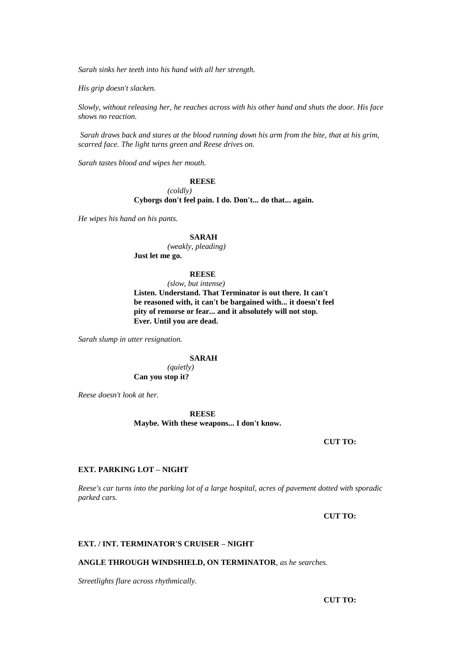*Sarah sinks her teeth into his hand with all her strength.*

*His grip doesn't slacken.*

*Slowly, without releasing her, he reaches across with his other hand and shuts the door. His face shows no reaction.*

*Sarah draws back and stares at the blood running down his arm from the bite, that at his grim, scarred face. The light turns green and Reese drives on.*

*Sarah tastes blood and wipes her mouth.*

# **REESE**

*(coldly)* **Cyborgs don't feel pain. I do. Don't... do that... again.**

*He wipes his hand on his pants.*

#### **SARAH**

*(weakly, pleading)* **Just let me go.**

#### **REESE**

*(slow, but intense)*

**Listen. Understand. That Terminator is out there. It can't be reasoned with, it can't be bargained with... it doesn't feel pity of remorse or fear... and it absolutely will not stop. Ever. Until you are dead.**

*Sarah slump in utter resignation.*

**SARAH**

*(quietly)* **Can you stop it?**

*Reese doesn't look at her.*

**REESE**

**Maybe. With these weapons... I don't know.**

**CUT TO:**

# **EXT. PARKING LOT – NIGHT**

*Reese's car turns into the parking lot of a large hospital, acres of pavement dotted with sporadic parked cars.*

**CUT TO:**

#### **EXT. / INT. TERMINATOR'S CRUISER – NIGHT**

**ANGLE THROUGH WINDSHIELD, ON TERMINATOR***, as he searches.*

*Streetlights flare across rhythmically.*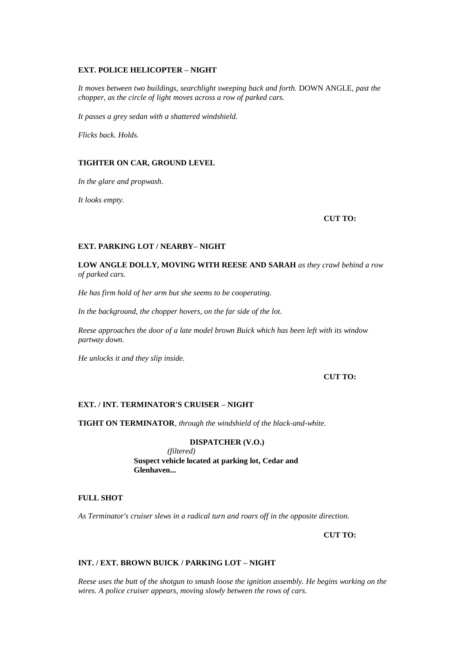### **EXT. POLICE HELICOPTER – NIGHT**

*It moves between two buildings, searchlight sweeping back and forth.* DOWN ANGLE*, past the chopper, as the circle of light moves across a row of parked cars.*

*It passes a grey sedan with a shattered windshield.*

*Flicks back. Holds.*

# **TIGHTER ON CAR, GROUND LEVEL**

*In the glare and propwash.*

*It looks empty.*

#### **CUT TO:**

# **EXT. PARKING LOT / NEARBY– NIGHT**

**LOW ANGLE DOLLY, MOVING WITH REESE AND SARAH** *as they crawl behind a row of parked cars.*

*He has firm hold of her arm but she seems to be cooperating.*

*In the background, the chopper hovers, on the far side of the lot.*

*Reese approaches the door of a late model brown Buick which has been left with its window partway down.*

*He unlocks it and they slip inside.*

# **CUT TO:**

### **EXT. / INT. TERMINATOR'S CRUISER – NIGHT**

**TIGHT ON TERMINATOR***, through the windshield of the black-and-white.*

#### **DISPATCHER (V.O.)**

*(filtered)* **Suspect vehicle located at parking lot, Cedar and Glenhaven...** 

# **FULL SHOT**

*As Terminator's cruiser slews in a radical turn and roars off in the opposite direction.*

**CUT TO:**

#### **INT. / EXT. BROWN BUICK / PARKING LOT – NIGHT**

*Reese uses the butt of the shotgun to smash loose the ignition assembly. He begins working on the wires. A police cruiser appears, moving slowly between the rows of cars.*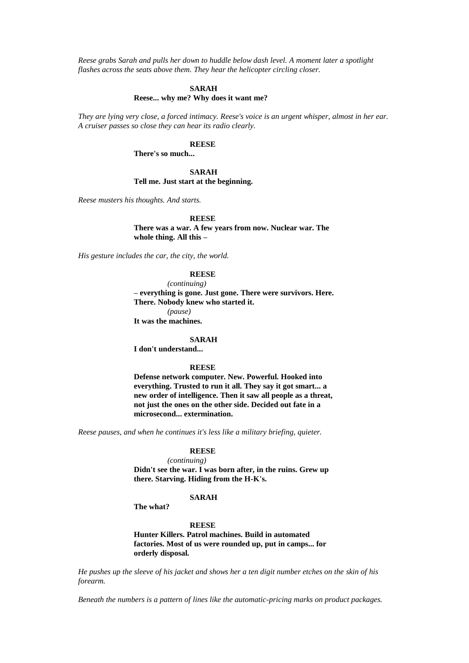*Reese grabs Sarah and pulls her down to huddle below dash level. A moment later a spotlight flashes across the seats above them. They hear the helicopter circling closer.*

#### **SARAH**

#### **Reese... why me? Why does it want me?**

*They are lying very close, a forced intimacy. Reese's voice is an urgent whisper, almost in her ear. A cruiser passes so close they can hear its radio clearly.*

#### **REESE**

**There's so much...** 

### **SARAH Tell me. Just start at the beginning.**

*Reese musters his thoughts. And starts.*

#### **REESE**

**There was a war. A few years from now. Nuclear war. The whole thing. All this –**

*His gesture includes the car, the city, the world.*

#### **REESE**

*(continuing)* **– everything is gone. Just gone. There were survivors. Here. There. Nobody knew who started it.** *(pause)* **It was the machines.**

#### **SARAH**

**I don't understand...** 

### **REESE**

**Defense network computer. New. Powerful. Hooked into everything. Trusted to run it all. They say it got smart... a new order of intelligence. Then it saw all people as a threat, not just the ones on the other side. Decided out fate in a microsecond... extermination.**

*Reese pauses, and when he continues it's less like a military briefing, quieter.*

#### **REESE**

*(continuing)*

**Didn't see the war. I was born after, in the ruins. Grew up there. Starving. Hiding from the H-K's.**

# **SARAH**

**The what?**

#### **REESE**

**Hunter Killers. Patrol machines. Build in automated factories. Most of us were rounded up, put in camps... for orderly disposal.**

*He pushes up the sleeve of his jacket and shows her a ten digit number etches on the skin of his forearm.*

*Beneath the numbers is a pattern of lines like the automatic-pricing marks on product packages.*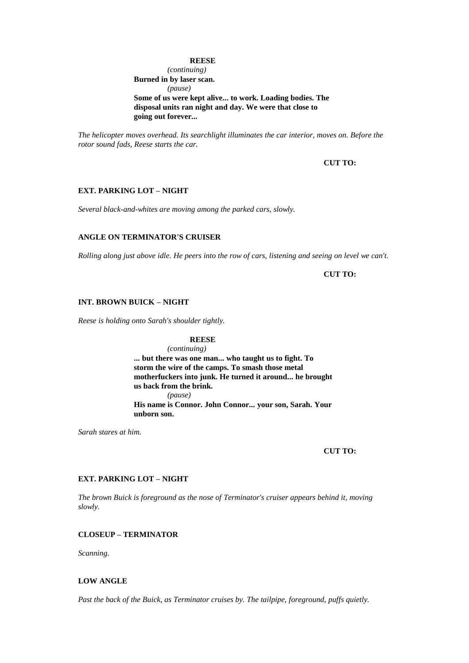### **REESE**

*(continuing)* **Burned in by laser scan.** *(pause)* **Some of us were kept alive... to work. Loading bodies. The disposal units ran night and day. We were that close to going out forever...** 

*The helicopter moves overhead. Its searchlight illuminates the car interior, moves on. Before the rotor sound fads, Reese starts the car.*

# **CUT TO:**

# **EXT. PARKING LOT – NIGHT**

*Several black-and-whites are moving among the parked cars, slowly.*

# **ANGLE ON TERMINATOR'S CRUISER**

*Rolling along just above idle. He peers into the row of cars, listening and seeing on level we can't.*

**CUT TO:**

### **INT. BROWN BUICK – NIGHT**

*Reese is holding onto Sarah's shoulder tightly.*

#### **REESE**

*(continuing)* **... but there was one man... who taught us to fight. To storm the wire of the camps. To smash those metal motherfuckers into junk. He turned it around... he brought us back from the brink.** *(pause)* **His name is Connor. John Connor... your son, Sarah. Your unborn son.**

*Sarah stares at him.*

#### **CUT TO:**

### **EXT. PARKING LOT – NIGHT**

*The brown Buick is foreground as the nose of Terminator's cruiser appears behind it, moving slowly.*

### **CLOSEUP – TERMINATOR**

*Scanning.*

#### **LOW ANGLE**

*Past the back of the Buick, as Terminator cruises by. The tailpipe, foreground, puffs quietly.*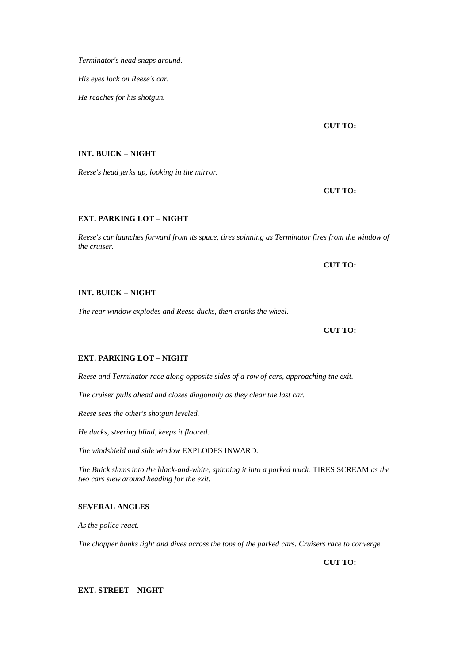*Terminator's head snaps around.*

*His eyes lock on Reese's car.*

*He reaches for his shotgun.*

**CUT TO:**

# **INT. BUICK – NIGHT**

*Reese's head jerks up, looking in the mirror.*

**CUT TO:**

# **EXT. PARKING LOT – NIGHT**

*Reese's car launches forward from its space, tires spinning as Terminator fires from the window of the cruiser.*

**CUT TO:**

# **INT. BUICK – NIGHT**

*The rear window explodes and Reese ducks, then cranks the wheel.*

**CUT TO:**

# **EXT. PARKING LOT – NIGHT**

*Reese and Terminator race along opposite sides of a row of cars, approaching the exit.*

*The cruiser pulls ahead and closes diagonally as they clear the last car.*

*Reese sees the other's shotgun leveled.*

*He ducks, steering blind, keeps it floored.*

*The windshield and side window* EXPLODES INWARD*.*

*The Buick slams into the black-and-white, spinning it into a parked truck.* TIRES SCREAM *as the two cars slew around heading for the exit.*

# **SEVERAL ANGLES**

*As the police react.*

*The chopper banks tight and dives across the tops of the parked cars. Cruisers race to converge.*

**CUT TO:**

**EXT. STREET – NIGHT**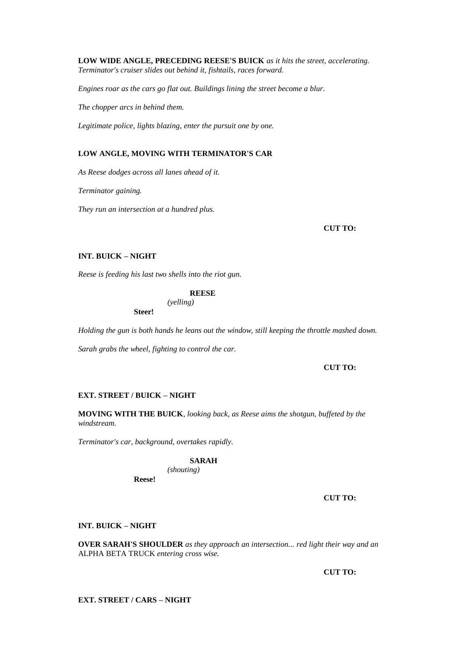**LOW WIDE ANGLE, PRECEDING REESE'S BUICK** *as it hits the street, accelerating. Terminator's cruiser slides out behind it, fishtails, races forward.*

*Engines roar as the cars go flat out. Buildings lining the street become a blur.*

*The chopper arcs in behind them.*

*Legitimate police, lights blazing, enter the pursuit one by one.*

# **LOW ANGLE, MOVING WITH TERMINATOR'S CAR**

*As Reese dodges across all lanes ahead of it.*

*Terminator gaining.*

*They run an intersection at a hundred plus.*

**CUT TO:**

# **INT. BUICK – NIGHT**

*Reese is feeding his last two shells into the riot gun.*

### **REESE**

*(yelling)* **Steer!**

*Holding the gun is both hands he leans out the window, still keeping the throttle mashed down.*

*Sarah grabs the wheel, fighting to control the car.*

#### **CUT TO:**

### **EXT. STREET / BUICK – NIGHT**

**MOVING WITH THE BUICK***, looking back, as Reese aims the shotgun, buffeted by the windstream.*

*Terminator's car, background, overtakes rapidly.*

# **SARAH**

*(shouting)*

**Reese!**

### **CUT TO:**

#### **INT. BUICK – NIGHT**

**OVER SARAH'S SHOULDER** *as they approach an intersection... red light their way and an*  ALPHA BETA TRUCK *entering cross wise.*

**CUT TO:**

**EXT. STREET / CARS – NIGHT**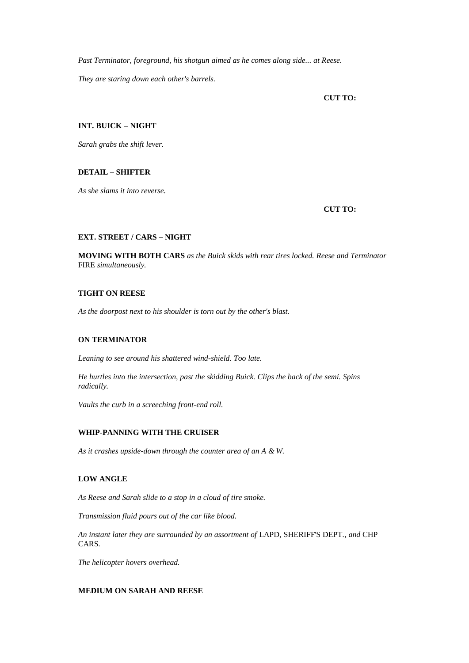*Past Terminator, foreground, his shotgun aimed as he comes along side... at Reese. They are staring down each other's barrels.*

**CUT TO:**

# **INT. BUICK – NIGHT**

*Sarah grabs the shift lever.*

# **DETAIL – SHIFTER**

*As she slams it into reverse.*

# **CUT TO:**

# **EXT. STREET / CARS – NIGHT**

**MOVING WITH BOTH CARS** *as the Buick skids with rear tires locked. Reese and Terminator*  FIRE *simultaneously.*

# **TIGHT ON REESE**

*As the doorpost next to his shoulder is torn out by the other's blast.*

# **ON TERMINATOR**

*Leaning to see around his shattered wind-shield. Too late.*

*He hurtles into the intersection, past the skidding Buick. Clips the back of the semi. Spins radically.*

*Vaults the curb in a screeching front-end roll.*

# **WHIP-PANNING WITH THE CRUISER**

*As it crashes upside-down through the counter area of an A & W.*

# **LOW ANGLE**

*As Reese and Sarah slide to a stop in a cloud of tire smoke.*

*Transmission fluid pours out of the car like blood.*

*An instant later they are surrounded by an assortment of* LAPD*,* SHERIFF'S DEPT*., and* CHP CARS*.*

*The helicopter hovers overhead.*

# **MEDIUM ON SARAH AND REESE**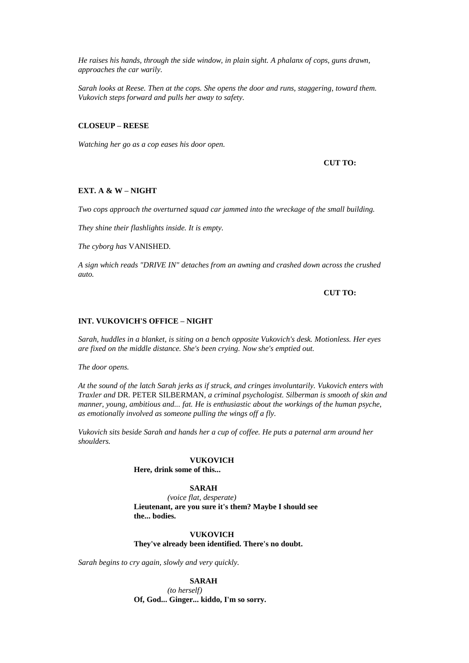*He raises his hands, through the side window, in plain sight. A phalanx of cops, guns drawn, approaches the car warily.*

*Sarah looks at Reese. Then at the cops. She opens the door and runs, staggering, toward them. Vukovich steps forward and pulls her away to safety.*

#### **CLOSEUP – REESE**

*Watching her go as a cop eases his door open.*

**CUT TO:**

### **EXT. A & W – NIGHT**

*Two cops approach the overturned squad car jammed into the wreckage of the small building.*

*They shine their flashlights inside. It is empty.*

*The cyborg has* VANISHED*.*

*A sign which reads "DRIVE IN" detaches from an awning and crashed down across the crushed auto.*

**CUT TO:**

### **INT. VUKOVICH'S OFFICE – NIGHT**

*Sarah, huddles in a blanket, is siting on a bench opposite Vukovich's desk. Motionless. Her eyes are fixed on the middle distance. She's been crying. Now she's emptied out.*

*The door opens.*

*At the sound of the latch Sarah jerks as if struck, and cringes involuntarily. Vukovich enters with Traxler and* DR. PETER SILBERMAN*, a criminal psychologist. Silberman is smooth of skin and manner, young, ambitious and... fat. He is enthusiastic about the workings of the human psyche, as emotionally involved as someone pulling the wings off a fly.*

*Vukovich sits beside Sarah and hands her a cup of coffee. He puts a paternal arm around her shoulders.*

### **VUKOVICH**

**Here, drink some of this...** 

#### **SARAH**

*(voice flat, desperate)* **Lieutenant, are you sure it's them? Maybe I should see the... bodies.**

**VUKOVICH They've already been identified. There's no doubt.**

*Sarah begins to cry again, slowly and very quickly.*

**SARAH** *(to herself)*

**Of, God... Ginger... kiddo, I'm so sorry.**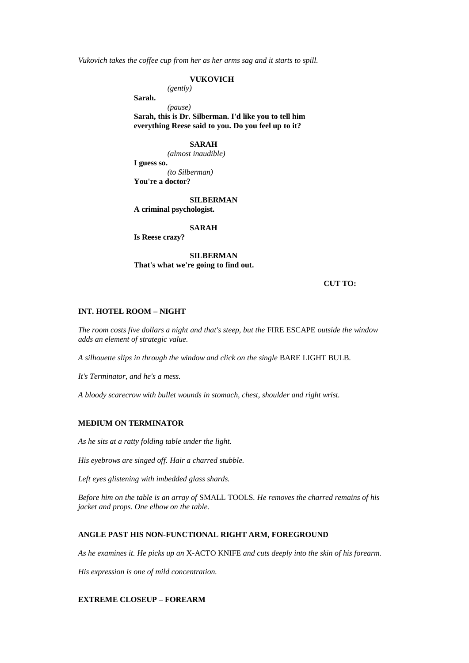*Vukovich takes the coffee cup from her as her arms sag and it starts to spill.*

#### **VUKOVICH**

*(gently)*

**Sarah.**

*(pause)*

**Sarah, this is Dr. Silberman. I'd like you to tell him everything Reese said to you. Do you feel up to it?**

### **SARAH**

*(almost inaudible)* **I guess so.** *(to Silberman)*

**You're a doctor?**

#### **SILBERMAN**

**A criminal psychologist.**

# **SARAH**

**Is Reese crazy?**

**SILBERMAN That's what we're going to find out.**

### **CUT TO:**

#### **INT. HOTEL ROOM – NIGHT**

*The room costs five dollars a night and that's steep, but the* FIRE ESCAPE *outside the window adds an element of strategic value.*

*A silhouette slips in through the window and click on the single* BARE LIGHT BULB*.*

*It's Terminator, and he's a mess.*

*A bloody scarecrow with bullet wounds in stomach, chest, shoulder and right wrist.*

#### **MEDIUM ON TERMINATOR**

*As he sits at a ratty folding table under the light.*

*His eyebrows are singed off. Hair a charred stubble.*

*Left eyes glistening with imbedded glass shards.*

*Before him on the table is an array of* SMALL TOOLS*. He removes the charred remains of his jacket and props. One elbow on the table.*

#### **ANGLE PAST HIS NON-FUNCTIONAL RIGHT ARM, FOREGROUND**

*As he examines it. He picks up an* X-ACTO KNIFE *and cuts deeply into the skin of his forearm.*

*His expression is one of mild concentration.*

# **EXTREME CLOSEUP – FOREARM**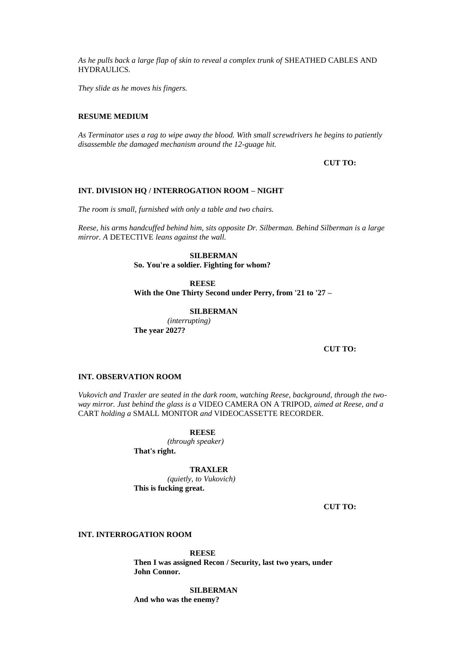*As he pulls back a large flap of skin to reveal a complex trunk of* SHEATHED CABLES AND HYDRAULICS*.*

*They slide as he moves his fingers.*

#### **RESUME MEDIUM**

*As Terminator uses a rag to wipe away the blood. With small screwdrivers he begins to patiently disassemble the damaged mechanism around the 12-guage hit.*

**CUT TO:**

#### **INT. DIVISION HQ / INTERROGATION ROOM – NIGHT**

*The room is small, furnished with only a table and two chairs.*

*Reese, his arms handcuffed behind him, sits opposite Dr. Silberman. Behind Silberman is a large mirror. A* DETECTIVE *leans against the wall.*

#### **SILBERMAN**

**So. You're a soldier. Fighting for whom?**

#### **REESE**

**With the One Thirty Second under Perry, from '21 to '27 –**

#### **SILBERMAN**

*(interrupting)* **The year 2027?**

#### **CUT TO:**

# **INT. OBSERVATION ROOM**

*Vukovich and Traxler are seated in the dark room, watching Reese, background, through the twoway mirror. Just behind the glass is a* VIDEO CAMERA ON A TRIPOD*, aimed at Reese, and a*  CART *holding a* SMALL MONITOR *and* VIDEOCASSETTE RECORDER*.*

#### **REESE**

*(through speaker)* **That's right.**

**TRAXLER** *(quietly, to Vukovich)* **This is fucking great.**

**CUT TO:**

### **INT. INTERROGATION ROOM**

**REESE Then I was assigned Recon / Security, last two years, under John Connor.**

**SILBERMAN And who was the enemy?**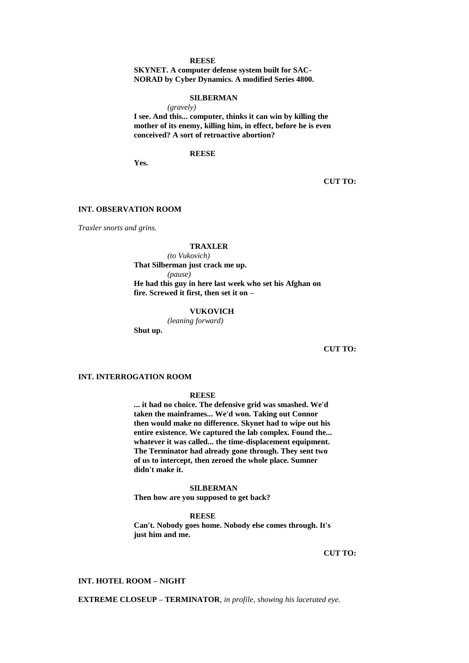#### **REESE**

**SKYNET. A computer defense system built for SAC-NORAD by Cyber Dynamics. A modified Series 4800.**

#### **SILBERMAN**

*(gravely)* **I see. And this... computer, thinks it can win by killing the mother of its enemy, killing him, in effect, before he is even conceived? A sort of retroactive abortion?**

**REESE**

**Yes.**

**CUT TO:**

#### **INT. OBSERVATION ROOM**

*Traxler snorts and grins.*

#### **TRAXLER**

*(to Vukovich)* **That Silberman just crack me up.** *(pause)* **He had this guy in here last week who set his Afghan on fire. Screwed it first, then set it on –**

#### **VUKOVICH**

*(leaning forward)*

**Shut up.**

### **CUT TO:**

# **INT. INTERROGATION ROOM**

#### **REESE**

**... it had no choice. The defensive grid was smashed. We'd taken the mainframes... We'd won. Taking out Connor then would make no difference. Skynet had to wipe out his entire existence. We captured the lab complex. Found the... whatever it was called... the time-displacement equipment. The Terminator had already gone through. They sent two of us to intercept, then zeroed the whole place. Sumner didn't make it.**

#### **SILBERMAN**

**Then how are you supposed to get back?**

**REESE**

**Can't. Nobody goes home. Nobody else comes through. It's just him and me.**

**CUT TO:**

#### **INT. HOTEL ROOM – NIGHT**

**EXTREME CLOSEUP – TERMINATOR***, in profile, showing his lacerated eye.*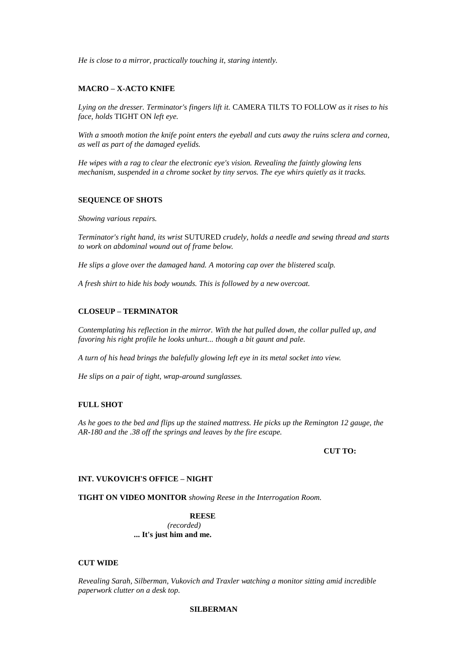*He is close to a mirror, practically touching it, staring intently.*

### **MACRO – X-ACTO KNIFE**

*Lying on the dresser. Terminator's fingers lift it.* CAMERA TILTS TO FOLLOW *as it rises to his face, holds* TIGHT ON *left eye.*

*With a smooth motion the knife point enters the eyeball and cuts away the ruins sclera and cornea, as well as part of the damaged eyelids.*

*He wipes with a rag to clear the electronic eye's vision. Revealing the faintly glowing lens mechanism, suspended in a chrome socket by tiny servos. The eye whirs quietly as it tracks.*

#### **SEQUENCE OF SHOTS**

*Showing various repairs.*

*Terminator's right hand, its wrist* SUTURED *crudely, holds a needle and sewing thread and starts to work on abdominal wound out of frame below.*

*He slips a glove over the damaged hand. A motoring cap over the blistered scalp.*

*A fresh shirt to hide his body wounds. This is followed by a new overcoat.*

#### **CLOSEUP – TERMINATOR**

*Contemplating his reflection in the mirror. With the hat pulled down, the collar pulled up, and favoring his right profile he looks unhurt... though a bit gaunt and pale.*

*A turn of his head brings the balefully glowing left eye in its metal socket into view.*

*He slips on a pair of tight, wrap-around sunglasses.*

## **FULL SHOT**

*As he goes to the bed and flips up the stained mattress. He picks up the Remington 12 gauge, the AR-180 and the .38 off the springs and leaves by the fire escape.*

#### **CUT TO:**

### **INT. VUKOVICH'S OFFICE – NIGHT**

**TIGHT ON VIDEO MONITOR** *showing Reese in the Interrogation Room.*

**REESE** *(recorded)* **... It's just him and me.**

### **CUT WIDE**

*Revealing Sarah, Silberman, Vukovich and Traxler watching a monitor sitting amid incredible paperwork clutter on a desk top.*

## **SILBERMAN**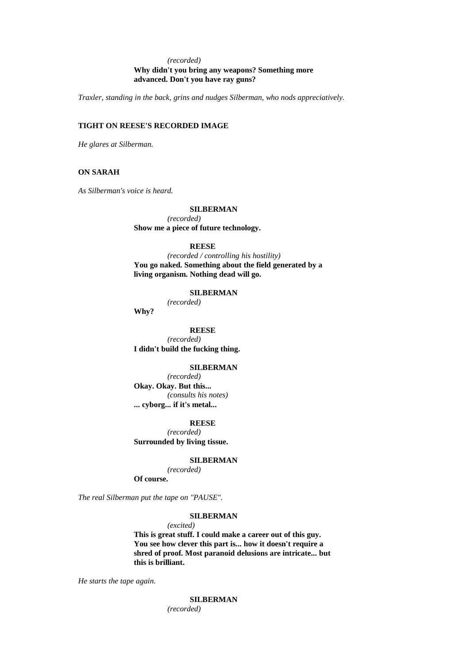# *(recorded)* **Why didn't you bring any weapons? Something more advanced. Don't you have ray guns?**

*Traxler, standing in the back, grins and nudges Silberman, who nods appreciatively.*

# **TIGHT ON REESE'S RECORDED IMAGE**

*He glares at Silberman.*

### **ON SARAH**

*As Silberman's voice is heard.*

### **SILBERMAN**

*(recorded)* **Show me a piece of future technology.**

#### **REESE**

*(recorded / controlling his hostility)* **You go naked. Something about the field generated by a living organism. Nothing dead will go.**

#### **SILBERMAN**

*(recorded)* **Why?**

**REESE** *(recorded)* **I didn't build the fucking thing.**

#### **SILBERMAN**

*(recorded)* **Okay. Okay. But this...**  *(consults his notes)* **... cyborg... if it's metal...** 

#### **REESE**

*(recorded)* **Surrounded by living tissue.**

#### **SILBERMAN**

*(recorded)*

**Of course.**

*The real Silberman put the tape on "PAUSE".*

### **SILBERMAN**

*(excited)*

**This is great stuff. I could make a career out of this guy. You see how clever this part is... how it doesn't require a shred of proof. Most paranoid delusions are intricate... but this is brilliant.**

*He starts the tape again.*

**SILBERMAN** *(recorded)*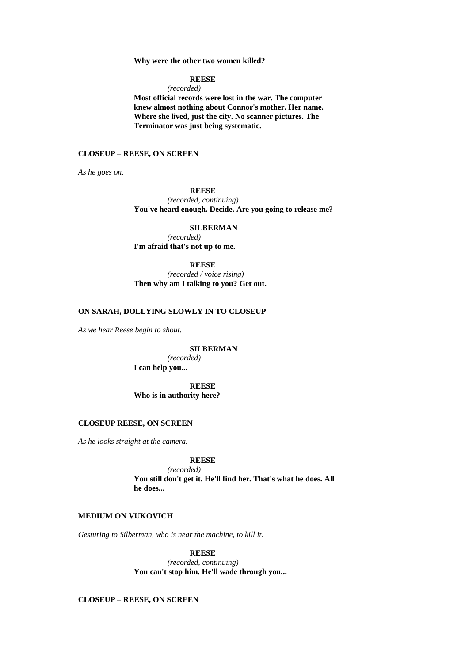#### **Why were the other two women killed?**

#### **REESE**

*(recorded)*

**Most official records were lost in the war. The computer knew almost nothing about Connor's mother. Her name. Where she lived, just the city. No scanner pictures. The Terminator was just being systematic.**

# **CLOSEUP – REESE, ON SCREEN**

*As he goes on.*

#### **REESE**

*(recorded, continuing)* **You've heard enough. Decide. Are you going to release me?**

### **SILBERMAN** *(recorded)*

**I'm afraid that's not up to me.**

# **REESE**

*(recorded / voice rising)* **Then why am I talking to you? Get out.**

### **ON SARAH, DOLLYING SLOWLY IN TO CLOSEUP**

*As we hear Reese begin to shout.*

#### **SILBERMAN**

*(recorded)* **I can help you...** 

# **REESE Who is in authority here?**

# **CLOSEUP REESE, ON SCREEN**

*As he looks straight at the camera.*

# **REESE**

*(recorded)* **You still don't get it. He'll find her. That's what he does. All he does...** 

# **MEDIUM ON VUKOVICH**

*Gesturing to Silberman, who is near the machine, to kill it.*

#### **REESE**

*(recorded, continuing)* **You can't stop him. He'll wade through you...** 

# **CLOSEUP – REESE, ON SCREEN**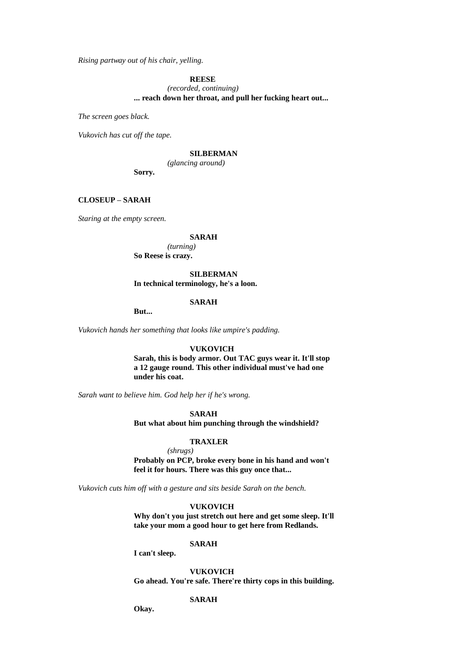*Rising partway out of his chair, yelling.*

**REESE**

*(recorded, continuing)* **... reach down her throat, and pull her fucking heart out...** 

*The screen goes black.*

*Vukovich has cut off the tape.*

# **SILBERMAN**

*(glancing around)* **Sorry.**

### **CLOSEUP – SARAH**

*Staring at the empty screen.*

## **SARAH**

*(turning)* **So Reese is crazy.**

#### **SILBERMAN**

**In technical terminology, he's a loon.**

#### **SARAH**

**But...** 

*Vukovich hands her something that looks like umpire's padding.*

#### **VUKOVICH**

**Sarah, this is body armor. Out TAC guys wear it. It'll stop a 12 gauge round. This other individual must've had one under his coat.**

*Sarah want to believe him. God help her if he's wrong.*

#### **SARAH**

**But what about him punching through the windshield?**

#### **TRAXLER**

*(shrugs)* **Probably on PCP, broke every bone in his hand and won't feel it for hours. There was this guy once that...** 

*Vukovich cuts him off with a gesture and sits beside Sarah on the bench.*

### **VUKOVICH**

**Why don't you just stretch out here and get some sleep. It'll take your mom a good hour to get here from Redlands.**

#### **SARAH**

**I can't sleep.**

#### **VUKOVICH**

**Go ahead. You're safe. There're thirty cops in this building.**

# **SARAH**

**Okay.**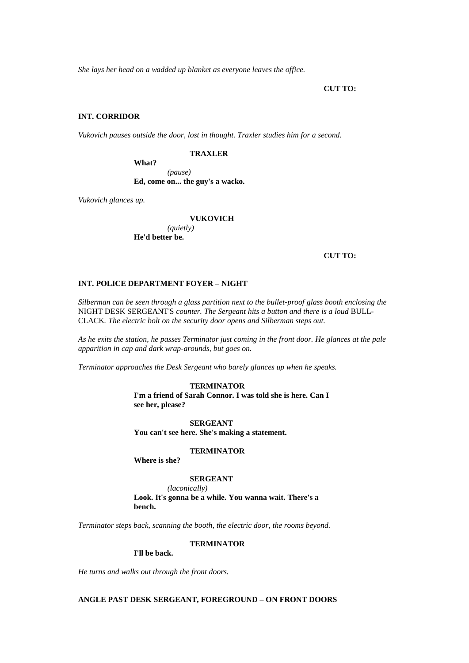*She lays her head on a wadded up blanket as everyone leaves the office.*

**CUT TO:**

## **INT. CORRIDOR**

*Vukovich pauses outside the door, lost in thought. Traxler studies him for a second.*

#### **TRAXLER**

**What?** *(pause)* **Ed, come on... the guy's a wacko.**

*Vukovich glances up.*

**VUKOVICH**

*(quietly)* **He'd better be.**

**CUT TO:**

# **INT. POLICE DEPARTMENT FOYER – NIGHT**

*Silberman can be seen through a glass partition next to the bullet-proof glass booth enclosing the*  NIGHT DESK SERGEANT'S *counter. The Sergeant hits a button and there is a loud* BULL-CLACK*. The electric bolt on the security door opens and Silberman steps out.*

*As he exits the station, he passes Terminator just coming in the front door. He glances at the pale apparition in cap and dark wrap-arounds, but goes on.*

*Terminator approaches the Desk Sergeant who barely glances up when he speaks.*

## **TERMINATOR**

**I'm a friend of Sarah Connor. I was told she is here. Can I see her, please?**

**SERGEANT You can't see here. She's making a statement.**

#### **TERMINATOR**

**Where is she?**

## **SERGEANT**

*(laconically)* **Look. It's gonna be a while. You wanna wait. There's a bench.**

*Terminator steps back, scanning the booth, the electric door, the rooms beyond.*

**TERMINATOR**

**I'll be back.**

*He turns and walks out through the front doors.*

# **ANGLE PAST DESK SERGEANT, FOREGROUND – ON FRONT DOORS**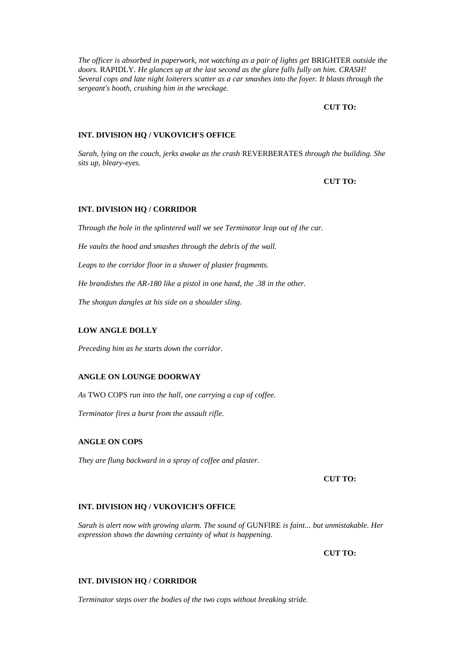*The officer is absorbed in paperwork, not watching as a pair of lights get* BRIGHTER *outside the doors.* RAPIDLY*. He glances up at the last second as the glare falls fully on him. CRASH! Several cops and late night loiterers scatter as a car smashes into the foyer. It blasts through the sergeant's booth, crushing him in the wreckage.*

## **CUT TO:**

#### **INT. DIVISION HQ / VUKOVICH'S OFFICE**

*Sarah, lying on the couch, jerks awake as the crash* REVERBERATES *through the building. She sits up, bleary-eyes.*

#### **CUT TO:**

#### **INT. DIVISION HQ / CORRIDOR**

*Through the hole in the splintered wall we see Terminator leap out of the car.*

*He vaults the hood and smashes through the debris of the wall.*

*Leaps to the corridor floor in a shower of plaster fragments.*

*He brandishes the AR-180 like a pistol in one hand, the .38 in the other.*

*The shotgun dangles at his side on a shoulder sling.*

## **LOW ANGLE DOLLY**

*Preceding him as he starts down the corridor.*

# **ANGLE ON LOUNGE DOORWAY**

*As* TWO COPS *run into the hall, one carrying a cup of coffee.*

*Terminator fires a burst from the assault rifle.*

#### **ANGLE ON COPS**

*They are flung backward in a spray of coffee and plaster.*

**CUT TO:**

#### **INT. DIVISION HQ / VUKOVICH'S OFFICE**

*Sarah is alert now with growing alarm. The sound of* GUNFIRE *is faint... but unmistakable. Her expression shows the dawning certainty of what is happening.*

**CUT TO:**

#### **INT. DIVISION HQ / CORRIDOR**

*Terminator steps over the bodies of the two cops without breaking stride.*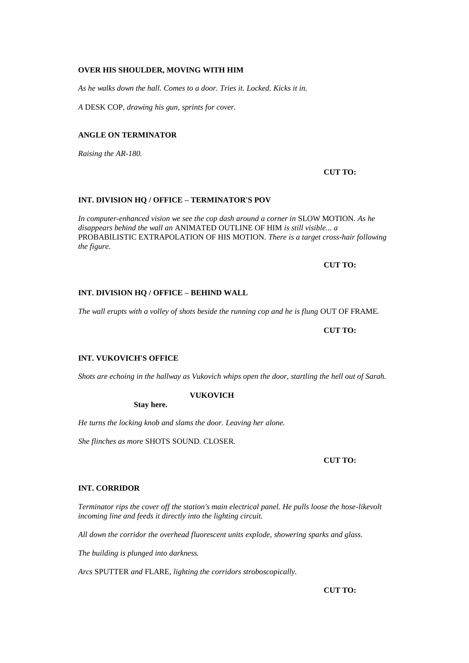## **OVER HIS SHOULDER, MOVING WITH HIM**

*As he walks down the hall. Comes to a door. Tries it. Locked. Kicks it in.*

*A* DESK COP*, drawing his gun, sprints for cover.*

#### **ANGLE ON TERMINATOR**

*Raising the AR-180.*

**CUT TO:**

## **INT. DIVISION HQ / OFFICE – TERMINATOR'S POV**

*In computer-enhanced vision we see the cop dash around a corner in* SLOW MOTION*. As he disappears behind the wall an* ANIMATED OUTLINE OF HIM *is still visible... a*  PROBABILISTIC EXTRAPOLATION OF HIS MOTION*. There is a target cross-hair following the figure.*

**CUT TO:**

## **INT. DIVISION HQ / OFFICE – BEHIND WALL**

*The wall erupts with a volley of shots beside the running cop and he is flung* OUT OF FRAME*.*

**CUT TO:**

## **INT. VUKOVICH'S OFFICE**

*Shots are echoing in the hallway as Vukovich whips open the door, startling the hell out of Sarah.*

#### **VUKOVICH**

**Stay here.**

*He turns the locking knob and slams the door. Leaving her alone.*

*She flinches as more* SHOTS SOUND*.* CLOSER*.*

**CUT TO:**

#### **INT. CORRIDOR**

*Terminator rips the cover off the station's main electrical panel. He pulls loose the hose-likevolt incoming line and feeds it directly into the lighting circuit.*

*All down the corridor the overhead fluorescent units explode, showering sparks and glass.*

*The building is plunged into darkness.*

*Arcs* SPUTTER *and* FLARE*, lighting the corridors stroboscopically.*

**CUT TO:**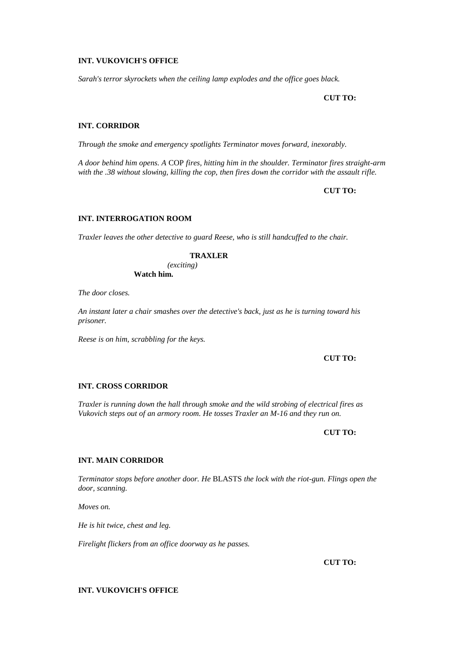#### **INT. VUKOVICH'S OFFICE**

*Sarah's terror skyrockets when the ceiling lamp explodes and the office goes black.*

**CUT TO:**

## **INT. CORRIDOR**

*Through the smoke and emergency spotlights Terminator moves forward, inexorably.*

*A door behind him opens. A* COP *fires, hitting him in the shoulder. Terminator fires straight-arm with the .38 without slowing, killing the cop, then fires down the corridor with the assault rifle.*

**CUT TO:**

# **INT. INTERROGATION ROOM**

*Traxler leaves the other detective to guard Reese, who is still handcuffed to the chair.*

#### **TRAXLER**

*(exciting)* **Watch him.**

*The door closes.*

*An instant later a chair smashes over the detective's back, just as he is turning toward his prisoner.*

*Reese is on him, scrabbling for the keys.*

## **CUT TO:**

# **INT. CROSS CORRIDOR**

*Traxler is running down the hall through smoke and the wild strobing of electrical fires as Vukovich steps out of an armory room. He tosses Traxler an M-16 and they run on.*

## **CUT TO:**

## **INT. MAIN CORRIDOR**

*Terminator stops before another door. He* BLASTS *the lock with the riot-gun. Flings open the door, scanning.*

*Moves on.*

*He is hit twice, chest and leg.*

*Firelight flickers from an office doorway as he passes.*

**CUT TO:**

## **INT. VUKOVICH'S OFFICE**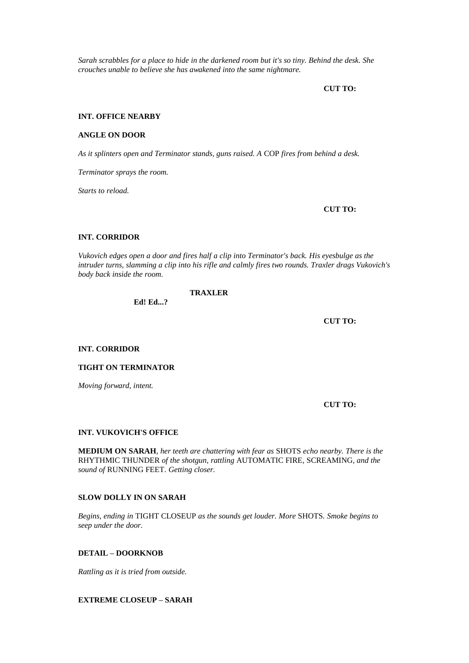*Sarah scrabbles for a place to hide in the darkened room but it's so tiny. Behind the desk. She crouches unable to believe she has awakened into the same nightmare.*

**CUT TO:**

#### **INT. OFFICE NEARBY**

#### **ANGLE ON DOOR**

*As it splinters open and Terminator stands, guns raised. A* COP *fires from behind a desk.*

*Terminator sprays the room.*

*Starts to reload.*

**CUT TO:**

# **INT. CORRIDOR**

*Vukovich edges open a door and fires half a clip into Terminator's back. His eyesbulge as the intruder turns, slamming a clip into his rifle and calmly fires two rounds. Traxler drags Vukovich's body back inside the room.*

**TRAXLER**

**Ed! Ed...?**

**CUT TO:**

**INT. CORRIDOR**

**TIGHT ON TERMINATOR**

*Moving forward, intent.*

**CUT TO:**

#### **INT. VUKOVICH'S OFFICE**

**MEDIUM ON SARAH***, her teeth are chattering with fear as* SHOTS *echo nearby. There is the*  RHYTHMIC THUNDER *of the shotgun, rattling* AUTOMATIC FIRE*,* SCREAMING*, and the sound of* RUNNING FEET*. Getting closer.*

## **SLOW DOLLY IN ON SARAH**

*Begins, ending in* TIGHT CLOSEUP *as the sounds get louder. More* SHOTS*. Smoke begins to seep under the door.*

## **DETAIL – DOORKNOB**

*Rattling as it is tried from outside.*

**EXTREME CLOSEUP – SARAH**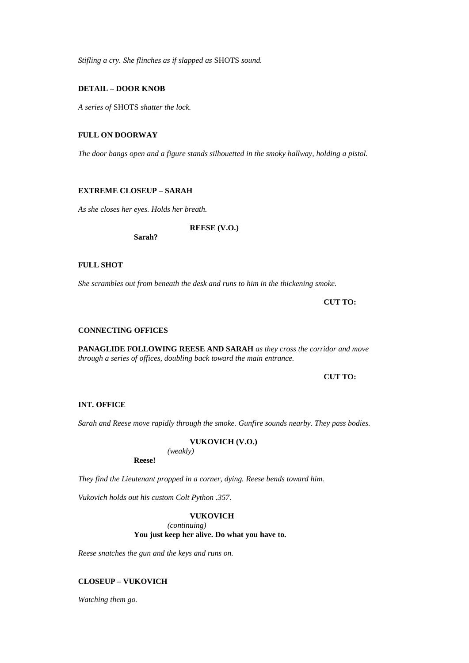*Stifling a cry. She flinches as if slapped as* SHOTS *sound.*

#### **DETAIL – DOOR KNOB**

*A series of* SHOTS *shatter the lock.*

# **FULL ON DOORWAY**

*The door bangs open and a figure stands silhouetted in the smoky hallway, holding a pistol.*

## **EXTREME CLOSEUP – SARAH**

*As she closes her eyes. Holds her breath.*

**REESE (V.O.)**

**Sarah?**

## **FULL SHOT**

*She scrambles out from beneath the desk and runs to him in the thickening smoke.*

**CUT TO:**

## **CONNECTING OFFICES**

**PANAGLIDE FOLLOWING REESE AND SARAH** *as they cross the corridor and move through a series of offices, doubling back toward the main entrance.*

**CUT TO:**

### **INT. OFFICE**

*Sarah and Reese move rapidly through the smoke. Gunfire sounds nearby. They pass bodies.*

## **VUKOVICH (V.O.)**

**Reese!**

*They find the Lieutenant propped in a corner, dying. Reese bends toward him.*

*Vukovich holds out his custom Colt Python .357.*

## **VUKOVICH**

*(continuing)*

*(weakly)*

**You just keep her alive. Do what you have to.**

*Reese snatches the gun and the keys and runs on.*

# **CLOSEUP – VUKOVICH**

*Watching them go.*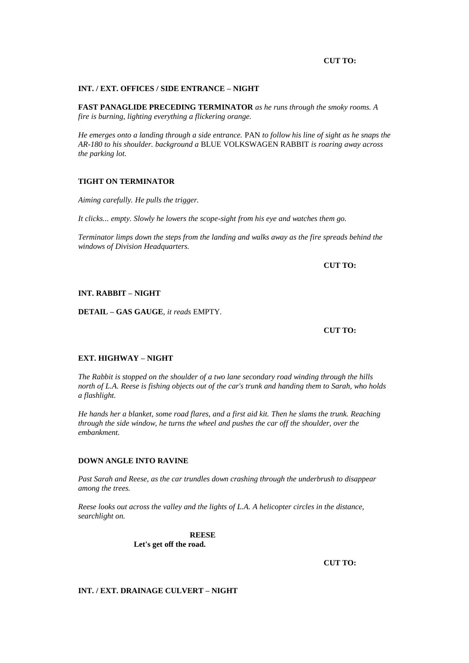#### **CUT TO:**

#### **INT. / EXT. OFFICES / SIDE ENTRANCE – NIGHT**

**FAST PANAGLIDE PRECEDING TERMINATOR** *as he runs through the smoky rooms. A fire is burning, lighting everything a flickering orange.*

*He emerges onto a landing through a side entrance.* PAN *to follow his line of sight as he snaps the AR-180 to his shoulder. background a* BLUE VOLKSWAGEN RABBIT *is roaring away across the parking lot.*

## **TIGHT ON TERMINATOR**

*Aiming carefully. He pulls the trigger.*

*It clicks... empty. Slowly he lowers the scope-sight from his eye and watches them go.*

*Terminator limps down the steps from the landing and walks away as the fire spreads behind the windows of Division Headquarters.*

**CUT TO:**

# **INT. RABBIT – NIGHT**

**DETAIL – GAS GAUGE***, it reads* EMPTY*.*

**CUT TO:**

# **EXT. HIGHWAY – NIGHT**

*The Rabbit is stopped on the shoulder of a two lane secondary road winding through the hills north of L.A. Reese is fishing objects out of the car's trunk and handing them to Sarah, who holds a flashlight.*

*He hands her a blanket, some road flares, and a first aid kit. Then he slams the trunk. Reaching through the side window, he turns the wheel and pushes the car off the shoulder, over the embankment.*

# **DOWN ANGLE INTO RAVINE**

*Past Sarah and Reese, as the car trundles down crashing through the underbrush to disappear among the trees.*

*Reese looks out across the valley and the lights of L.A. A helicopter circles in the distance, searchlight on.*

> **REESE Let's get off the road.**

> > **CUT TO:**

## **INT. / EXT. DRAINAGE CULVERT – NIGHT**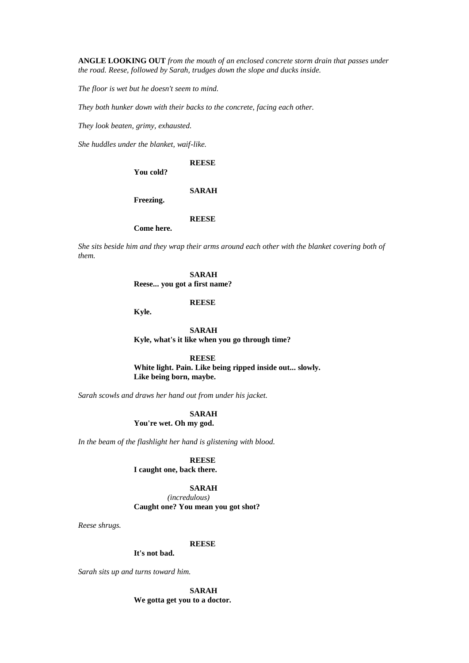**ANGLE LOOKING OUT** *from the mouth of an enclosed concrete storm drain that passes under the road. Reese, followed by Sarah, trudges down the slope and ducks inside.*

*The floor is wet but he doesn't seem to mind.*

*They both hunker down with their backs to the concrete, facing each other.*

*They look beaten, grimy, exhausted.*

*She huddles under the blanket, waif-like.*

#### **REESE**

**You cold?**

#### **SARAH**

**Freezing.**

## **REESE**

**Come here.**

*She sits beside him and they wrap their arms around each other with the blanket covering both of them.*

**SARAH**

**Reese... you got a first name?**

**REESE**

**Kyle.**

**SARAH Kyle, what's it like when you go through time?**

**REESE White light. Pain. Like being ripped inside out... slowly. Like being born, maybe.**

*Sarah scowls and draws her hand out from under his jacket.*

**SARAH You're wet. Oh my god.**

*In the beam of the flashlight her hand is glistening with blood.*

# **REESE**

**I caught one, back there.**

### **SARAH**

*(incredulous)* **Caught one? You mean you got shot?**

*Reese shrugs.*

#### **REESE**

**It's not bad.**

*Sarah sits up and turns toward him.*

**SARAH We gotta get you to a doctor.**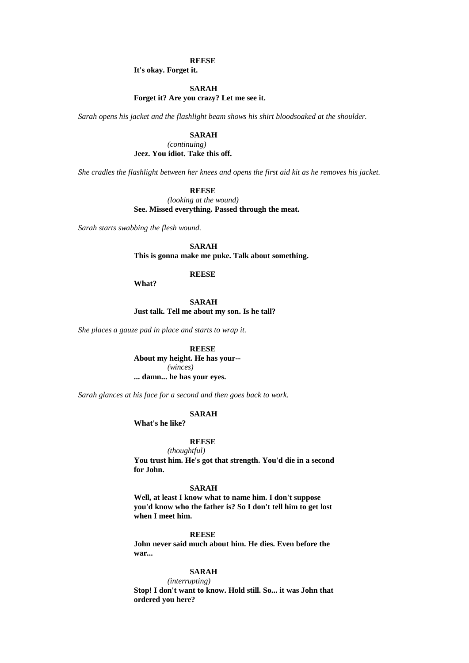## **REESE**

**It's okay. Forget it.**

#### **SARAH**

**Forget it? Are you crazy? Let me see it.**

*Sarah opens his jacket and the flashlight beam shows his shirt bloodsoaked at the shoulder.*

## **SARAH**

*(continuing)* **Jeez. You idiot. Take this off.**

*She cradles the flashlight between her knees and opens the first aid kit as he removes his jacket.*

#### **REESE**

*(looking at the wound)* **See. Missed everything. Passed through the meat.**

*Sarah starts swabbing the flesh wound.*

#### **SARAH**

**This is gonna make me puke. Talk about something.**

#### **REESE**

**What?**

**SARAH Just talk. Tell me about my son. Is he tall?**

*She places a gauze pad in place and starts to wrap it.*

# **REESE**

**About my height. He has your--** *(winces)* **... damn... he has your eyes.**

*Sarah glances at his face for a second and then goes back to work.*

## **SARAH**

**What's he like?**

# **REESE**

*(thoughtful)* **You trust him. He's got that strength. You'd die in a second for John.**

#### **SARAH**

**Well, at least I know what to name him. I don't suppose you'd know who the father is? So I don't tell him to get lost when I meet him.**

#### **REESE**

**John never said much about him. He dies. Even before the war...** 

#### **SARAH**

*(interrupting)*

**Stop! I don't want to know. Hold still. So... it was John that ordered you here?**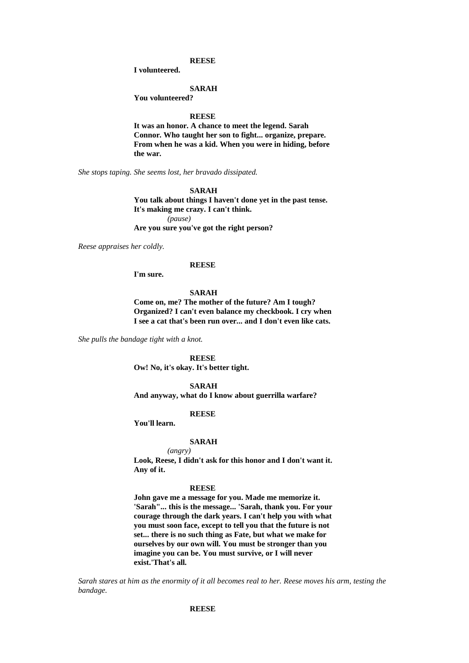#### **REESE**

**I volunteered.**

#### **SARAH**

**You volunteered?**

#### **REESE**

**It was an honor. A chance to meet the legend. Sarah Connor. Who taught her son to fight... organize, prepare. From when he was a kid. When you were in hiding, before the war.**

*She stops taping. She seems lost, her bravado dissipated.*

## **SARAH**

**You talk about things I haven't done yet in the past tense. It's making me crazy. I can't think.**

*(pause)*

**Are you sure you've got the right person?**

*Reese appraises her coldly.*

#### **REESE**

**I'm sure.**

#### **SARAH**

**Come on, me? The mother of the future? Am I tough? Organized? I can't even balance my checkbook. I cry when I see a cat that's been run over... and I don't even like cats.**

*She pulls the bandage tight with a knot.*

**REESE Ow! No, it's okay. It's better tight.**

# **SARAH**

**And anyway, what do I know about guerrilla warfare?**

# **REESE**

**You'll learn.**

## **SARAH**

*(angry)* **Look, Reese, I didn't ask for this honor and I don't want it. Any of it.**

#### **REESE**

**John gave me a message for you. Made me memorize it. 'Sarah"... this is the message... 'Sarah, thank you. For your courage through the dark years. I can't help you with what you must soon face, except to tell you that the future is not set... there is no such thing as Fate, but what we make for ourselves by our own will. You must be stronger than you imagine you can be. You must survive, or I will never exist.'That's all.**

*Sarah stares at him as the enormity of it all becomes real to her. Reese moves his arm, testing the bandage.*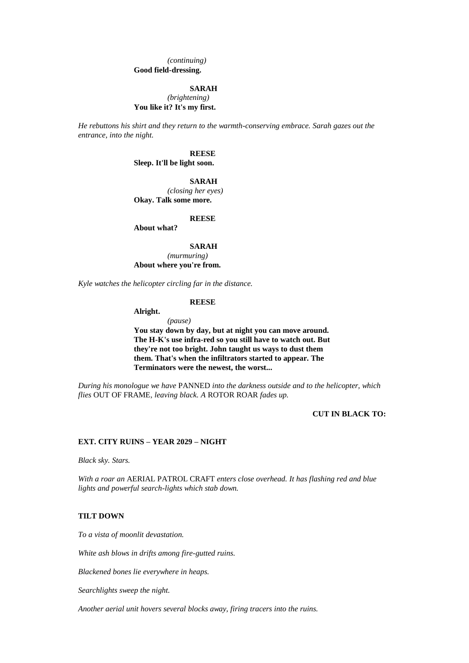*(continuing)* **Good field-dressing.**

#### **SARAH**

*(brightening)* **You like it? It's my first.**

*He rebuttons his shirt and they return to the warmth-conserving embrace. Sarah gazes out the entrance, into the night.*

> **REESE Sleep. It'll be light soon.**

**SARAH** *(closing her eyes)* **Okay. Talk some more.**

**REESE**

**About what?**

**SARAH**

*(murmuring)* **About where you're from.**

*Kyle watches the helicopter circling far in the distance.*

#### **REESE**

**Alright.**

*(pause)* **You stay down by day, but at night you can move around. The H-K's use infra-red so you still have to watch out. But they're not too bright. John taught us ways to dust them them. That's when the infiltrators started to appear. The Terminators were the newest, the worst...** 

*During his monologue we have* PANNED *into the darkness outside and to the helicopter, which flies* OUT OF FRAME*, leaving black. A* ROTOR ROAR *fades up.*

**CUT IN BLACK TO:**

#### **EXT. CITY RUINS – YEAR 2029 – NIGHT**

*Black sky. Stars.*

*With a roar an* AERIAL PATROL CRAFT *enters close overhead. It has flashing red and blue lights and powerful search-lights which stab down.*

## **TILT DOWN**

*To a vista of moonlit devastation.*

*White ash blows in drifts among fire-gutted ruins.*

*Blackened bones lie everywhere in heaps.*

*Searchlights sweep the night.*

*Another aerial unit hovers several blocks away, firing tracers into the ruins.*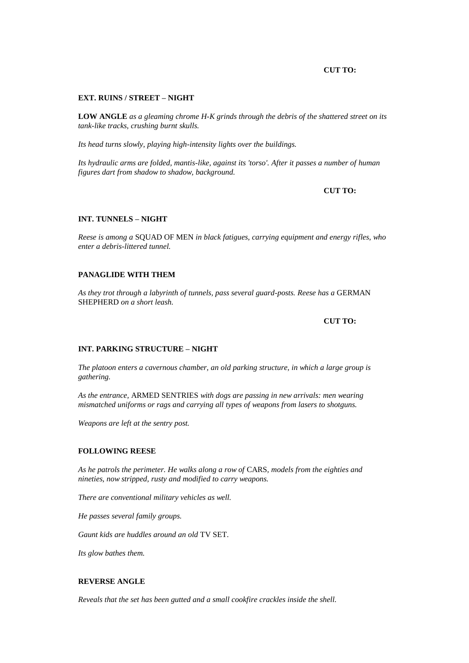## **CUT TO:**

#### **EXT. RUINS / STREET – NIGHT**

**LOW ANGLE** *as a gleaming chrome H-K grinds through the debris of the shattered street on its tank-like tracks, crushing burnt skulls.*

*Its head turns slowly, playing high-intensity lights over the buildings.*

*Its hydraulic arms are folded, mantis-like, against its 'torso'. After it passes a number of human figures dart from shadow to shadow, background.*

**CUT TO:**

## **INT. TUNNELS – NIGHT**

*Reese is among a* SQUAD OF MEN *in black fatigues, carrying equipment and energy rifles, who enter a debris-littered tunnel.*

## **PANAGLIDE WITH THEM**

As they trot through a labyrinth of tunnels, pass several guard-posts. Reese has a GERMAN SHEPHERD *on a short leash.*

**CUT TO:**

#### **INT. PARKING STRUCTURE – NIGHT**

*The platoon enters a cavernous chamber, an old parking structure, in which a large group is gathering.*

*As the entrance,* ARMED SENTRIES *with dogs are passing in new arrivals: men wearing mismatched uniforms or rags and carrying all types of weapons from lasers to shotguns.*

*Weapons are left at the sentry post.*

#### **FOLLOWING REESE**

*As he patrols the perimeter. He walks along a row of* CARS*, models from the eighties and nineties, now stripped, rusty and modified to carry weapons.*

*There are conventional military vehicles as well.*

*He passes several family groups.*

*Gaunt kids are huddles around an old* TV SET*.*

*Its glow bathes them.*

#### **REVERSE ANGLE**

*Reveals that the set has been gutted and a small cookfire crackles inside the shell.*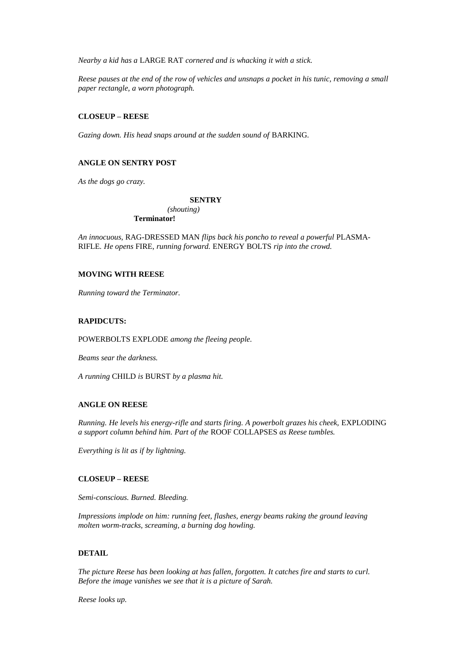*Nearby a kid has a* LARGE RAT *cornered and is whacking it with a stick.*

*Reese pauses at the end of the row of vehicles and unsnaps a pocket in his tunic, removing a small paper rectangle, a worn photograph.*

## **CLOSEUP – REESE**

*Gazing down. His head snaps around at the sudden sound of* BARKING*.*

# **ANGLE ON SENTRY POST**

*As the dogs go crazy.*

#### **SENTRY**

*(shouting)* **Terminator!**

*An innocuous,* RAG-DRESSED MAN *flips back his poncho to reveal a powerful* PLASMA-RIFLE*. He opens* FIRE*, running forward.* ENERGY BOLTS *rip into the crowd.*

## **MOVING WITH REESE**

*Running toward the Terminator.*

#### **RAPIDCUTS:**

POWERBOLTS EXPLODE *among the fleeing people.*

*Beams sear the darkness.*

*A running* CHILD *is* BURST *by a plasma hit.*

### **ANGLE ON REESE**

*Running. He levels his energy-rifle and starts firing. A powerbolt grazes his cheek,* EXPLODING *a support column behind him. Part of the* ROOF COLLAPSES *as Reese tumbles.*

*Everything is lit as if by lightning.*

## **CLOSEUP – REESE**

*Semi-conscious. Burned. Bleeding.*

*Impressions implode on him: running feet, flashes, energy beams raking the ground leaving molten worm-tracks, screaming, a burning dog howling.*

## **DETAIL**

*The picture Reese has been looking at has fallen, forgotten. It catches fire and starts to curl. Before the image vanishes we see that it is a picture of Sarah.*

*Reese looks up.*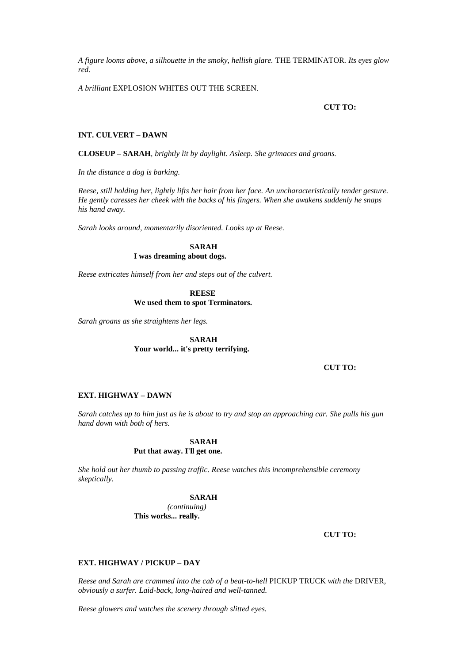*A figure looms above, a silhouette in the smoky, hellish glare.* THE TERMINATOR*. Its eyes glow red.*

*A brilliant* EXPLOSION WHITES OUT THE SCREEN*.*

## **CUT TO:**

#### **INT. CULVERT – DAWN**

**CLOSEUP – SARAH***, brightly lit by daylight. Asleep. She grimaces and groans.*

*In the distance a dog is barking.*

*Reese, still holding her, lightly lifts her hair from her face. An uncharacteristically tender gesture. He gently caresses her cheek with the backs of his fingers. When she awakens suddenly he snaps his hand away.*

*Sarah looks around, momentarily disoriented. Looks up at Reese.*

**SARAH I was dreaming about dogs.**

*Reese extricates himself from her and steps out of the culvert.*

#### **REESE We used them to spot Terminators.**

*Sarah groans as she straightens her legs.*

# **SARAH Your world... it's pretty terrifying.**

**CUT TO:**

## **EXT. HIGHWAY – DAWN**

*skeptically.*

*Sarah catches up to him just as he is about to try and stop an approaching car. She pulls his gun hand down with both of hers.*

#### **SARAH Put that away. I'll get one.**

*She hold out her thumb to passing traffic. Reese watches this incomprehensible ceremony* 

#### **SARAH**

*(continuing)* **This works... really.**

**CUT TO:**

## **EXT. HIGHWAY / PICKUP – DAY**

*Reese and Sarah are crammed into the cab of a beat-to-hell* PICKUP TRUCK *with the* DRIVER*, obviously a surfer. Laid-back, long-haired and well-tanned.*

*Reese glowers and watches the scenery through slitted eyes.*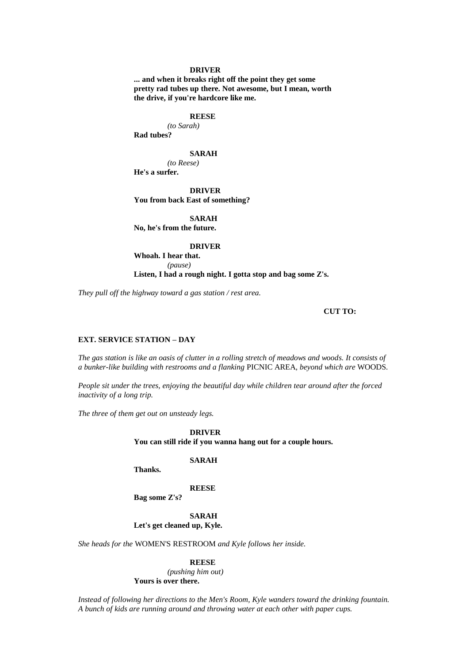#### **DRIVER**

**... and when it breaks right off the point they get some pretty rad tubes up there. Not awesome, but I mean, worth the drive, if you're hardcore like me.**

## **REESE**

*(to Sarah)* **Rad tubes?**

## **SARAH**

*(to Reese)* **He's a surfer.**

**DRIVER You from back East of something?**

**SARAH No, he's from the future.**

#### **DRIVER**

**Whoah. I hear that.** *(pause)* **Listen, I had a rough night. I gotta stop and bag some Z's.**

*They pull off the highway toward a gas station / rest area.*

#### **CUT TO:**

# **EXT. SERVICE STATION – DAY**

*The gas station is like an oasis of clutter in a rolling stretch of meadows and woods. It consists of a bunker-like building with restrooms and a flanking* PICNIC AREA*, beyond which are* WOODS*.*

*People sit under the trees, enjoying the beautiful day while children tear around after the forced inactivity of a long trip.*

*The three of them get out on unsteady legs.*

**DRIVER You can still ride if you wanna hang out for a couple hours.**

#### **SARAH**

**Thanks.**

#### **REESE**

**Bag some Z's?**

**SARAH Let's get cleaned up, Kyle.**

*She heads for the* WOMEN'S RESTROOM *and Kyle follows her inside.*

#### **REESE**

*(pushing him out)* **Yours is over there.**

*Instead of following her directions to the Men's Room, Kyle wanders toward the drinking fountain. A bunch of kids are running around and throwing water at each other with paper cups.*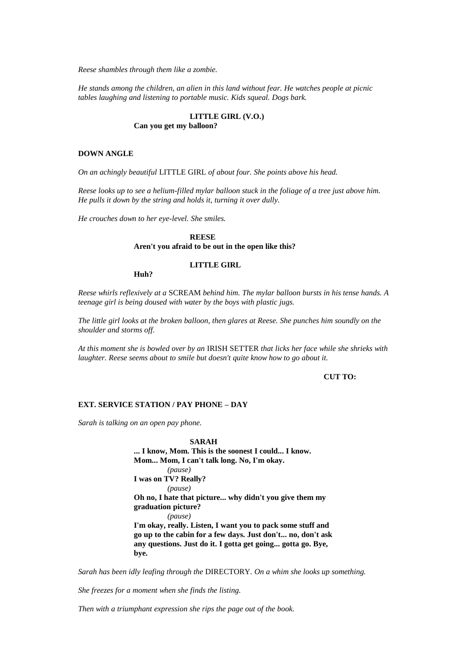*Reese shambles through them like a zombie.*

*He stands among the children, an alien in this land without fear. He watches people at picnic tables laughing and listening to portable music. Kids squeal. Dogs bark.*

## **LITTLE GIRL (V.O.) Can you get my balloon?**

## **DOWN ANGLE**

*On an achingly beautiful* LITTLE GIRL *of about four. She points above his head.*

*Reese looks up to see a helium-filled mylar balloon stuck in the foliage of a tree just above him. He pulls it down by the string and holds it, turning it over dully.*

*He crouches down to her eye-level. She smiles.*

**Huh?**

## **REESE Aren't you afraid to be out in the open like this?**

# **LITTLE GIRL**

*Reese whirls reflexively at a* SCREAM *behind him. The mylar balloon bursts in his tense hands. A teenage girl is being doused with water by the boys with plastic jugs.*

*The little girl looks at the broken balloon, then glares at Reese. She punches him soundly on the shoulder and storms off.*

*At this moment she is bowled over by an* IRISH SETTER *that licks her face while she shrieks with laughter. Reese seems about to smile but doesn't quite know how to go about it.*

#### **CUT TO:**

## **EXT. SERVICE STATION / PAY PHONE – DAY**

*Sarah is talking on an open pay phone.*

**SARAH ... I know, Mom. This is the soonest I could... I know. Mom... Mom, I can't talk long. No, I'm okay.** *(pause)* **I was on TV? Really?** *(pause)* **Oh no, I hate that picture... why didn't you give them my graduation picture?** *(pause)* **I'm okay, really. Listen, I want you to pack some stuff and go up to the cabin for a few days. Just don't... no, don't ask any questions. Just do it. I gotta get going... gotta go. Bye, bye.**

*Sarah has been idly leafing through the* DIRECTORY*. On a whim she looks up something.*

*She freezes for a moment when she finds the listing.*

*Then with a triumphant expression she rips the page out of the book.*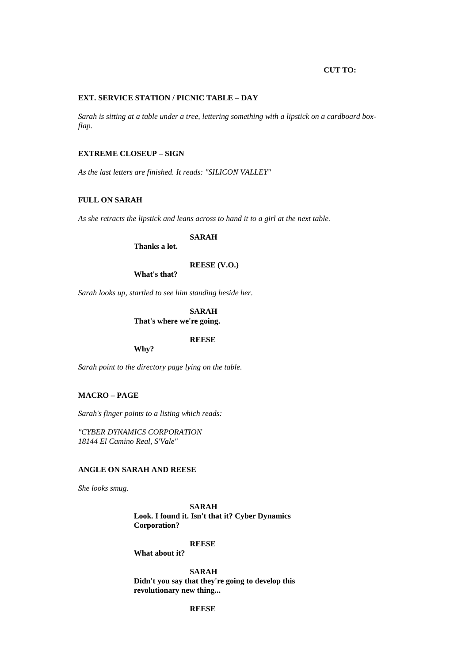## **CUT TO:**

#### **EXT. SERVICE STATION / PICNIC TABLE – DAY**

*Sarah is sitting at a table under a tree, lettering something with a lipstick on a cardboard boxflap.*

# **EXTREME CLOSEUP – SIGN**

*As the last letters are finished. It reads: "SILICON VALLEY"*

# **FULL ON SARAH**

*As she retracts the lipstick and leans across to hand it to a girl at the next table.*

**SARAH**

**Thanks a lot.**

## **REESE (V.O.)**

**What's that?**

*Sarah looks up, startled to see him standing beside her.*

**SARAH That's where we're going.**

**REESE**

**Why?**

*Sarah point to the directory page lying on the table.*

## **MACRO – PAGE**

*Sarah's finger points to a listing which reads:* 

*"CYBER DYNAMICS CORPORATION 18144 El Camino Real, S'Vale"*

# **ANGLE ON SARAH AND REESE**

*She looks smug.*

**SARAH Look. I found it. Isn't that it? Cyber Dynamics Corporation?**

#### **REESE**

**What about it?**

**SARAH Didn't you say that they're going to develop this revolutionary new thing...** 

# **REESE**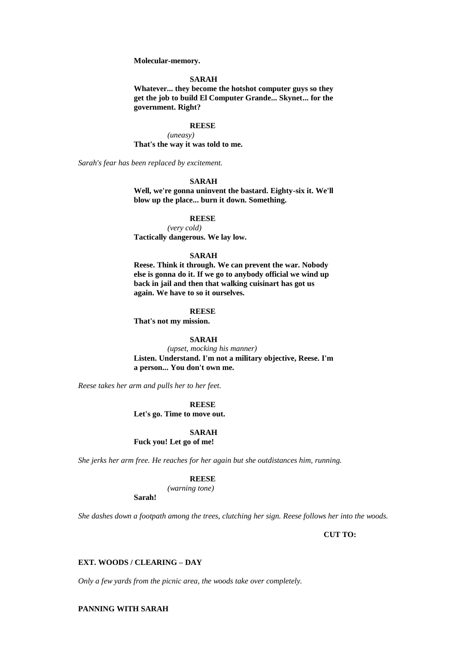**Molecular-memory.**

#### **SARAH**

**Whatever... they become the hotshot computer guys so they get the job to build El Computer Grande... Skynet... for the government. Right?**

#### **REESE**

*(uneasy)* **That's the way it was told to me.**

*Sarah's fear has been replaced by excitement.*

#### **SARAH**

**Well, we're gonna uninvent the bastard. Eighty-six it. We'll blow up the place... burn it down. Something.**

#### **REESE**

*(very cold)* **Tactically dangerous. We lay low.**

## **SARAH**

**Reese. Think it through. We can prevent the war. Nobody else is gonna do it. If we go to anybody official we wind up back in jail and then that walking cuisinart has got us again. We have to so it ourselves.**

#### **REESE**

**That's not my mission.**

# **SARAH**

*(upset, mocking his manner)* **Listen. Understand. I'm not a military objective, Reese. I'm a person... You don't own me.**

*Reese takes her arm and pulls her to her feet.*

**REESE**

**Let's go. Time to move out.**

#### **SARAH**

**Fuck you! Let go of me!**

*She jerks her arm free. He reaches for her again but she outdistances him, running.*

#### **REESE**

*(warning tone)*

**Sarah!**

*She dashes down a footpath among the trees, clutching her sign. Reese follows her into the woods.*

**CUT TO:**

## **EXT. WOODS / CLEARING – DAY**

*Only a few yards from the picnic area, the woods take over completely.*

# **PANNING WITH SARAH**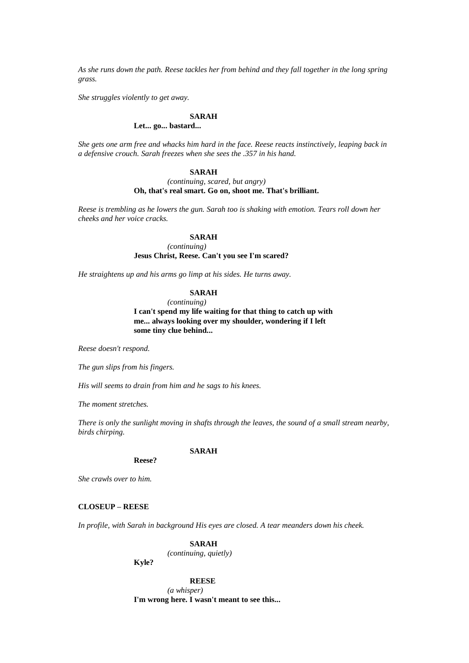*As she runs down the path. Reese tackles her from behind and they fall together in the long spring grass.*

*She struggles violently to get away.*

## **SARAH**

## **Let... go... bastard...**

*She gets one arm free and whacks him hard in the face. Reese reacts instinctively, leaping back in a defensive crouch. Sarah freezes when she sees the .357 in his hand.*

#### **SARAH**

#### *(continuing, scared, but angry)* **Oh, that's real smart. Go on, shoot me. That's brilliant.**

*Reese is trembling as he lowers the gun. Sarah too is shaking with emotion. Tears roll down her cheeks and her voice cracks.*

# **SARAH**

*(continuing)*

## **Jesus Christ, Reese. Can't you see I'm scared?**

*He straightens up and his arms go limp at his sides. He turns away.*

## **SARAH**

*(continuing)*

**I can't spend my life waiting for that thing to catch up with me... always looking over my shoulder, wondering if I left some tiny clue behind...** 

*Reese doesn't respond.*

*The gun slips from his fingers.*

*His will seems to drain from him and he sags to his knees.*

*The moment stretches.*

*There is only the sunlight moving in shafts through the leaves, the sound of a small stream nearby, birds chirping.*

#### **SARAH**

**Reese?**

*She crawls over to him.*

#### **CLOSEUP – REESE**

*In profile, with Sarah in background His eyes are closed. A tear meanders down his cheek.*

# **SARAH**

*(continuing, quietly)*

**Kyle?**

**REESE** *(a whisper)*

**I'm wrong here. I wasn't meant to see this...**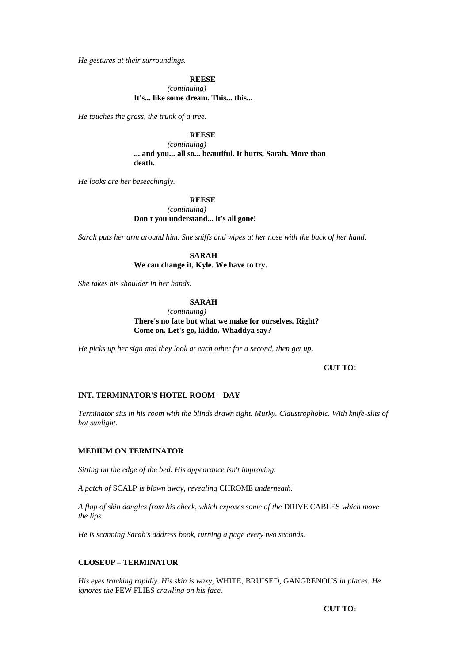*He gestures at their surroundings.*

**REESE**

*(continuing)* **It's... like some dream. This... this...** 

*He touches the grass, the trunk of a tree.*

#### **REESE**

*(continuing)* **... and you... all so... beautiful. It hurts, Sarah. More than death.**

*He looks are her beseechingly.*

**REESE**

*(continuing)* **Don't you understand... it's all gone!**

*Sarah puts her arm around him. She sniffs and wipes at her nose with the back of her hand.*

**SARAH We can change it, Kyle. We have to try.**

*She takes his shoulder in her hands.*

**SARAH**

*(continuing)* **There's no fate but what we make for ourselves. Right? Come on. Let's go, kiddo. Whaddya say?**

*He picks up her sign and they look at each other for a second, then get up.*

#### **CUT TO:**

## **INT. TERMINATOR'S HOTEL ROOM – DAY**

*Terminator sits in his room with the blinds drawn tight. Murky. Claustrophobic. With knife-slits of hot sunlight.*

#### **MEDIUM ON TERMINATOR**

*Sitting on the edge of the bed. His appearance isn't improving.*

*A patch of* SCALP *is blown away, revealing* CHROME *underneath.*

*A flap of skin dangles from his cheek, which exposes some of the* DRIVE CABLES *which move the lips.*

*He is scanning Sarah's address book, turning a page every two seconds.*

#### **CLOSEUP – TERMINATOR**

*His eyes tracking rapidly. His skin is waxy,* WHITE*,* BRUISED*,* GANGRENOUS *in places. He ignores the* FEW FLIES *crawling on his face.*

**CUT TO:**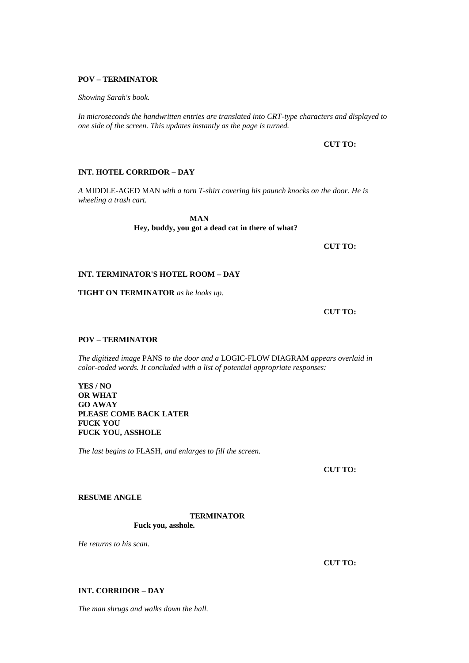#### **POV – TERMINATOR**

*Showing Sarah's book.*

*In microseconds the handwritten entries are translated into CRT-type characters and displayed to one side of the screen. This updates instantly as the page is turned.*

## **CUT TO:**

## **INT. HOTEL CORRIDOR – DAY**

*A* MIDDLE-AGED MAN *with a torn T-shirt covering his paunch knocks on the door. He is wheeling a trash cart.*

> **MAN Hey, buddy, you got a dead cat in there of what?**

> > **CUT TO:**

## **INT. TERMINATOR'S HOTEL ROOM – DAY**

**TIGHT ON TERMINATOR** *as he looks up.*

**CUT TO:**

# **POV – TERMINATOR**

*The digitized image* PANS *to the door and a* LOGIC-FLOW DIAGRAM *appears overlaid in color-coded words. It concluded with a list of potential appropriate responses:*

**YES / NO OR WHAT GO AWAY PLEASE COME BACK LATER FUCK YOU FUCK YOU, ASSHOLE**

*The last begins to* FLASH*, and enlarges to fill the screen.*

**CUT TO:**

# **RESUME ANGLE**

## **TERMINATOR**

**Fuck you, asshole.**

*He returns to his scan.*

**CUT TO:**

## **INT. CORRIDOR – DAY**

*The man shrugs and walks down the hall.*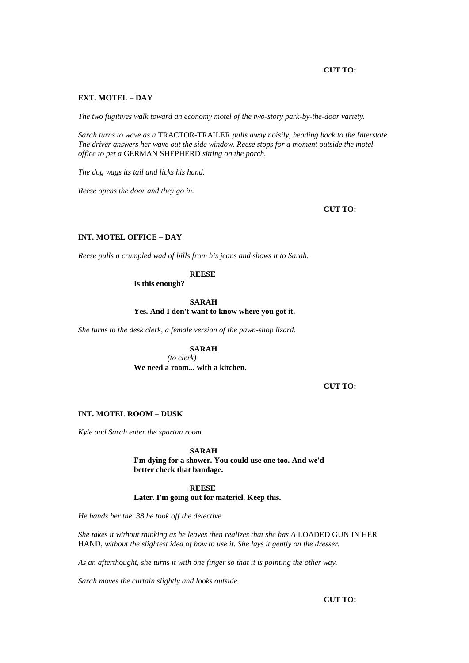## **CUT TO:**

#### **EXT. MOTEL – DAY**

*The two fugitives walk toward an economy motel of the two-story park-by-the-door variety.*

*Sarah turns to wave as a* TRACTOR-TRAILER *pulls away noisily, heading back to the Interstate. The driver answers her wave out the side window. Reese stops for a moment outside the motel office to pet a* GERMAN SHEPHERD *sitting on the porch.*

*The dog wags its tail and licks his hand.*

*Reese opens the door and they go in.*

**CUT TO:**

# **INT. MOTEL OFFICE – DAY**

*Reese pulls a crumpled wad of bills from his jeans and shows it to Sarah.*

**REESE**

**Is this enough?**

**SARAH**

**Yes. And I don't want to know where you got it.**

*She turns to the desk clerk, a female version of the pawn-shop lizard.*

## **SARAH**

*(to clerk)*

**We need a room... with a kitchen.**

**CUT TO:**

# **INT. MOTEL ROOM – DUSK**

*Kyle and Sarah enter the spartan room.*

**SARAH**

**I'm dying for a shower. You could use one too. And we'd better check that bandage.**

**REESE Later. I'm going out for materiel. Keep this.**

*He hands her the .38 he took off the detective.*

*She takes it without thinking as he leaves then realizes that she has A LOADED GUN IN HER* HAND*, without the slightest idea of how to use it. She lays it gently on the dresser.*

*As an afterthought, she turns it with one finger so that it is pointing the other way.*

*Sarah moves the curtain slightly and looks outside.*

**CUT TO:**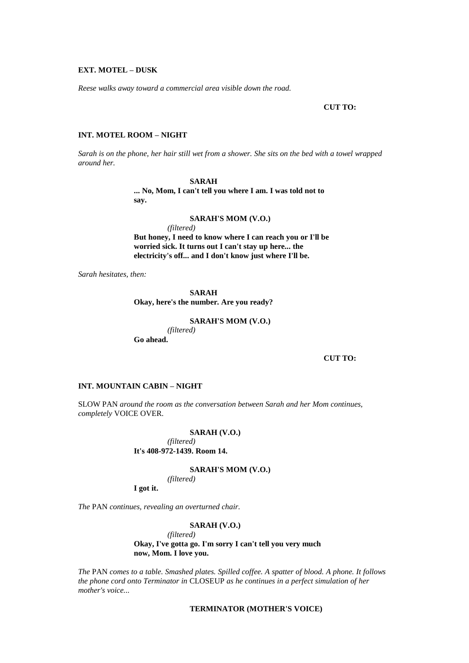#### **EXT. MOTEL – DUSK**

*Reese walks away toward a commercial area visible down the road.*

## **CUT TO:**

## **INT. MOTEL ROOM – NIGHT**

*Sarah is on the phone, her hair still wet from a shower. She sits on the bed with a towel wrapped around her.*

# **SARAH**

**... No, Mom, I can't tell you where I am. I was told not to say.**

#### **SARAH'S MOM (V.O.)**

*(filtered)* **But honey, I need to know where I can reach you or I'll be worried sick. It turns out I can't stay up here... the electricity's off... and I don't know just where I'll be.**

*Sarah hesitates, then:*

**SARAH Okay, here's the number. Are you ready?**

**SARAH'S MOM (V.O.)**

*(filtered)* **Go ahead.**

**CUT TO:**

# **INT. MOUNTAIN CABIN – NIGHT**

SLOW PAN *around the room as the conversation between Sarah and her Mom continues, completely* VOICE OVER.

#### **SARAH (V.O.)**

*(filtered)* **It's 408-972-1439. Room 14.**

**SARAH'S MOM (V.O.)**

*(filtered)*

**I got it.**

*The* PAN *continues, revealing an overturned chair.*

## **SARAH (V.O.)**

*(filtered)* **Okay, I've gotta go. I'm sorry I can't tell you very much now, Mom. I love you.**

*The* PAN *comes to a table. Smashed plates. Spilled coffee. A spatter of blood. A phone. It follows the phone cord onto Terminator in* CLOSEUP *as he continues in a perfect simulation of her mother's voice...* 

### **TERMINATOR (MOTHER'S VOICE)**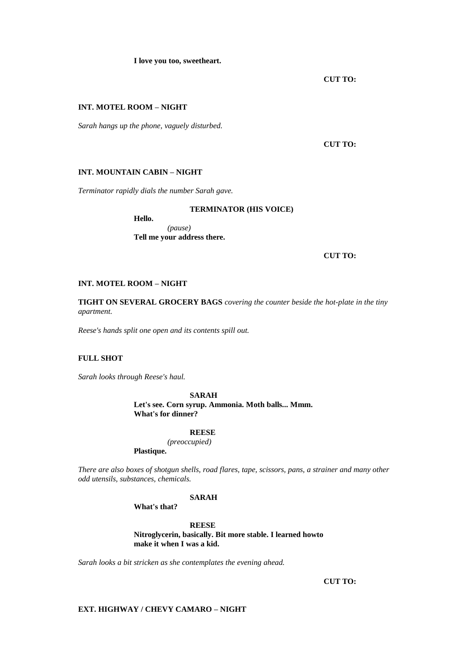**I love you too, sweetheart.**

**CUT TO:**

## **INT. MOTEL ROOM – NIGHT**

*Sarah hangs up the phone, vaguely disturbed.*

**CUT TO:**

#### **INT. MOUNTAIN CABIN – NIGHT**

*Terminator rapidly dials the number Sarah gave.*

#### **TERMINATOR (HIS VOICE)**

**Hello.** *(pause)* **Tell me your address there.**

**CUT TO:**

## **INT. MOTEL ROOM – NIGHT**

**TIGHT ON SEVERAL GROCERY BAGS** *covering the counter beside the hot-plate in the tiny apartment.*

*Reese's hands split one open and its contents spill out.*

# **FULL SHOT**

*Sarah looks through Reese's haul.*

**SARAH Let's see. Corn syrup. Ammonia. Moth balls... Mmm. What's for dinner?**

#### **REESE**

*(preoccupied)*

**Plastique.**

*There are also boxes of shotgun shells, road flares, tape, scissors, pans, a strainer and many other odd utensils, substances, chemicals.*

# **SARAH**

**What's that?**

**REESE Nitroglycerin, basically. Bit more stable. I learned howto make it when I was a kid.**

*Sarah looks a bit stricken as she contemplates the evening ahead.*

**CUT TO:**

# **EXT. HIGHWAY / CHEVY CAMARO – NIGHT**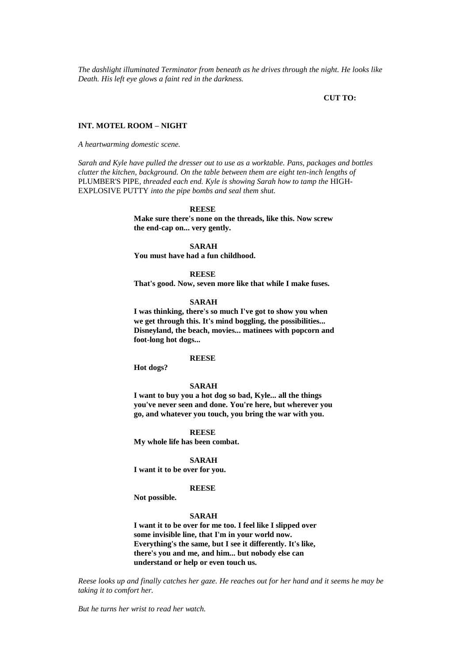*The dashlight illuminated Terminator from beneath as he drives through the night. He looks like Death. His left eye glows a faint red in the darkness.*

#### **CUT TO:**

#### **INT. MOTEL ROOM – NIGHT**

*A heartwarming domestic scene.*

*Sarah and Kyle have pulled the dresser out to use as a worktable. Pans, packages and bottles clutter the kitchen, background. On the table between them are eight ten-inch lengths of*  PLUMBER'S PIPE*, threaded each end. Kyle is showing Sarah how to tamp the* HIGH-EXPLOSIVE PUTTY *into the pipe bombs and seal them shut.*

#### **REESE**

**Make sure there's none on the threads, like this. Now screw the end-cap on... very gently.**

**SARAH**

**You must have had a fun childhood.**

#### **REESE**

**That's good. Now, seven more like that while I make fuses.**

#### **SARAH**

**I was thinking, there's so much I've got to show you when we get through this. It's mind boggling, the possibilities... Disneyland, the beach, movies... matinees with popcorn and foot-long hot dogs...** 

## **REESE**

**Hot dogs?**

## **SARAH**

**I want to buy you a hot dog so bad, Kyle... all the things you've never seen and done. You're here, but wherever you go, and whatever you touch, you bring the war with you.**

**REESE My whole life has been combat.**

#### **SARAH**

**I want it to be over for you.**

#### **REESE**

**Not possible.**

## **SARAH**

**I want it to be over for me too. I feel like I slipped over some invisible line, that I'm in your world now. Everything's the same, but I see it differently. It's like, there's you and me, and him... but nobody else can understand or help or even touch us.**

*Reese looks up and finally catches her gaze. He reaches out for her hand and it seems he may be taking it to comfort her.*

*But he turns her wrist to read her watch.*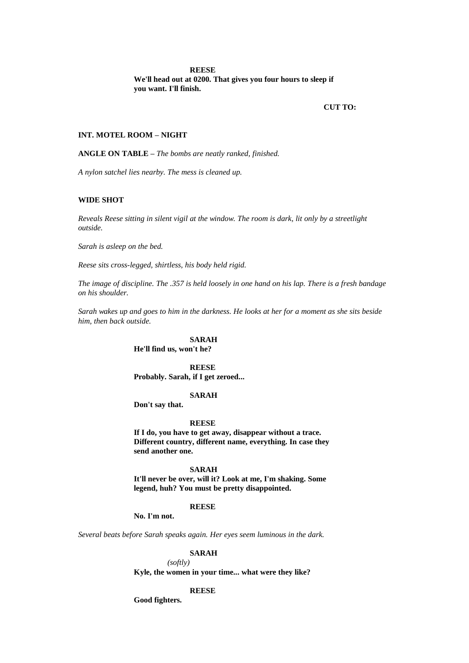#### **REESE**

**We'll head out at 0200. That gives you four hours to sleep if you want. I'll finish.**

**CUT TO:**

#### **INT. MOTEL ROOM – NIGHT**

**ANGLE ON TABLE –** *The bombs are neatly ranked, finished.*

*A nylon satchel lies nearby. The mess is cleaned up.*

#### **WIDE SHOT**

*Reveals Reese sitting in silent vigil at the window. The room is dark, lit only by a streetlight outside.*

*Sarah is asleep on the bed.*

*Reese sits cross-legged, shirtless, his body held rigid.*

*The image of discipline. The .357 is held loosely in one hand on his lap. There is a fresh bandage on his shoulder.*

*Sarah wakes up and goes to him in the darkness. He looks at her for a moment as she sits beside him, then back outside.*

# **SARAH**

**He'll find us, won't he?**

**REESE Probably. Sarah, if I get zeroed...** 

#### **SARAH**

**Don't say that.**

#### **REESE**

**If I do, you have to get away, disappear without a trace. Different country, different name, everything. In case they send another one.**

#### **SARAH**

**It'll never be over, will it? Look at me, I'm shaking. Some legend, huh? You must be pretty disappointed.**

#### **REESE**

**No. I'm not.**

*Several beats before Sarah speaks again. Her eyes seem luminous in the dark.*

#### **SARAH**

*(softly)* **Kyle, the women in your time... what were they like?**

#### **REESE**

**Good fighters.**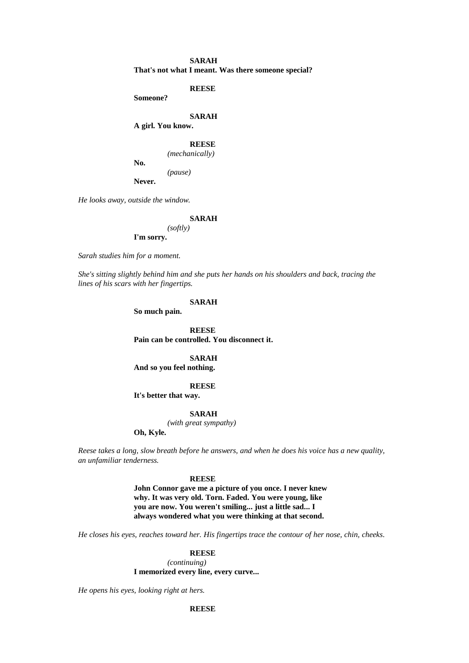## **SARAH That's not what I meant. Was there someone special?**

**REESE**

**Someone?**

# **SARAH**

**A girl. You know.**

# **REESE**

*(mechanically)*

**No.**

*(pause)*

**Never.**

*He looks away, outside the window.*

#### **SARAH**

*(softly)* **I'm sorry.**

*Sarah studies him for a moment.*

*She's sitting slightly behind him and she puts her hands on his shoulders and back, tracing the lines of his scars with her fingertips.*

#### **SARAH**

**So much pain.**

**REESE Pain can be controlled. You disconnect it.**

**SARAH And so you feel nothing.**

#### **REESE**

**It's better that way.**

#### **SARAH**

*(with great sympathy)*

**Oh, Kyle.**

*Reese takes a long, slow breath before he answers, and when he does his voice has a new quality, an unfamiliar tenderness.*

#### **REESE**

**John Connor gave me a picture of you once. I never knew why. It was very old. Torn. Faded. You were young, like you are now. You weren't smiling... just a little sad... I always wondered what you were thinking at that second.**

*He closes his eyes, reaches toward her. His fingertips trace the contour of her nose, chin, cheeks.*

#### **REESE**

*(continuing)* **I memorized every line, every curve...** 

*He opens his eyes, looking right at hers.*

**REESE**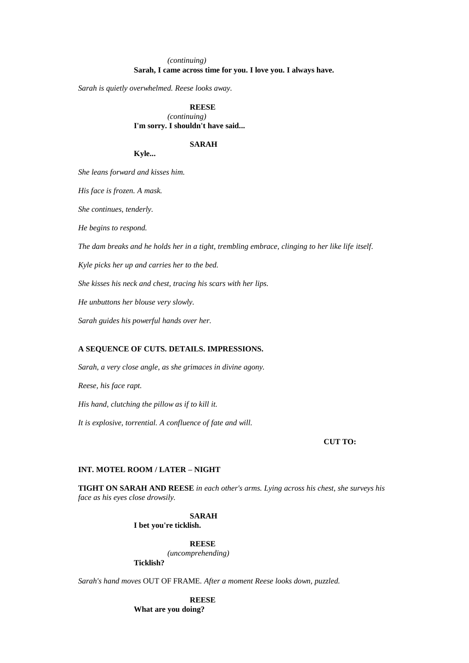# *(continuing)* **Sarah, I came across time for you. I love you. I always have.**

*Sarah is quietly overwhelmed. Reese looks away.*

**REESE** *(continuing)* **I'm sorry. I shouldn't have said...** 

#### **SARAH**

#### **Kyle...**

*She leans forward and kisses him.*

*His face is frozen. A mask.*

*She continues, tenderly.*

*He begins to respond.*

*The dam breaks and he holds her in a tight, trembling embrace, clinging to her like life itself.*

*Kyle picks her up and carries her to the bed.*

*She kisses his neck and chest, tracing his scars with her lips.*

*He unbuttons her blouse very slowly.*

*Sarah guides his powerful hands over her.*

## **A SEQUENCE OF CUTS. DETAILS. IMPRESSIONS.**

*Sarah, a very close angle, as she grimaces in divine agony.*

*Reese, his face rapt.*

*His hand, clutching the pillow as if to kill it.*

*It is explosive, torrential. A confluence of fate and will.*

#### **CUT TO:**

## **INT. MOTEL ROOM / LATER – NIGHT**

**TIGHT ON SARAH AND REESE** *in each other's arms. Lying across his chest, she surveys his face as his eyes close drowsily.*

## **SARAH**

**I bet you're ticklish.**

**REESE**

*(uncomprehending)*

**Ticklish?**

*Sarah's hand moves* OUT OF FRAME*. After a moment Reese looks down, puzzled.*

**REESE What are you doing?**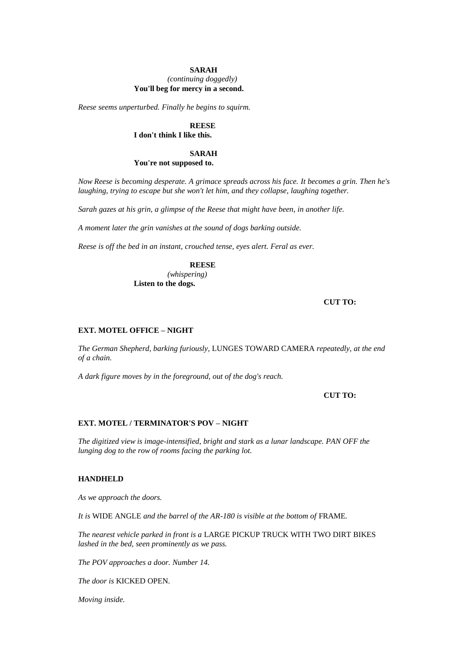#### **SARAH**

## *(continuing doggedly)* **You'll beg for mercy in a second.**

*Reese seems unperturbed. Finally he begins to squirm.*

#### **REESE I don't think I like this.**

## **SARAH You're not supposed to.**

*Now Reese is becoming desperate. A grimace spreads across his face. It becomes a grin. Then he's laughing, trying to escape but she won't let him, and they collapse, laughing together.*

*Sarah gazes at his grin, a glimpse of the Reese that might have been, in another life.*

*A moment later the grin vanishes at the sound of dogs barking outside.*

*Reese is off the bed in an instant, crouched tense, eyes alert. Feral as ever.*

# **REESE**

*(whispering)* **Listen to the dogs.**

## **CUT TO:**

## **EXT. MOTEL OFFICE – NIGHT**

*The German Shepherd, barking furiously,* LUNGES TOWARD CAMERA *repeatedly, at the end of a chain.*

*A dark figure moves by in the foreground, out of the dog's reach.*

## **CUT TO:**

#### **EXT. MOTEL / TERMINATOR'S POV – NIGHT**

*The digitized view is image-intensified, bright and stark as a lunar landscape. PAN OFF the lunging dog to the row of rooms facing the parking lot.*

## **HANDHELD**

*As we approach the doors.*

*It is* WIDE ANGLE *and the barrel of the AR-180 is visible at the bottom of FRAME.* 

*The nearest vehicle parked in front is a* LARGE PICKUP TRUCK WITH TWO DIRT BIKES *lashed in the bed, seen prominently as we pass.*

*The POV approaches a door. Number 14.*

*The door is* KICKED OPEN*.*

*Moving inside.*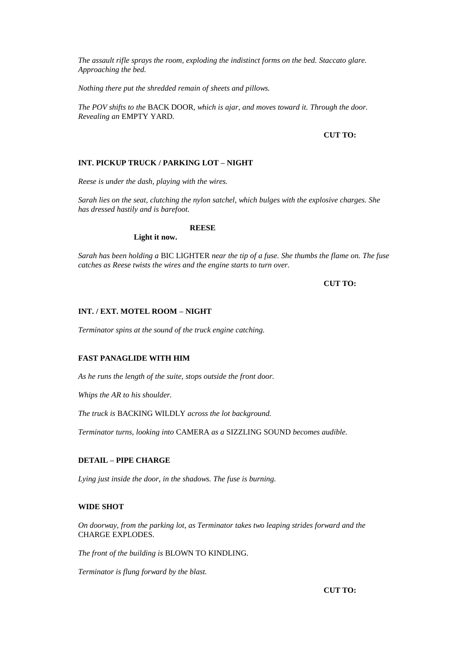*The assault rifle sprays the room, exploding the indistinct forms on the bed. Staccato glare. Approaching the bed.*

*Nothing there put the shredded remain of sheets and pillows.*

*The POV shifts to the* BACK DOOR*, which is ajar, and moves toward it. Through the door. Revealing an* EMPTY YARD*.*

## **CUT TO:**

# **INT. PICKUP TRUCK / PARKING LOT – NIGHT**

*Reese is under the dash, playing with the wires.*

*Sarah lies on the seat, clutching the nylon satchel, which bulges with the explosive charges. She has dressed hastily and is barefoot.*

## **REESE**

**Light it now.**

*Sarah has been holding a* BIC LIGHTER *near the tip of a fuse. She thumbs the flame on. The fuse catches as Reese twists the wires and the engine starts to turn over.*

# **CUT TO:**

#### **INT. / EXT. MOTEL ROOM – NIGHT**

*Terminator spins at the sound of the truck engine catching.*

## **FAST PANAGLIDE WITH HIM**

*As he runs the length of the suite, stops outside the front door.*

*Whips the AR to his shoulder.*

*The truck is* BACKING WILDLY *across the lot background.*

*Terminator turns, looking into* CAMERA *as a* SIZZLING SOUND *becomes audible.*

## **DETAIL – PIPE CHARGE**

*Lying just inside the door, in the shadows. The fuse is burning.*

#### **WIDE SHOT**

*On doorway, from the parking lot, as Terminator takes two leaping strides forward and the*  CHARGE EXPLODES*.*

*The front of the building is* BLOWN TO KINDLING*.*

*Terminator is flung forward by the blast.*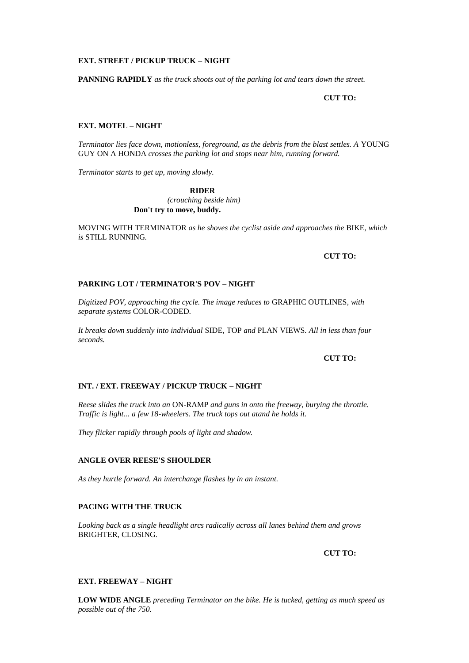#### **EXT. STREET / PICKUP TRUCK – NIGHT**

**PANNING RAPIDLY** *as the truck shoots out of the parking lot and tears down the street.*

**CUT TO:**

## **EXT. MOTEL – NIGHT**

*Terminator lies face down, motionless, foreground, as the debris from the blast settles. A* YOUNG GUY ON A HONDA *crosses the parking lot and stops near him, running forward.*

*Terminator starts to get up, moving slowly.*

**RIDER** *(crouching beside him)* **Don't try to move, buddy.**

MOVING WITH TERMINATOR *as he shoves the cyclist aside and approaches the* BIKE*, which is* STILL RUNNING*.*

#### **CUT TO:**

# **PARKING LOT / TERMINATOR'S POV – NIGHT**

*Digitized POV, approaching the cycle. The image reduces to* GRAPHIC OUTLINES*, with separate systems* COLOR-CODED*.*

*It breaks down suddenly into individual* SIDE*,* TOP *and* PLAN VIEWS*. All in less than four seconds.*

## **CUT TO:**

# **INT. / EXT. FREEWAY / PICKUP TRUCK – NIGHT**

*Reese slides the truck into an* ON-RAMP *and guns in onto the freeway, burying the throttle. Traffic is light... a few 18-wheelers. The truck tops out atand he holds it.*

*They flicker rapidly through pools of light and shadow.*

## **ANGLE OVER REESE'S SHOULDER**

*As they hurtle forward. An interchange flashes by in an instant.*

## **PACING WITH THE TRUCK**

*Looking back as a single headlight arcs radically across all lanes behind them and grows*  BRIGHTER, CLOSING*.*

**CUT TO:**

#### **EXT. FREEWAY – NIGHT**

**LOW WIDE ANGLE** *preceding Terminator on the bike. He is tucked, getting as much speed as possible out of the 750.*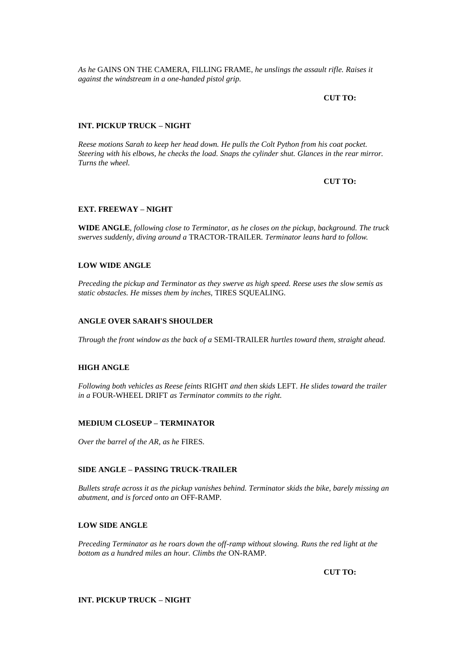*As he* GAINS ON THE CAMERA*,* FILLING FRAME*, he unslings the assault rifle. Raises it against the windstream in a one-handed pistol grip.*

**CUT TO:**

# **INT. PICKUP TRUCK – NIGHT**

*Reese motions Sarah to keep her head down. He pulls the Colt Python from his coat pocket. Steering with his elbows, he checks the load. Snaps the cylinder shut. Glances in the rear mirror. Turns the wheel.*

## **CUT TO:**

## **EXT. FREEWAY – NIGHT**

**WIDE ANGLE***, following close to Terminator, as he closes on the pickup, background. The truck swerves suddenly, diving around a* TRACTOR-TRAILER*. Terminator leans hard to follow.*

## **LOW WIDE ANGLE**

*Preceding the pickup and Terminator as they swerve as high speed. Reese uses the slow semis as static obstacles. He misses them by inches,* TIRES SQUEALING*.*

## **ANGLE OVER SARAH'S SHOULDER**

*Through the front window as the back of a* SEMI-TRAILER *hurtles toward them, straight ahead.*

#### **HIGH ANGLE**

*Following both vehicles as Reese feints* RIGHT *and then skids* LEFT*. He slides toward the trailer in a* FOUR-WHEEL DRIFT *as Terminator commits to the right.*

#### **MEDIUM CLOSEUP – TERMINATOR**

*Over the barrel of the AR, as he* FIRES*.*

# **SIDE ANGLE – PASSING TRUCK-TRAILER**

*Bullets strafe across it as the pickup vanishes behind. Terminator skids the bike, barely missing an abutment, and is forced onto an* OFF-RAMP*.*

#### **LOW SIDE ANGLE**

*Preceding Terminator as he roars down the off-ramp without slowing. Runs the red light at the bottom as a hundred miles an hour. Climbs the* ON-RAMP*.*

**CUT TO:**

# **INT. PICKUP TRUCK – NIGHT**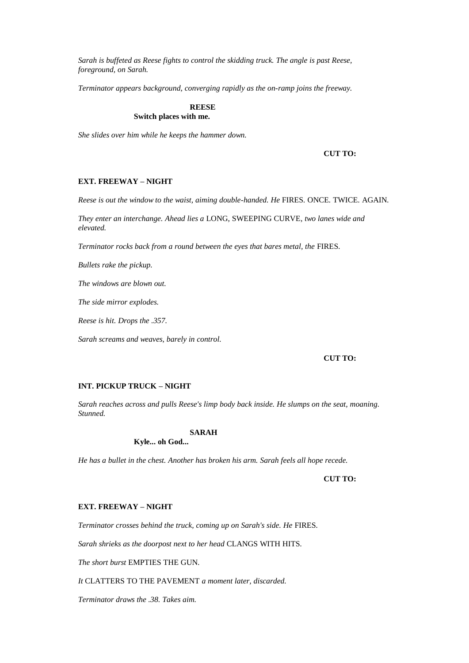*Sarah is buffeted as Reese fights to control the skidding truck. The angle is past Reese, foreground, on Sarah.*

*Terminator appears background, converging rapidly as the on-ramp joins the freeway.*

# **REESE**

# **Switch places with me.**

*She slides over him while he keeps the hammer down.*

## **CUT TO:**

## **EXT. FREEWAY – NIGHT**

*Reese is out the window to the waist, aiming double-handed. He* FIRES*.* ONCE*.* TWICE*.* AGAIN*.*

*They enter an interchange. Ahead lies a* LONG, SWEEPING CURVE*, two lanes wide and elevated.*

*Terminator rocks back from a round between the eyes that bares metal, the* FIRES*.*

*Bullets rake the pickup.*

*The windows are blown out.*

*The side mirror explodes.*

*Reese is hit. Drops the .357.*

*Sarah screams and weaves, barely in control.*

## **CUT TO:**

# **INT. PICKUP TRUCK – NIGHT**

*Sarah reaches across and pulls Reese's limp body back inside. He slumps on the seat, moaning. Stunned.*

#### **SARAH**

**Kyle... oh God...** 

*He has a bullet in the chest. Another has broken his arm. Sarah feels all hope recede.*

## **CUT TO:**

## **EXT. FREEWAY – NIGHT**

*Terminator crosses behind the truck, coming up on Sarah's side. He* FIRES*.*

*Sarah shrieks as the doorpost next to her head* CLANGS WITH HITS*.*

*The short burst* EMPTIES THE GUN*.*

*It* CLATTERS TO THE PAVEMENT *a moment later, discarded.*

*Terminator draws the .38. Takes aim.*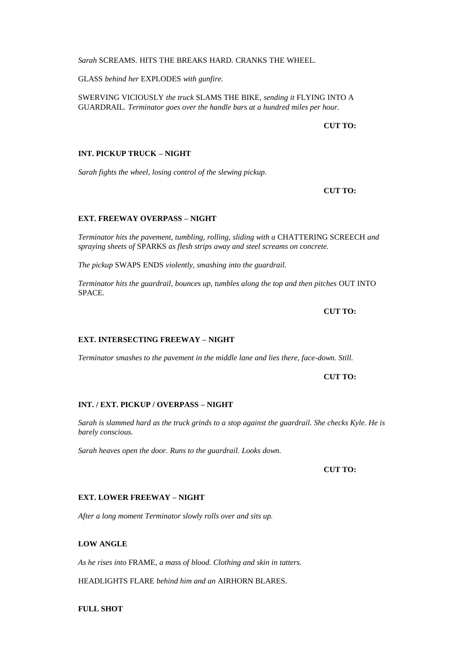#### *Sarah* SCREAMS*.* HITS THE BREAKS HARD*.* CRANKS THE WHEEL*.*

GLASS *behind her* EXPLODES *with gunfire.*

SWERVING VICIOUSLY *the truck* SLAMS THE BIKE*, sending it* FLYING INTO A GUARDRAIL*. Terminator goes over the handle bars at a hundred miles per hour.*

**CUT TO:**

## **INT. PICKUP TRUCK – NIGHT**

*Sarah fights the wheel, losing control of the slewing pickup.*

**CUT TO:**

# **EXT. FREEWAY OVERPASS – NIGHT**

*Terminator hits the pavement, tumbling, rolling, sliding with a* CHATTERING SCREECH *and spraying sheets of* SPARKS *as flesh strips away and steel screams on concrete.*

*The pickup* SWAPS ENDS *violently, smashing into the guardrail.*

*Terminator hits the guardrail, bounces up, tumbles along the top and then pitches* OUT INTO SPACE*.*

**CUT TO:**

# **EXT. INTERSECTING FREEWAY – NIGHT**

*Terminator smashes to the pavement in the middle lane and lies there, face-down. Still.*

**CUT TO:** 

### **INT. / EXT. PICKUP / OVERPASS – NIGHT**

*Sarah is slammed hard as the truck grinds to a stop against the guardrail. She checks Kyle. He is barely conscious.*

*Sarah heaves open the door. Runs to the guardrail. Looks down.*

**CUT TO:**

#### **EXT. LOWER FREEWAY – NIGHT**

*After a long moment Terminator slowly rolls over and sits up.*

## **LOW ANGLE**

*As he rises into* FRAME*, a mass of blood. Clothing and skin in tatters.*

HEADLIGHTS FLARE *behind him and an* AIRHORN BLARES*.*

**FULL SHOT**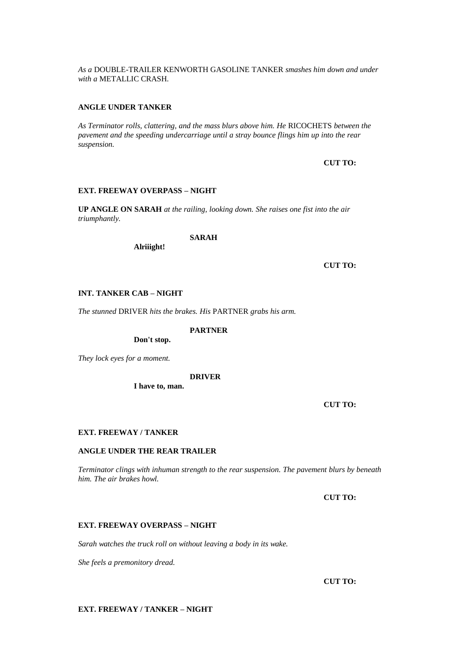*As a* DOUBLE-TRAILER KENWORTH GASOLINE TANKER *smashes him down and under with a* METALLIC CRASH*.*

## **ANGLE UNDER TANKER**

*As Terminator rolls, clattering, and the mass blurs above him. He* RICOCHETS *between the pavement and the speeding undercarriage until a stray bounce flings him up into the rear suspension.*

## **CUT TO:**

## **EXT. FREEWAY OVERPASS – NIGHT**

**UP ANGLE ON SARAH** *at the railing, looking down. She raises one fist into the air triumphantly.*

**SARAH**

**Alriiight!**

**CUT TO:**

## **INT. TANKER CAB – NIGHT**

*The stunned* DRIVER *hits the brakes. His* PARTNER *grabs his arm.*

**PARTNER**

**Don't stop.**

*They lock eyes for a moment.*

#### **DRIVER**

**I have to, man.**

**CUT TO:**

#### **EXT. FREEWAY / TANKER**

#### **ANGLE UNDER THE REAR TRAILER**

*Terminator clings with inhuman strength to the rear suspension. The pavement blurs by beneath him. The air brakes howl.*

**CUT TO:**

## **EXT. FREEWAY OVERPASS – NIGHT**

*Sarah watches the truck roll on without leaving a body in its wake.*

*She feels a premonitory dread.*

**CUT TO:**

**EXT. FREEWAY / TANKER – NIGHT**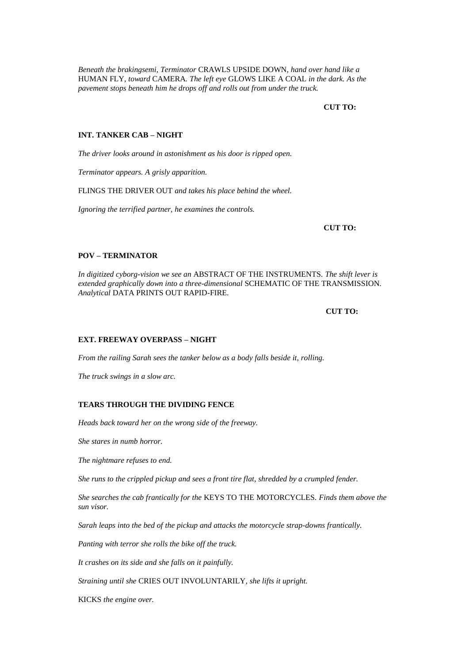*Beneath the brakingsemi, Terminator* CRAWLS UPSIDE DOWN*, hand over hand like a*  HUMAN FLY*, toward* CAMERA*. The left eye* GLOWS LIKE A COAL *in the dark. As the pavement stops beneath him he drops off and rolls out from under the truck.*

## **CUT TO:**

## **INT. TANKER CAB – NIGHT**

*The driver looks around in astonishment as his door is ripped open.*

*Terminator appears. A grisly apparition.*

FLINGS THE DRIVER OUT *and takes his place behind the wheel.*

*Ignoring the terrified partner, he examines the controls.*

**CUT TO:**

# **POV – TERMINATOR**

*In digitized cyborg-vision we see an* ABSTRACT OF THE INSTRUMENTS*. The shift lever is extended graphically down into a three-dimensional* SCHEMATIC OF THE TRANSMISSION*. Analytical* DATA PRINTS OUT RAPID-FIRE*.*

#### **CUT TO:**

# **EXT. FREEWAY OVERPASS – NIGHT**

*From the railing Sarah sees the tanker below as a body falls beside it, rolling.*

*The truck swings in a slow arc.*

### **TEARS THROUGH THE DIVIDING FENCE**

*Heads back toward her on the wrong side of the freeway.*

*She stares in numb horror.*

*The nightmare refuses to end.*

*She runs to the crippled pickup and sees a front tire flat, shredded by a crumpled fender.*

*She searches the cab frantically for the* KEYS TO THE MOTORCYCLES*. Finds them above the sun visor.*

*Sarah leaps into the bed of the pickup and attacks the motorcycle strap-downs frantically.*

*Panting with terror she rolls the bike off the truck.*

*It crashes on its side and she falls on it painfully.*

*Straining until she* CRIES OUT INVOLUNTARILY*, she lifts it upright.*

KICKS *the engine over.*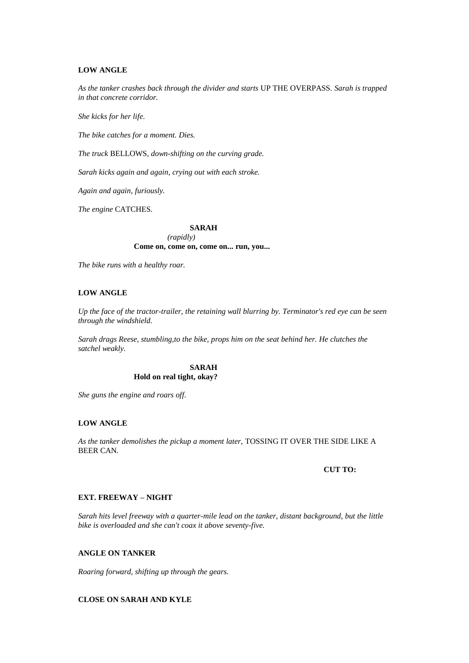### **LOW ANGLE**

*As the tanker crashes back through the divider and starts* UP THE OVERPASS*. Sarah is trapped in that concrete corridor.*

*She kicks for her life.*

*The bike catches for a moment. Dies.*

*The truck* BELLOWS*, down-shifting on the curving grade.*

*Sarah kicks again and again, crying out with each stroke.*

*Again and again, furiously.*

*The engine* CATCHES*.*

#### **SARAH**

*(rapidly)* **Come on, come on, come on... run, you...** 

*The bike runs with a healthy roar.*

## **LOW ANGLE**

*Up the face of the tractor-trailer, the retaining wall blurring by. Terminator's red eye can be seen through the windshield.*

*Sarah drags Reese, stumbling,to the bike, props him on the seat behind her. He clutches the satchel weakly.*

## **SARAH Hold on real tight, okay?**

*She guns the engine and roars off.*

# **LOW ANGLE**

*As the tanker demolishes the pickup a moment later,* TOSSING IT OVER THE SIDE LIKE A BEER CAN*.*

# **CUT TO:**

# **EXT. FREEWAY – NIGHT**

*Sarah hits level freeway with a quarter-mile lead on the tanker, distant background, but the little bike is overloaded and she can't coax it above seventy-five.*

# **ANGLE ON TANKER**

*Roaring forward, shifting up through the gears.*

# **CLOSE ON SARAH AND KYLE**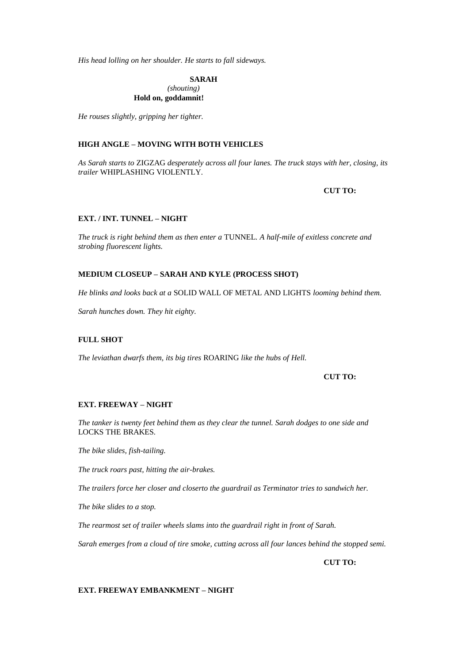*His head lolling on her shoulder. He starts to fall sideways.*

**SARAH** *(shouting)* **Hold on, goddamnit!**

*He rouses slightly, gripping her tighter.*

# **HIGH ANGLE – MOVING WITH BOTH VEHICLES**

*As Sarah starts to* ZIGZAG *desperately across all four lanes. The truck stays with her, closing, its trailer* WHIPLASHING VIOLENTLY*.*

**CUT TO:**

### **EXT. / INT. TUNNEL – NIGHT**

*The truck is right behind them as then enter a* TUNNEL*. A half-mile of exitless concrete and strobing fluorescent lights.*

# **MEDIUM CLOSEUP – SARAH AND KYLE (PROCESS SHOT)**

*He blinks and looks back at a* SOLID WALL OF METAL AND LIGHTS *looming behind them.*

*Sarah hunches down. They hit eighty.*

# **FULL SHOT**

*The leviathan dwarfs them, its big tires* ROARING *like the hubs of Hell.*

**CUT TO:**

#### **EXT. FREEWAY – NIGHT**

*The tanker is twenty feet behind them as they clear the tunnel. Sarah dodges to one side and*  LOCKS THE BRAKES*.*

*The bike slides, fish-tailing.*

*The truck roars past, hitting the air-brakes.*

*The trailers force her closer and closerto the guardrail as Terminator tries to sandwich her.*

*The bike slides to a stop.*

*The rearmost set of trailer wheels slams into the guardrail right in front of Sarah.*

*Sarah emerges from a cloud of tire smoke, cutting across all four lances behind the stopped semi.*

**CUT TO:**

#### **EXT. FREEWAY EMBANKMENT – NIGHT**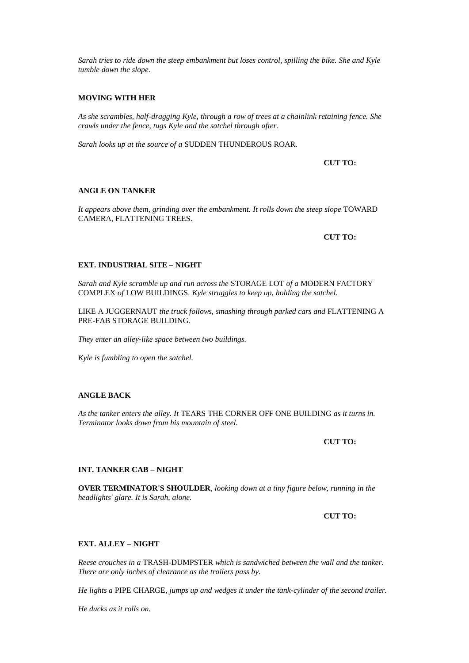*Sarah tries to ride down the steep embankment but loses control, spilling the bike. She and Kyle tumble down the slope.*

### **MOVING WITH HER**

*As she scrambles, half-dragging Kyle, through a row of trees at a chainlink retaining fence. She crawls under the fence, tugs Kyle and the satchel through after.*

*Sarah looks up at the source of a* SUDDEN THUNDEROUS ROAR*.*

**CUT TO:**

### **ANGLE ON TANKER**

It appears above them, grinding over the embankment. It rolls down the steep slope TOWARD CAMERA, FLATTENING TREES*.*

**CUT TO:**

### **EXT. INDUSTRIAL SITE – NIGHT**

*Sarah and Kyle scramble up and run across the* STORAGE LOT *of a* MODERN FACTORY COMPLEX *of* LOW BUILDINGS*. Kyle struggles to keep up, holding the satchel.*

LIKE A JUGGERNAUT *the truck follows, smashing through parked cars and* FLATTENING A PRE-FAB STORAGE BUILDING*.*

*They enter an alley-like space between two buildings.*

*Kyle is fumbling to open the satchel.*

### **ANGLE BACK**

*As the tanker enters the alley. It* TEARS THE CORNER OFF ONE BUILDING *as it turns in. Terminator looks down from his mountain of steel.*

**CUT TO:**

### **INT. TANKER CAB – NIGHT**

**OVER TERMINATOR'S SHOULDER***, looking down at a tiny figure below, running in the headlights' glare. It is Sarah, alone.*

## **CUT TO:**

### **EXT. ALLEY – NIGHT**

*Reese crouches in a* TRASH-DUMPSTER *which is sandwiched between the wall and the tanker. There are only inches of clearance as the trailers pass by.*

*He lights a* PIPE CHARGE*, jumps up and wedges it under the tank-cylinder of the second trailer.*

*He ducks as it rolls on.*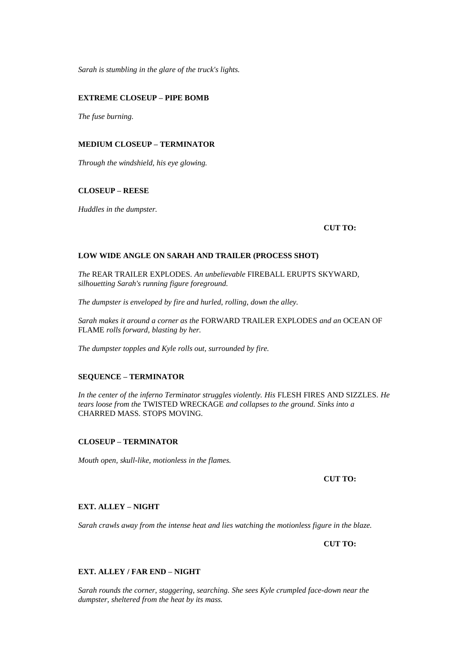*Sarah is stumbling in the glare of the truck's lights.*

### **EXTREME CLOSEUP – PIPE BOMB**

*The fuse burning.*

# **MEDIUM CLOSEUP – TERMINATOR**

*Through the windshield, his eye glowing.*

#### **CLOSEUP – REESE**

*Huddles in the dumpster.*

#### **CUT TO:**

#### **LOW WIDE ANGLE ON SARAH AND TRAILER (PROCESS SHOT)**

*The* REAR TRAILER EXPLODES*. An unbelievable* FIREBALL ERUPTS SKYWARD*, silhouetting Sarah's running figure foreground.*

*The dumpster is enveloped by fire and hurled, rolling, down the alley.*

*Sarah makes it around a corner as the* FORWARD TRAILER EXPLODES *and an* OCEAN OF FLAME *rolls forward, blasting by her.*

*The dumpster topples and Kyle rolls out, surrounded by fire.*

# **SEQUENCE – TERMINATOR**

*In the center of the inferno Terminator struggles violently. His* FLESH FIRES AND SIZZLES*. He tears loose from the* TWISTED WRECKAGE *and collapses to the ground. Sinks into a*  CHARRED MASS*.* STOPS MOVING*.*

### **CLOSEUP – TERMINATOR**

*Mouth open, skull-like, motionless in the flames.*

**CUT TO:**

#### **EXT. ALLEY – NIGHT**

*Sarah crawls away from the intense heat and lies watching the motionless figure in the blaze.*

**CUT TO:**

#### **EXT. ALLEY / FAR END – NIGHT**

*Sarah rounds the corner, staggering, searching. She sees Kyle crumpled face-down near the dumpster, sheltered from the heat by its mass.*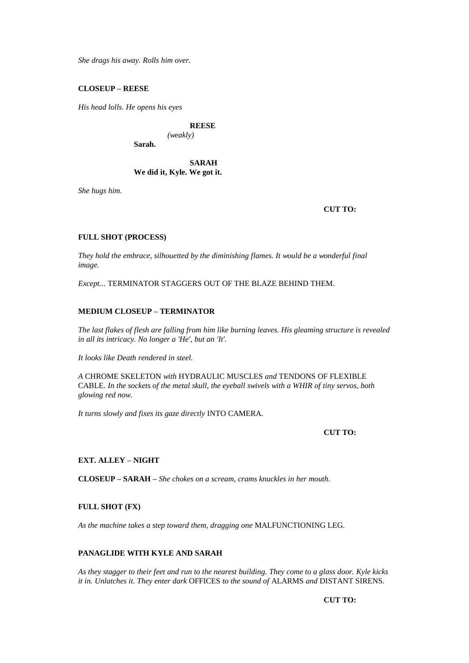*She drags his away. Rolls him over.*

### **CLOSEUP – REESE**

*His head lolls. He opens his eyes*

# **REESE**

*(weakly)* **Sarah.**

# **SARAH We did it, Kyle. We got it.**

*She hugs him.*

### **CUT TO:**

### **FULL SHOT (PROCESS)**

*They hold the embrace, silhouetted by the diminishing flames. It would be a wonderful final image.*

*Except...* TERMINATOR STAGGERS OUT OF THE BLAZE BEHIND THEM*.*

### **MEDIUM CLOSEUP – TERMINATOR**

*The last flakes of flesh are falling from him like burning leaves. His gleaming structure is revealed in all its intricacy. No longer a 'He', but an 'It'.*

*It looks like Death rendered in steel.*

*A* CHROME SKELETON *with* HYDRAULIC MUSCLES *and* TENDONS OF FLEXIBLE CABLE*. In the sockets of the metal skull, the eyeball swivels with a WHIR of tiny servos, both glowing red now.*

*It turns slowly and fixes its gaze directly* INTO CAMERA*.*

### **CUT TO:**

# **EXT. ALLEY – NIGHT**

**CLOSEUP – SARAH –** *She chokes on a scream, crams knuckles in her mouth.*

#### **FULL SHOT (FX)**

*As the machine takes a step toward them, dragging one* MALFUNCTIONING LEG*.*

# **PANAGLIDE WITH KYLE AND SARAH**

*As they stagger to their feet and run to the nearest building. They come to a glass door. Kyle kicks it in. Unlatches it. They enter dark* OFFICES *to the sound of* ALARMS *and* DISTANT SIRENS*.*

**CUT TO:**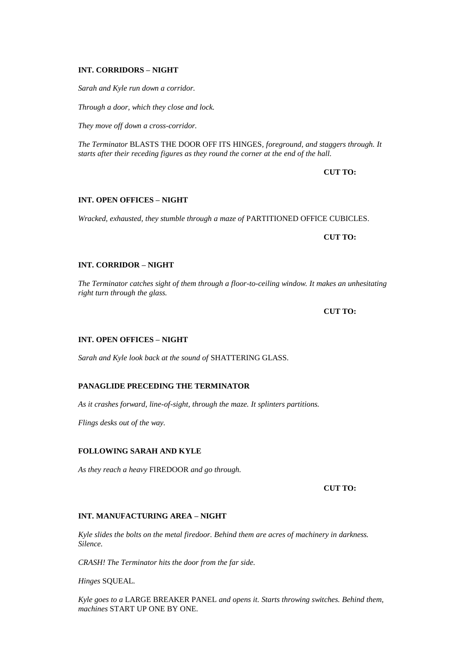# **INT. CORRIDORS – NIGHT**

*Sarah and Kyle run down a corridor.*

*Through a door, which they close and lock.*

*They move off down a cross-corridor.*

*The Terminator* BLASTS THE DOOR OFF ITS HINGES*, foreground, and staggers through. It starts after their receding figures as they round the corner at the end of the hall.*

**CUT TO:**

#### **INT. OPEN OFFICES – NIGHT**

*Wracked, exhausted, they stumble through a maze of* PARTITIONED OFFICE CUBICLES*.*

**CUT TO:**

### **INT. CORRIDOR – NIGHT**

*The Terminator catches sight of them through a floor-to-ceiling window. It makes an unhesitating right turn through the glass.*

**CUT TO:**

# **INT. OPEN OFFICES – NIGHT**

*Sarah and Kyle look back at the sound of* SHATTERING GLASS*.*

# **PANAGLIDE PRECEDING THE TERMINATOR**

*As it crashes forward, line-of-sight, through the maze. It splinters partitions.*

*Flings desks out of the way.*

#### **FOLLOWING SARAH AND KYLE**

*As they reach a heavy* FIREDOOR *and go through.*

**CUT TO:**

## **INT. MANUFACTURING AREA – NIGHT**

*Kyle slides the bolts on the metal firedoor. Behind them are acres of machinery in darkness. Silence.*

*CRASH! The Terminator hits the door from the far side.*

*Hinges* SQUEAL*.*

*Kyle goes to a* LARGE BREAKER PANEL *and opens it. Starts throwing switches. Behind them, machines* START UP ONE BY ONE*.*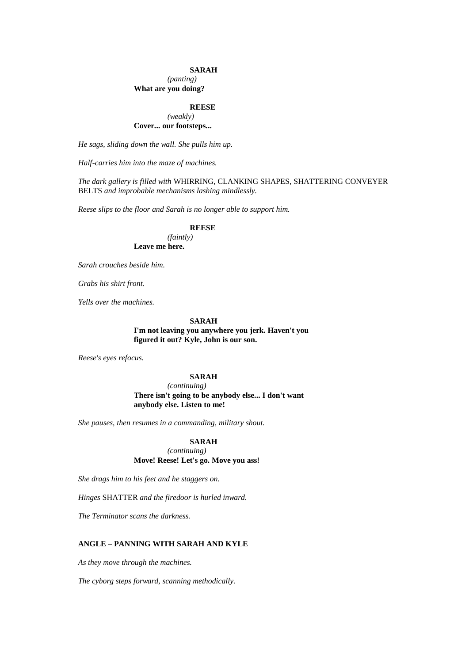#### **SARAH**

#### *(panting)* **What are you doing?**

#### **REESE**

### *(weakly)* **Cover... our footsteps...**

*He sags, sliding down the wall. She pulls him up.*

*Half-carries him into the maze of machines.*

*The dark gallery is filled with* WHIRRING, CLANKING SHAPES, SHATTERING CONVEYER BELTS *and improbable mechanisms lashing mindlessly.*

*Reese slips to the floor and Sarah is no longer able to support him.*

# **REESE**

*(faintly)* **Leave me here.**

*Sarah crouches beside him.*

*Grabs his shirt front.*

*Yells over the machines.*

# **SARAH**

**I'm not leaving you anywhere you jerk. Haven't you figured it out? Kyle, John is our son.**

*Reese's eyes refocus.*

# **SARAH**

*(continuing)* **There isn't going to be anybody else... I don't want anybody else. Listen to me!**

*She pauses, then resumes in a commanding, military shout.*

#### **SARAH**

*(continuing)* **Move! Reese! Let's go. Move you ass!**

*She drags him to his feet and he staggers on.*

*Hinges* SHATTER *and the firedoor is hurled inward.*

*The Terminator scans the darkness.*

### **ANGLE – PANNING WITH SARAH AND KYLE**

*As they move through the machines.*

*The cyborg steps forward, scanning methodically.*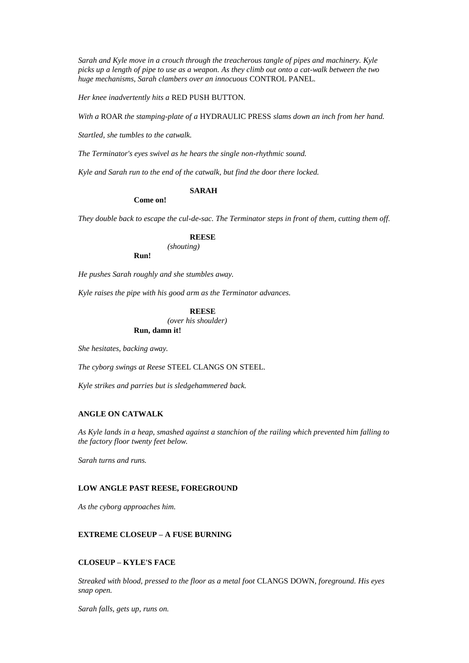*Sarah and Kyle move in a crouch through the treacherous tangle of pipes and machinery. Kyle picks up a length of pipe to use as a weapon. As they climb out onto a cat-walk between the two huge mechanisms, Sarah clambers over an innocuous* CONTROL PANEL*.*

*Her knee inadvertently hits a* RED PUSH BUTTON*.*

*With a* ROAR *the stamping-plate of a* HYDRAULIC PRESS *slams down an inch from her hand.*

*Startled, she tumbles to the catwalk.*

*The Terminator's eyes swivel as he hears the single non-rhythmic sound.*

*Kyle and Sarah run to the end of the catwalk, but find the door there locked.*

### **SARAH**

**Come on!**

*They double back to escape the cul-de-sac. The Terminator steps in front of them, cutting them off.*

### **REESE**

*(shouting)*

**Run!**

*He pushes Sarah roughly and she stumbles away.*

*Kyle raises the pipe with his good arm as the Terminator advances.*

### **REESE**

*(over his shoulder)* **Run, damn it!**

*She hesitates, backing away.*

*The cyborg swings at Reese* STEEL CLANGS ON STEEL*.*

*Kyle strikes and parries but is sledgehammered back.*

# **ANGLE ON CATWALK**

*As Kyle lands in a heap, smashed against a stanchion of the railing which prevented him falling to the factory floor twenty feet below.*

*Sarah turns and runs.*

#### **LOW ANGLE PAST REESE, FOREGROUND**

*As the cyborg approaches him.*

#### **EXTREME CLOSEUP – A FUSE BURNING**

# **CLOSEUP – KYLE'S FACE**

*Streaked with blood, pressed to the floor as a metal foot* CLANGS DOWN*, foreground. His eyes snap open.*

*Sarah falls, gets up, runs on.*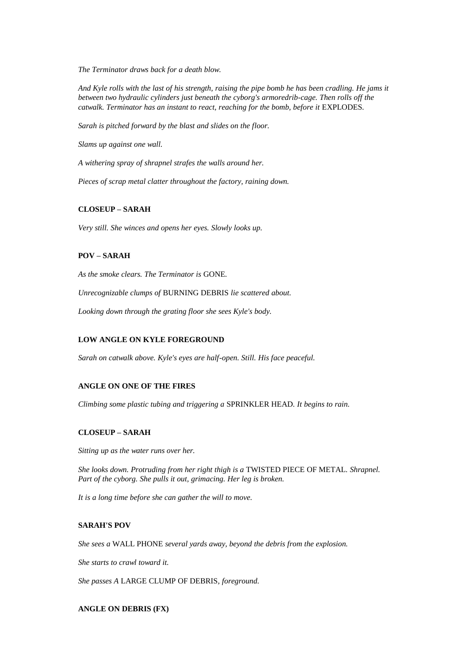*The Terminator draws back for a death blow.*

*And Kyle rolls with the last of his strength, raising the pipe bomb he has been cradling. He jams it between two hydraulic cylinders just beneath the cyborg's armoredrib-cage. Then rolls off the catwalk. Terminator has an instant to react, reaching for the bomb, before it EXPLODES.* 

*Sarah is pitched forward by the blast and slides on the floor.*

*Slams up against one wall.*

*A withering spray of shrapnel strafes the walls around her.*

*Pieces of scrap metal clatter throughout the factory, raining down.*

#### **CLOSEUP – SARAH**

*Very still. She winces and opens her eyes. Slowly looks up.*

# **POV – SARAH**

*As the smoke clears. The Terminator is* GONE*.*

*Unrecognizable clumps of* BURNING DEBRIS *lie scattered about.*

*Looking down through the grating floor she sees Kyle's body.*

# **LOW ANGLE ON KYLE FOREGROUND**

*Sarah on catwalk above. Kyle's eyes are half-open. Still. His face peaceful.*

# **ANGLE ON ONE OF THE FIRES**

*Climbing some plastic tubing and triggering a* SPRINKLER HEAD*. It begins to rain.*

#### **CLOSEUP – SARAH**

*Sitting up as the water runs over her.*

*She looks down. Protruding from her right thigh is a* TWISTED PIECE OF METAL*. Shrapnel. Part of the cyborg. She pulls it out, grimacing. Her leg is broken.*

*It is a long time before she can gather the will to move.*

#### **SARAH'S POV**

*She sees a* WALL PHONE *several yards away, beyond the debris from the explosion.*

*She starts to crawl toward it.*

*She passes A* LARGE CLUMP OF DEBRIS*, foreground.*

### **ANGLE ON DEBRIS (FX)**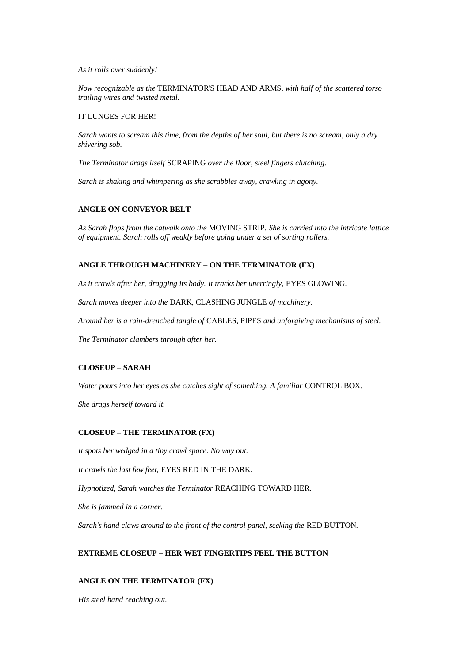#### *As it rolls over suddenly!*

*Now recognizable as the* TERMINATOR'S HEAD AND ARMS*, with half of the scattered torso trailing wires and twisted metal.*

# IT LUNGES FOR HER!

*Sarah wants to scream this time, from the depths of her soul, but there is no scream, only a dry shivering sob.*

*The Terminator drags itself* SCRAPING *over the floor, steel fingers clutching.*

*Sarah is shaking and whimpering as she scrabbles away, crawling in agony.*

# **ANGLE ON CONVEYOR BELT**

*As Sarah flops from the catwalk onto the* MOVING STRIP*. She is carried into the intricate lattice of equipment. Sarah rolls off weakly before going under a set of sorting rollers.*

# **ANGLE THROUGH MACHINERY – ON THE TERMINATOR (FX)**

*As it crawls after her, dragging its body. It tracks her unerringly,* EYES GLOWING*.*

*Sarah moves deeper into the* DARK, CLASHING JUNGLE *of machinery.*

*Around her is a rain-drenched tangle of* CABLES*,* PIPES *and unforgiving mechanisms of steel.*

*The Terminator clambers through after her.*

# **CLOSEUP – SARAH**

*Water pours into her eyes as she catches sight of something. A familiar* CONTROL BOX*.*

*She drags herself toward it.*

# **CLOSEUP – THE TERMINATOR (FX)**

*It spots her wedged in a tiny crawl space. No way out.*

*It crawls the last few feet,* EYES RED IN THE DARK.

*Hypnotized, Sarah watches the Terminator* REACHING TOWARD HER*.*

*She is jammed in a corner.*

*Sarah's hand claws around to the front of the control panel, seeking the* RED BUTTON*.*

# **EXTREME CLOSEUP – HER WET FINGERTIPS FEEL THE BUTTON**

# **ANGLE ON THE TERMINATOR (FX)**

*His steel hand reaching out.*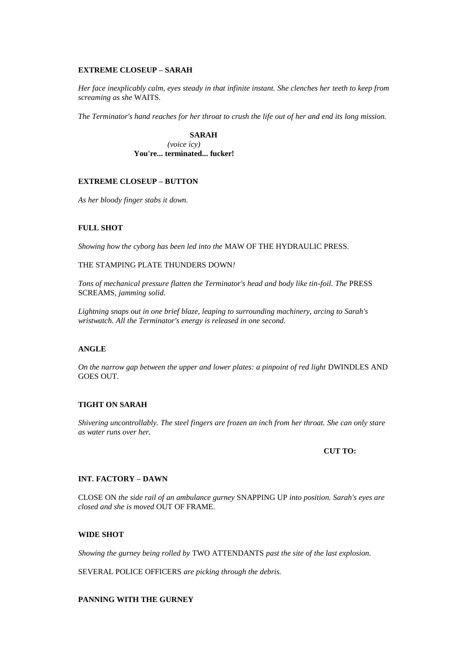### **EXTREME CLOSEUP – SARAH**

*Her face inexplicably calm, eyes steady in that infinite instant. She clenches her teeth to keep from screaming as she* WAITS*.*

*The Terminator's hand reaches for her throat to crush the life out of her and end its long mission.*

**SARAH** *(voice icy)* **You're... terminated... fucker!**

# **EXTREME CLOSEUP – BUTTON**

*As her bloody finger stabs it down.*

# **FULL SHOT**

*Showing how the cyborg has been led into the* MAW OF THE HYDRAULIC PRESS*.*

# THE STAMPING PLATE THUNDERS DOWN*!*

*Tons of mechanical pressure flatten the Terminator's head and body like tin-foil. The* PRESS SCREAMS*, jamming solid.*

*Lightning snaps out in one brief blaze, leaping to surrounding machinery, arcing to Sarah's wristwatch. All the Terminator's energy is released in one second.*

# **ANGLE**

*On the narrow gap between the upper and lower plates: a pinpoint of red light DWINDLES AND* GOES OUT*.*

# **TIGHT ON SARAH**

*Shivering uncontrollably. The steel fingers are frozen an inch from her throat. She can only stare as water runs over her.*

#### **CUT TO:**

# **INT. FACTORY – DAWN**

CLOSE ON *the side rail of an ambulance gurney* SNAPPING UP *into position. Sarah's eyes are closed and she is moved* OUT OF FRAME*.*

#### **WIDE SHOT**

*Showing the gurney being rolled by* TWO ATTENDANTS *past the site of the last explosion.*

SEVERAL POLICE OFFICERS *are picking through the debris.*

# **PANNING WITH THE GURNEY**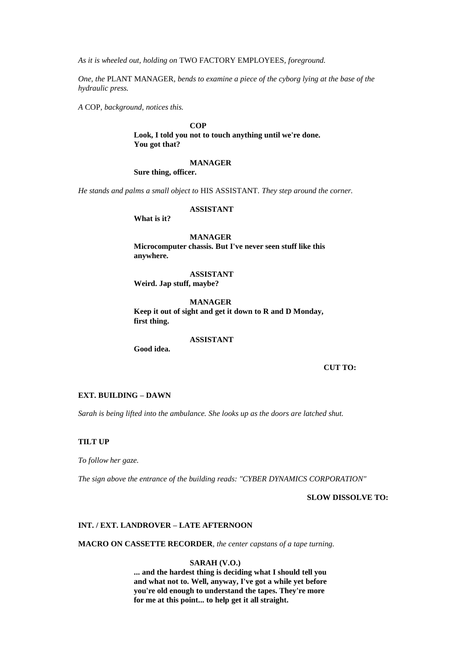*As it is wheeled out, holding on* TWO FACTORY EMPLOYEES*, foreground.*

*One, the* PLANT MANAGER*, bends to examine a piece of the cyborg lying at the base of the hydraulic press.*

*A* COP*, background, notices this.*

### **COP**

**Look, I told you not to touch anything until we're done. You got that?**

### **MANAGER**

**Sure thing, officer.**

*He stands and palms a small object to* HIS ASSISTANT*. They step around the corner.*

**ASSISTANT**

**What is it?**

**MANAGER Microcomputer chassis. But I've never seen stuff like this anywhere.**

**ASSISTANT Weird. Jap stuff, maybe?**

**MANAGER Keep it out of sight and get it down to R and D Monday, first thing.**

#### **ASSISTANT**

**Good idea.**

**CUT TO:**

# **EXT. BUILDING – DAWN**

*Sarah is being lifted into the ambulance. She looks up as the doors are latched shut.*

### **TILT UP**

*To follow her gaze.*

*The sign above the entrance of the building reads: "CYBER DYNAMICS CORPORATION"*

**SLOW DISSOLVE TO:**

#### **INT. / EXT. LANDROVER – LATE AFTERNOON**

**MACRO ON CASSETTE RECORDER***, the center capstans of a tape turning.*

# **SARAH (V.O.)**

**... and the hardest thing is deciding what I should tell you and what not to. Well, anyway, I've got a while yet before you're old enough to understand the tapes. They're more for me at this point... to help get it all straight.**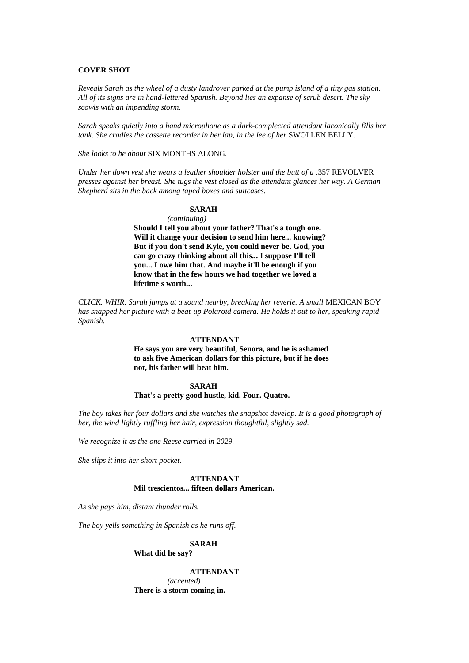### **COVER SHOT**

*Reveals Sarah as the wheel of a dusty landrover parked at the pump island of a tiny gas station. All of its signs are in hand-lettered Spanish. Beyond lies an expanse of scrub desert. The sky scowls with an impending storm.*

*Sarah speaks quietly into a hand microphone as a dark-complected attendant laconically fills her tank. She cradles the cassette recorder in her lap, in the lee of her SWOLLEN BELLY.* 

*She looks to be about* SIX MONTHS ALONG*.*

*Under her down vest she wears a leather shoulder holster and the butt of a* .357 REVOLVER *presses against her breast. She tugs the vest closed as the attendant glances her way. A German Shepherd sits in the back among taped boxes and suitcases.*

#### **SARAH**

*(continuing)* **Should I tell you about your father? That's a tough one. Will it change your decision to send him here... knowing? But if you don't send Kyle, you could never be. God, you can go crazy thinking about all this... I suppose I'll tell you... I owe him that. And maybe it'll be enough if you know that in the few hours we had together we loved a lifetime's worth...** 

*CLICK. WHIR. Sarah jumps at a sound nearby, breaking her reverie. A small* MEXICAN BOY *has snapped her picture with a beat-up Polaroid camera. He holds it out to her, speaking rapid Spanish.*

#### **ATTENDANT**

**He says you are very beautiful, Senora, and he is ashamed to ask five American dollars for this picture, but if he does not, his father will beat him.**

#### **SARAH**

#### **That's a pretty good hustle, kid. Four. Quatro.**

*The boy takes her four dollars and she watches the snapshot develop. It is a good photograph of her, the wind lightly ruffling her hair, expression thoughtful, slightly sad.*

*We recognize it as the one Reese carried in 2029.*

*She slips it into her short pocket.*

### **ATTENDANT Mil trescientos... fifteen dollars American.**

*As she pays him, distant thunder rolls.*

*The boy yells something in Spanish as he runs off.*

#### **SARAH**

**What did he say?**

**ATTENDANT** *(accented)* **There is a storm coming in.**